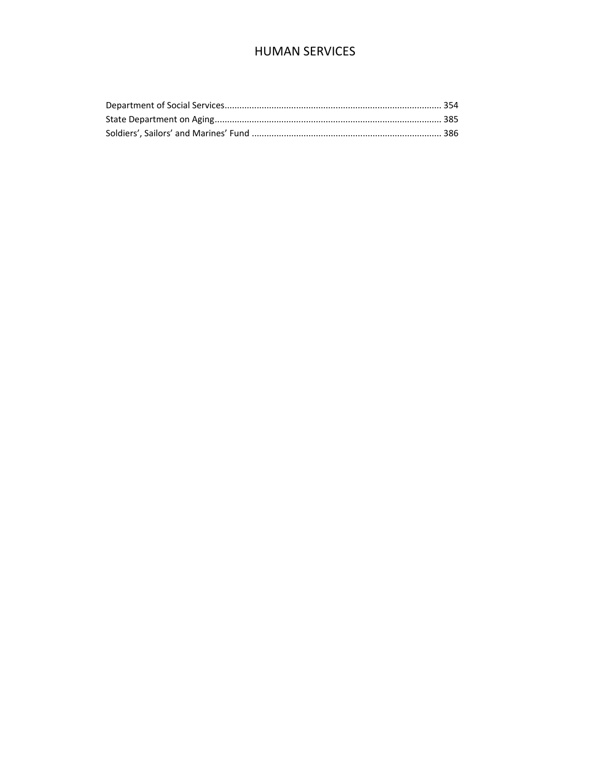# **HUMAN SERVICES**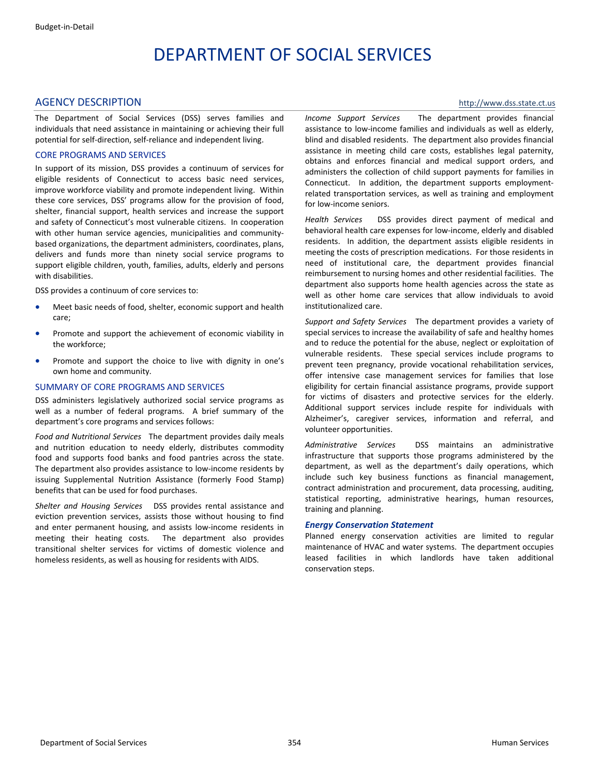# DEPARTMENT OF SOCIAL SERVICES

#### <span id="page-1-0"></span>AGENCY DESCRIPTION **blue and the contract of the contract of the contract of the contract of the contract of the contract of the contract of the contract of the contract of the contract of the contract of the contract of t**

The Department of Social Services (DSS) serves families and individuals that need assistance in maintaining or achieving their full potential for self‐direction, self‐reliance and independent living.

#### CORE PROGRAMS AND SERVICES

In support of its mission, DSS provides a continuum of services for eligible residents of Connecticut to access basic need services, improve workforce viability and promote independent living. Within these core services, DSS' programs allow for the provision of food, shelter, financial support, health services and increase the support and safety of Connecticut's most vulnerable citizens. In cooperation with other human service agencies, municipalities and communitybased organizations, the department administers, coordinates, plans, delivers and funds more than ninety social service programs to support eligible children, youth, families, adults, elderly and persons with disabilities.

DSS provides a continuum of core services to:

- Meet basic needs of food, shelter, economic support and health care;
- Promote and support the achievement of economic viability in the workforce;
- Promote and support the choice to live with dignity in one's own home and community.

#### SUMMARY OF CORE PROGRAMS AND SERVICES

DSS administers legislatively authorized social service programs as well as a number of federal programs. A brief summary of the department's core programs and services follows:

*Food and Nutritional Services* The department provides daily meals and nutrition education to needy elderly, distributes commodity food and supports food banks and food pantries across the state. The department also provides assistance to low-income residents by issuing Supplemental Nutrition Assistance (formerly Food Stamp) benefits that can be used for food purchases.

*Shelter and Housing Services* DSS provides rental assistance and eviction prevention services, assists those without housing to find and enter permanent housing, and assists low‐income residents in meeting their heating costs. The department also provides transitional shelter services for victims of domestic violence and homeless residents, as well as housing for residents with AIDS.

*Income Support Services* The department provides financial assistance to low‐income families and individuals as well as elderly, blind and disabled residents. The department also provides financial assistance in meeting child care costs, establishes legal paternity, obtains and enforces financial and medical support orders, and administers the collection of child support payments for families in Connecticut. In addition, the department supports employmentrelated transportation services, as well as training and employment for low‐income seniors.

*Health Services* DSS provides direct payment of medical and behavioral health care expenses for low‐income, elderly and disabled residents. In addition, the department assists eligible residents in meeting the costs of prescription medications. For those residents in need of institutional care, the department provides financial reimbursement to nursing homes and other residential facilities. The department also supports home health agencies across the state as well as other home care services that allow individuals to avoid institutionalized care.

*Support and Safety Services* The department provides a variety of special services to increase the availability of safe and healthy homes and to reduce the potential for the abuse, neglect or exploitation of vulnerable residents. These special services include programs to prevent teen pregnancy, provide vocational rehabilitation services, offer intensive case management services for families that lose eligibility for certain financial assistance programs, provide support for victims of disasters and protective services for the elderly. Additional support services include respite for individuals with Alzheimer's, caregiver services, information and referral, and volunteer opportunities.

*Administrative Services* DSS maintains an administrative infrastructure that supports those programs administered by the department, as well as the department's daily operations, which include such key business functions as financial management, contract administration and procurement, data processing, auditing, statistical reporting, administrative hearings, human resources, training and planning.

#### *Energy Conservation Statement*

Planned energy conservation activities are limited to regular maintenance of HVAC and water systems. The department occupies leased facilities in which landlords have taken additional conservation steps.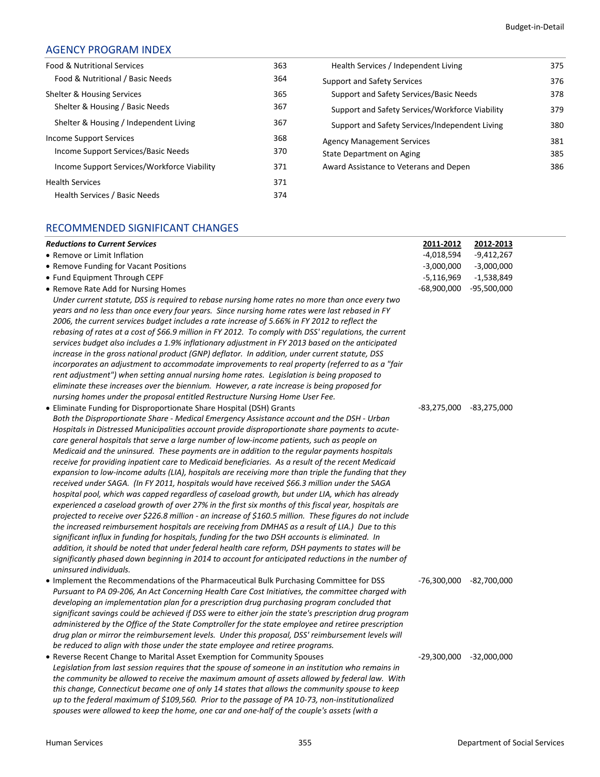# AGENCY PROGRAM INDEX

| Food & Nutritional Services                 | 363 | Health Services / Independent Living            | 375 |
|---------------------------------------------|-----|-------------------------------------------------|-----|
| Food & Nutritional / Basic Needs            | 364 | <b>Support and Safety Services</b>              | 376 |
| Shelter & Housing Services                  | 365 | Support and Safety Services/Basic Needs         | 378 |
| Shelter & Housing / Basic Needs             | 367 | Support and Safety Services/Workforce Viability | 379 |
| Shelter & Housing / Independent Living      | 367 | Support and Safety Services/Independent Living  | 380 |
| Income Support Services                     | 368 | <b>Agency Management Services</b>               | 381 |
| Income Support Services/Basic Needs         | 370 | State Department on Aging                       | 385 |
| Income Support Services/Workforce Viability | 371 | Award Assistance to Veterans and Depen          | 386 |
| <b>Health Services</b>                      | 371 |                                                 |     |
| Health Services / Basic Needs               | 374 |                                                 |     |

# RECOMMENDED SIGNIFICANT CHANGES

| <b>Reductions to Current Services</b>                                                                                                                                                                                                                                                                                                                                                                                                                                                                                                                                                                                                                                                                                                                                                                                                                                                                                                                                                                                                                                                                                                                                                                                                                                        | 2011-2012                 | 2012-2013     |  |
|------------------------------------------------------------------------------------------------------------------------------------------------------------------------------------------------------------------------------------------------------------------------------------------------------------------------------------------------------------------------------------------------------------------------------------------------------------------------------------------------------------------------------------------------------------------------------------------------------------------------------------------------------------------------------------------------------------------------------------------------------------------------------------------------------------------------------------------------------------------------------------------------------------------------------------------------------------------------------------------------------------------------------------------------------------------------------------------------------------------------------------------------------------------------------------------------------------------------------------------------------------------------------|---------------------------|---------------|--|
| • Remove or Limit Inflation                                                                                                                                                                                                                                                                                                                                                                                                                                                                                                                                                                                                                                                                                                                                                                                                                                                                                                                                                                                                                                                                                                                                                                                                                                                  | $-4,018,594$              | $-9,412,267$  |  |
| • Remove Funding for Vacant Positions                                                                                                                                                                                                                                                                                                                                                                                                                                                                                                                                                                                                                                                                                                                                                                                                                                                                                                                                                                                                                                                                                                                                                                                                                                        | $-3,000,000$              | $-3,000,000$  |  |
| • Fund Equipment Through CEPF                                                                                                                                                                                                                                                                                                                                                                                                                                                                                                                                                                                                                                                                                                                                                                                                                                                                                                                                                                                                                                                                                                                                                                                                                                                | $-5,116,969$              | $-1,538,849$  |  |
| • Remove Rate Add for Nursing Homes                                                                                                                                                                                                                                                                                                                                                                                                                                                                                                                                                                                                                                                                                                                                                                                                                                                                                                                                                                                                                                                                                                                                                                                                                                          | $-68,900,000$             | $-95,500,000$ |  |
| Under current statute, DSS is required to rebase nursing home rates no more than once every two<br>years and no less than once every four years. Since nursing home rates were last rebased in FY<br>2006, the current services budget includes a rate increase of 5.66% in FY 2012 to reflect the<br>rebasing of rates at a cost of \$66.9 million in FY 2012. To comply with DSS' regulations, the current<br>services budget also includes a 1.9% inflationary adjustment in FY 2013 based on the anticipated<br>increase in the gross national product (GNP) deflator. In addition, under current statute, DSS<br>incorporates an adjustment to accommodate improvements to real property (referred to as a "fair<br>rent adjustment") when setting annual nursing home rates. Legislation is being proposed to<br>eliminate these increases over the biennium. However, a rate increase is being proposed for<br>nursing homes under the proposal entitled Restructure Nursing Home User Fee.<br>• Eliminate Funding for Disproportionate Share Hospital (DSH) Grants<br>Both the Disproportionate Share - Medical Emergency Assistance account and the DSH - Urban<br>Hospitals in Distressed Municipalities account provide disproportionate share payments to acute- | $-83,275,000$             | -83,275,000   |  |
| care general hospitals that serve a large number of low-income patients, such as people on<br>Medicaid and the uninsured. These payments are in addition to the regular payments hospitals<br>receive for providing inpatient care to Medicaid beneficiaries. As a result of the recent Medicaid<br>expansion to low-income adults (LIA), hospitals are receiving more than triple the funding that they<br>received under SAGA. (In FY 2011, hospitals would have received \$66.3 million under the SAGA<br>hospital pool, which was capped regardless of caseload growth, but under LIA, which has already<br>experienced a caseload growth of over 27% in the first six months of this fiscal year, hospitals are<br>projected to receive over \$226.8 million - an increase of \$160.5 million. These figures do not include<br>the increased reimbursement hospitals are receiving from DMHAS as a result of LIA.) Due to this<br>significant influx in funding for hospitals, funding for the two DSH accounts is eliminated. In<br>addition, it should be noted that under federal health care reform, DSH payments to states will be<br>significantly phased down beginning in 2014 to account for anticipated reductions in the number of<br>uninsured individuals. |                           |               |  |
| • Implement the Recommendations of the Pharmaceutical Bulk Purchasing Committee for DSS<br>Pursuant to PA 09-206, An Act Concerning Health Care Cost Initiatives, the committee charged with<br>developing an implementation plan for a prescription drug purchasing program concluded that<br>significant savings could be achieved if DSS were to either join the state's prescription drug program<br>administered by the Office of the State Comptroller for the state employee and retiree prescription<br>drug plan or mirror the reimbursement levels. Under this proposal, DSS' reimbursement levels will<br>be reduced to align with those under the state employee and retiree programs.                                                                                                                                                                                                                                                                                                                                                                                                                                                                                                                                                                           | -76,300,000               | $-82,700,000$ |  |
| • Reverse Recent Change to Marital Asset Exemption for Community Spouses<br>Legislation from last session requires that the spouse of someone in an institution who remains in<br>the community be allowed to receive the maximum amount of assets allowed by federal law. With<br>this change, Connecticut became one of only 14 states that allows the community spouse to keep<br>up to the federal maximum of \$109,560. Prior to the passage of PA 10-73, non-institutionalized<br>spouses were allowed to keep the home, one car and one-half of the couple's assets (with a                                                                                                                                                                                                                                                                                                                                                                                                                                                                                                                                                                                                                                                                                           | $-29,300,000 -32,000,000$ |               |  |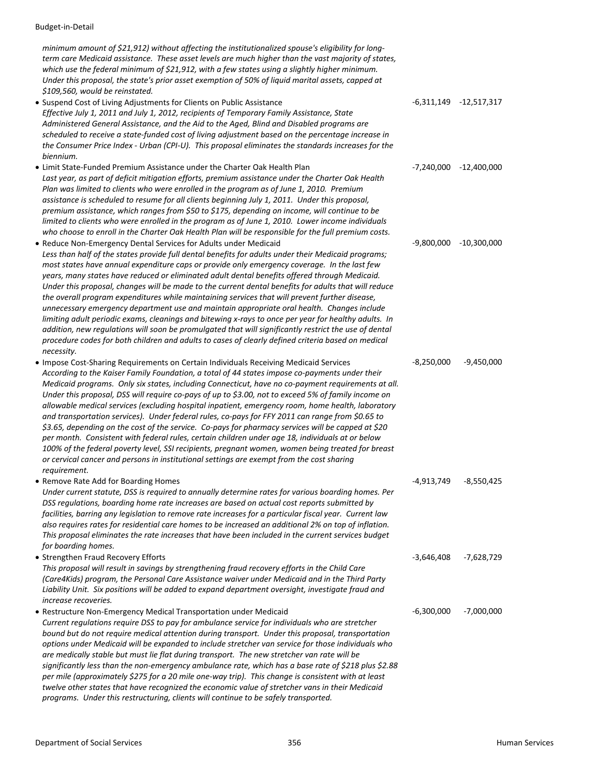*minimum amount of \$21,912) without affecting the institutionalized spouse's eligibility for long‐ term care Medicaid assistance. These asset levels are much higher than the vast majority of states, which use the federal minimum of \$21,912, with a few states using a slightly higher minimum. Under this proposal, the state's prior asset exemption of 50% of liquid marital assets, capped at \$109,560, would be reinstated.* • Suspend Cost of Living Adjustments for Clients on Public Assistance 65 11 16 11 16 11 16 11 16 11 17,517,317 *Effective July 1, 2011 and July 1, 2012, recipients of Temporary Family Assistance, State Administered General Assistance, and the Aid to the Aged, Blind and Disabled programs are scheduled to receive a state‐funded cost of living adjustment based on the percentage increase in* the Consumer Price Index - Urban (CPI-U). This proposal eliminates the standards increases for the *biennium.* • Limit State‐Funded Premium Assistance under the Charter Oak Health Plan ‐7,240,000 ‐12,400,000 *Last year, as part of deficit mitigation efforts, premium assistance under the Charter Oak Health Plan was limited to clients who were enrolled in the program as of June 1, 2010. Premium assistance is scheduled to resume for all clients beginning July 1, 2011. Under this proposal, premium assistance, which ranges from \$50 to \$175, depending on income, will continue to be limited to clients who were enrolled in the program as of June 1, 2010. Lower income individuals* who choose to enroll in the Charter Oak Health Plan will be responsible for the full premium costs. • Reduce Non-Emergency Dental Services for Adults under Medicaid example 19,800,000 -9,800,000 -10,300,000 -*Less than half of the states provide full dental benefits for adults under their Medicaid programs; most states have annual expenditure caps or provide only emergency coverage. In the last few years, many states have reduced or eliminated adult dental benefits offered through Medicaid. Under this proposal, changes will be made to the current dental benefits for adults that will reduce the overall program expenditures while maintaining services that will prevent further disease, unnecessary emergency department use and maintain appropriate oral health. Changes include* limiting adult periodic exams, cleanings and bitewing x-rays to once per year for healthy adults. In *addition, new regulations will soon be promulgated that will significantly restrict the use of dental procedure codes for both children and adults to cases of clearly defined criteria based on medical necessity.* • Impose Cost‐Sharing Requirements on Certain Individuals Receiving Medicaid Services ‐8,250,000 ‐9,450,000 *According to the Kaiser Family Foundation, a total of 44 states impose co‐payments under their Medicaid programs. Only six states, including Connecticut, have no co‐payment requirements at all.* Under this proposal, DSS will require co-pays of up to \$3.00, not to exceed 5% of family income on *allowable medical services (excluding hospital inpatient, emergency room, home health, laboratory and transportation services). Under federal rules, co‐pays for FFY 2011 can range from \$0.65 to* \$3.65, depending on the cost of the service. Co-pays for pharmacy services will be capped at \$20 *per month. Consistent with federal rules, certain children under age 18, individuals at or below 100% of the federal poverty level, SSI recipients, pregnant women, women being treated for breast or cervical cancer and persons in institutional settings are exempt from the cost sharing requirement.* • Remove Rate Add for Boarding Homes • 1999 6 1999 6 1999 6 1999 6 1999 6 1999 6 1999 6 1999 6 1999 6 1999 6 1 *Under current statute, DSS is required to annually determine rates for various boarding homes. Per DSS regulations, boarding home rate increases are based on actual cost reports submitted by facilities, barring any legislation to remove rate increases for a particular fiscal year. Current law* also requires rates for residential care homes to be increased an additional 2% on top of inflation. *This proposal eliminates the rate increases that have been included in the current services budget for boarding homes.* • Strengthen Fraud Recovery Efforts ‐3,646,408 ‐7,628,729 *This proposal will result in savings by strengthening fraud recovery efforts in the Child Care (Care4Kids) program, the Personal Care Assistance waiver under Medicaid and in the Third Party Liability Unit. Six positions will be added to expand department oversight, investigate fraud and increase recoveries.* • Restructure Non‐Emergency Medical Transportation under Medicaid ‐6,300,000 ‐7,000,000 *Current regulations require DSS to pay for ambulance service for individuals who are stretcher bound but do not require medical attention during transport. Under this proposal, transportation options under Medicaid will be expanded to include stretcher van service for those individuals who are medically stable but must lie flat during transport. The new stretcher van rate will be significantly less than the non‐emergency ambulance rate, which has a base rate of \$218 plus \$2.88* per mile (approximately \$275 for a 20 mile one-way trip). This change is consistent with at least *twelve other states that have recognized the economic value of stretcher vans in their Medicaid*

*programs. Under this restructuring, clients will continue to be safely transported.*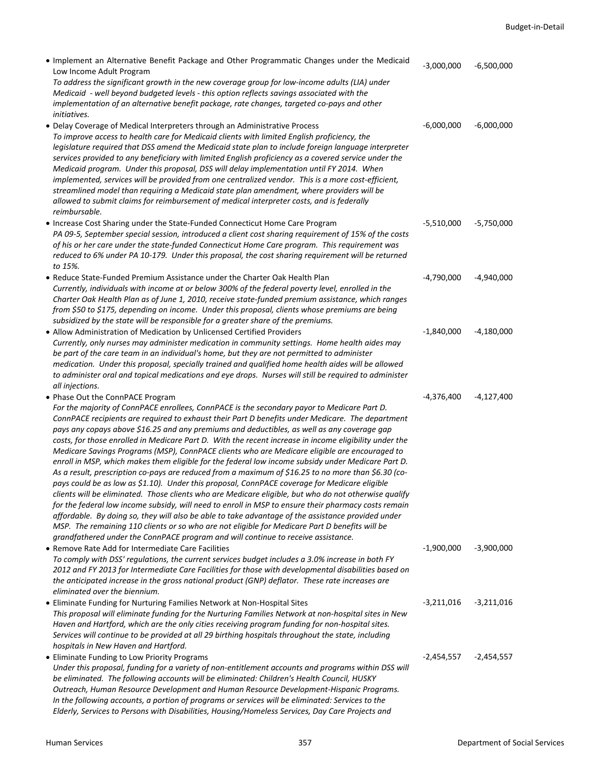| . Implement an Alternative Benefit Package and Other Programmatic Changes under the Medicaid<br>Low Income Adult Program<br>To address the significant growth in the new coverage group for low-income adults (LIA) under<br>Medicaid - well beyond budgeted levels - this option reflects savings associated with the<br>implementation of an alternative benefit package, rate changes, targeted co-pays and other<br>initiatives.                                                                                                                                                                                                                                                                                                                                                                                                                                                                                                                                                                                                                                                                                                                                                                                                             | $-3,000,000$ | $-6,500,000$ |
|--------------------------------------------------------------------------------------------------------------------------------------------------------------------------------------------------------------------------------------------------------------------------------------------------------------------------------------------------------------------------------------------------------------------------------------------------------------------------------------------------------------------------------------------------------------------------------------------------------------------------------------------------------------------------------------------------------------------------------------------------------------------------------------------------------------------------------------------------------------------------------------------------------------------------------------------------------------------------------------------------------------------------------------------------------------------------------------------------------------------------------------------------------------------------------------------------------------------------------------------------|--------------|--------------|
| • Delay Coverage of Medical Interpreters through an Administrative Process<br>To improve access to health care for Medicaid clients with limited English proficiency, the<br>legislature required that DSS amend the Medicaid state plan to include foreign language interpreter<br>services provided to any beneficiary with limited English proficiency as a covered service under the<br>Medicaid program. Under this proposal, DSS will delay implementation until FY 2014. When<br>implemented, services will be provided from one centralized vendor. This is a more cost-efficient,<br>streamlined model than requiring a Medicaid state plan amendment, where providers will be<br>allowed to submit claims for reimbursement of medical interpreter costs, and is federally<br>reimbursable.                                                                                                                                                                                                                                                                                                                                                                                                                                            | $-6,000,000$ | $-6,000,000$ |
| • Increase Cost Sharing under the State-Funded Connecticut Home Care Program<br>PA 09-5, September special session, introduced a client cost sharing requirement of 15% of the costs<br>of his or her care under the state-funded Connecticut Home Care program. This requirement was<br>reduced to 6% under PA 10-179. Under this proposal, the cost sharing requirement will be returned<br>to 15%.                                                                                                                                                                                                                                                                                                                                                                                                                                                                                                                                                                                                                                                                                                                                                                                                                                            | $-5,510,000$ | $-5,750,000$ |
| • Reduce State-Funded Premium Assistance under the Charter Oak Health Plan<br>Currently, individuals with income at or below 300% of the federal poverty level, enrolled in the<br>Charter Oak Health Plan as of June 1, 2010, receive state-funded premium assistance, which ranges<br>from \$50 to \$175, depending on income. Under this proposal, clients whose premiums are being<br>subsidized by the state will be responsible for a greater share of the premiums.                                                                                                                                                                                                                                                                                                                                                                                                                                                                                                                                                                                                                                                                                                                                                                       | $-4,790,000$ | $-4,940,000$ |
| • Allow Administration of Medication by Unlicensed Certified Providers<br>Currently, only nurses may administer medication in community settings. Home health aides may<br>be part of the care team in an individual's home, but they are not permitted to administer<br>medication. Under this proposal, specially trained and qualified home health aides will be allowed<br>to administer oral and topical medications and eye drops. Nurses will still be required to administer<br>all injections.                                                                                                                                                                                                                                                                                                                                                                                                                                                                                                                                                                                                                                                                                                                                          | $-1,840,000$ | $-4,180,000$ |
| • Phase Out the ConnPACE Program                                                                                                                                                                                                                                                                                                                                                                                                                                                                                                                                                                                                                                                                                                                                                                                                                                                                                                                                                                                                                                                                                                                                                                                                                 | $-4,376,400$ | $-4,127,400$ |
| For the majority of ConnPACE enrollees, ConnPACE is the secondary payor to Medicare Part D.<br>ConnPACE recipients are required to exhaust their Part D benefits under Medicare. The department<br>pays any copays above \$16.25 and any premiums and deductibles, as well as any coverage gap<br>costs, for those enrolled in Medicare Part D. With the recent increase in income eligibility under the<br>Medicare Savings Programs (MSP), ConnPACE clients who are Medicare eligible are encouraged to<br>enroll in MSP, which makes them eligible for the federal low income subsidy under Medicare Part D.<br>As a result, prescription co-pays are reduced from a maximum of \$16.25 to no more than \$6.30 (co-<br>pays could be as low as \$1.10). Under this proposal, ConnPACE coverage for Medicare eligible<br>clients will be eliminated. Those clients who are Medicare eligible, but who do not otherwise qualify<br>for the federal low income subsidy, will need to enroll in MSP to ensure their pharmacy costs remain<br>affordable. By doing so, they will also be able to take advantage of the assistance provided under<br>MSP. The remaining 110 clients or so who are not eligible for Medicare Part D benefits will be |              |              |
| grandfathered under the ConnPACE program and will continue to receive assistance.<br>• Remove Rate Add for Intermediate Care Facilities<br>To comply with DSS' regulations, the current services budget includes a 3.0% increase in both FY<br>2012 and FY 2013 for Intermediate Care Facilities for those with developmental disabilities based on<br>the anticipated increase in the gross national product (GNP) deflator. These rate increases are<br>eliminated over the biennium.                                                                                                                                                                                                                                                                                                                                                                                                                                                                                                                                                                                                                                                                                                                                                          | $-1,900,000$ | $-3,900,000$ |
| • Eliminate Funding for Nurturing Families Network at Non-Hospital Sites<br>This proposal will eliminate funding for the Nurturing Families Network at non-hospital sites in New<br>Haven and Hartford, which are the only cities receiving program funding for non-hospital sites.<br>Services will continue to be provided at all 29 birthing hospitals throughout the state, including<br>hospitals in New Haven and Hartford.                                                                                                                                                                                                                                                                                                                                                                                                                                                                                                                                                                                                                                                                                                                                                                                                                | $-3,211,016$ | $-3,211,016$ |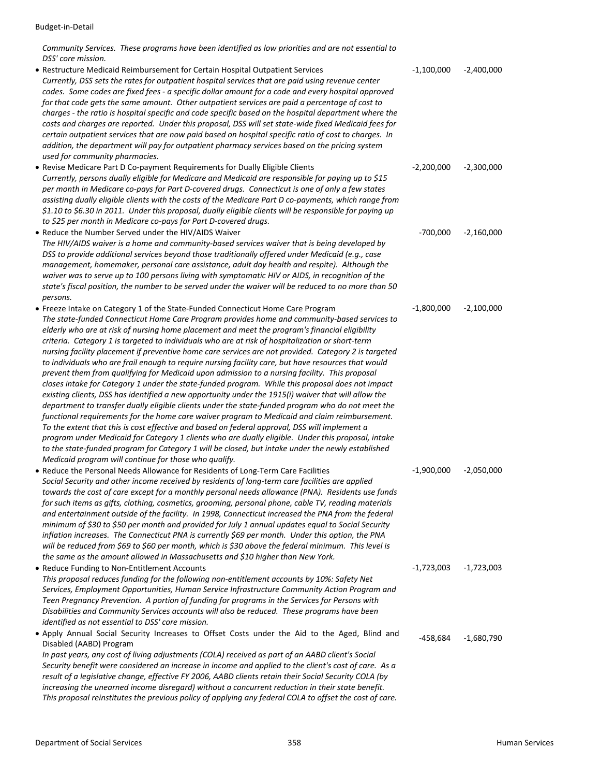*Community Services. These programs have been identified as low priorities and are not essential to DSS' core mission.* 

• Restructure Medicaid Reimbursement for Certain Hospital Outpatient Services ‐1,100,000 ‐2,400,000 *Currently, DSS sets the rates for outpatient hospital services that are paid using revenue center* codes. Some codes are fixed fees - a specific dollar amount for a code and every hospital approved *for that code gets the same amount. Other outpatient services are paid a percentage of cost to charges ‐ the ratio is hospital specific and code specific based on the hospital department where the* costs and charges are reported. Under this proposal, DSS will set state-wide fixed Medicaid fees for certain outpatient services that are now paid based on hospital specific ratio of cost to charges. In *addition, the department will pay for outpatient pharmacy services based on the pricing system used for community pharmacies.* • Revise Medicare Part D Co‐payment Requirements for Dually Eligible Clients ‐2,200,000 ‐2,300,000 *Currently, persons dually eligible for Medicare and Medicaid are responsible for paying up to \$15* per month in Medicare co-pays for Part D-covered drugs. Connecticut is one of only a few states assisting dually eligible clients with the costs of the Medicare Part D co-payments, which range from \$1.10 to \$6.30 in 2011. Under this proposal, dually eligible clients will be responsible for paying up *to \$25 per month in Medicare co‐pays for Part D‐covered drugs.* • Reduce the Number Served under the HIV/AIDS Waiver **•**700,000 **·2,160,000** ·2,160,000 *The HIV/AIDS waiver is a home and community‐based services waiver that is being developed by DSS to provide additional services beyond those traditionally offered under Medicaid (e.g., case management, homemaker, personal care assistance, adult day health and respite). Although the waiver was to serve up to 100 persons living with symptomatic HIV or AIDS, in recognition of the* state's fiscal position, the number to be served under the waiver will be reduced to no more than 50 *persons.* • Freeze Intake on Category 1 of the State‐Funded Connecticut Home Care Program ‐1,800,000 ‐2,100,000 *The state‐funded Connecticut Home Care Program provides home and community‐based services to elderly who are at risk of nursing home placement and meet the program's financial eligibility criteria. Category 1 is targeted to individuals who are at risk of hospitalization or short‐term nursing facility placement if preventive home care services are not provided. Category 2 is targeted to individuals who are frail enough to require nursing facility care, but have resources that would prevent them from qualifying for Medicaid upon admission to a nursing facility. This proposal closes intake for Category 1 under the state‐funded program. While this proposal does not impact existing clients, DSS has identified a new opportunity under the 1915(i) waiver that will allow the department to transfer dually eligible clients under the state‐funded program who do not meet the functional requirements for the home care waiver program to Medicaid and claim reimbursement. To the extent that this is cost effective and based on federal approval, DSS will implement a program under Medicaid for Category 1 clients who are dually eligible. Under this proposal, intake to the state‐funded program for Category 1 will be closed, but intake under the newly established Medicaid program will continue for those who qualify.* • Reduce the Personal Needs Allowance for Residents of Long‐Term Care Facilities ‐1,900,000 ‐2,050,000 *Social Security and other income received by residents of long‐term care facilities are applied towards the cost of care except for a monthly personal needs allowance (PNA). Residents use funds for such items as gifts, clothing, cosmetics, grooming, personal phone, cable TV, reading materials and entertainment outside of the facility. In 1998, Connecticut increased the PNA from the federal minimum of \$30 to \$50 per month and provided for July 1 annual updates equal to Social Security inflation increases. The Connecticut PNA is currently \$69 per month. Under this option, the PNA* will be reduced from \$69 to \$60 per month, which is \$30 above the federal minimum. This level is *the same as the amount allowed in Massachusetts and \$10 higher than New York.* • Reduce Funding to Non‐Entitlement Accounts ‐1,723,003 ‐1,723,003 *This proposal reduces funding for the following non‐entitlement accounts by 10%: Safety Net Services, Employment Opportunities, Human Service Infrastructure Community Action Program and Teen Pregnancy Prevention. A portion of funding for programs in the Services for Persons with Disabilities and Community Services accounts will also be reduced. These programs have been identified as not essential to DSS' core mission.* • Apply Annual Social Security Increases to Offset Costs under the Aid to the Aged, Blind and Disabled (AABD) Program ‐458,684 ‐1,680,790 *In past years, any cost of living adjustments (COLA) received as part of an AABD client's Social* Security benefit were considered an increase in income and applied to the client's cost of care. As a *result of a legislative change, effective FY 2006, AABD clients retain their Social Security COLA (by increasing the unearned income disregard) without a concurrent reduction in their state benefit. This proposal reinstitutes the previous policy of applying any federal COLA to offset the cost of care.*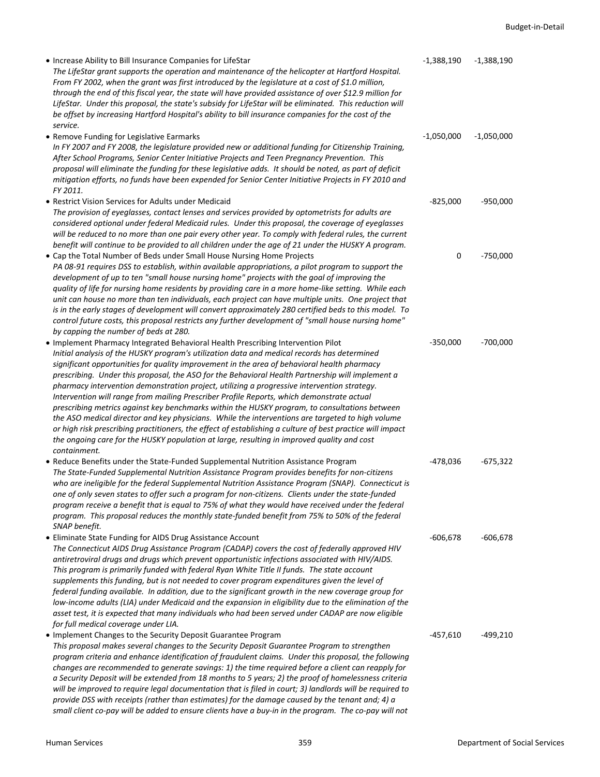| • Increase Ability to Bill Insurance Companies for LifeStar<br>The LifeStar grant supports the operation and maintenance of the helicopter at Hartford Hospital.<br>From FY 2002, when the grant was first introduced by the legislature at a cost of \$1.0 million,<br>through the end of this fiscal year, the state will have provided assistance of over \$12.9 million for<br>LifeStar. Under this proposal, the state's subsidy for LifeStar will be eliminated. This reduction will<br>be offset by increasing Hartford Hospital's ability to bill insurance companies for the cost of the                                                                                                                                                                                                                                                                                                                                                                                                              | $-1,388,190$ | $-1,388,190$ |
|----------------------------------------------------------------------------------------------------------------------------------------------------------------------------------------------------------------------------------------------------------------------------------------------------------------------------------------------------------------------------------------------------------------------------------------------------------------------------------------------------------------------------------------------------------------------------------------------------------------------------------------------------------------------------------------------------------------------------------------------------------------------------------------------------------------------------------------------------------------------------------------------------------------------------------------------------------------------------------------------------------------|--------------|--------------|
| service.<br>• Remove Funding for Legislative Earmarks<br>In FY 2007 and FY 2008, the legislature provided new or additional funding for Citizenship Training,<br>After School Programs, Senior Center Initiative Projects and Teen Pregnancy Prevention. This<br>proposal will eliminate the funding for these legislative adds. It should be noted, as part of deficit<br>mitigation efforts, no funds have been expended for Senior Center Initiative Projects in FY 2010 and<br>FY 2011.                                                                                                                                                                                                                                                                                                                                                                                                                                                                                                                    | $-1,050,000$ | $-1,050,000$ |
| • Restrict Vision Services for Adults under Medicaid<br>The provision of eyeglasses, contact lenses and services provided by optometrists for adults are<br>considered optional under federal Medicaid rules. Under this proposal, the coverage of eyeglasses<br>will be reduced to no more than one pair every other year. To comply with federal rules, the current<br>benefit will continue to be provided to all children under the age of 21 under the HUSKY A program.                                                                                                                                                                                                                                                                                                                                                                                                                                                                                                                                   | $-825,000$   | $-950,000$   |
| • Cap the Total Number of Beds under Small House Nursing Home Projects<br>PA 08-91 requires DSS to establish, within available appropriations, a pilot program to support the<br>development of up to ten "small house nursing home" projects with the goal of improving the<br>quality of life for nursing home residents by providing care in a more home-like setting. While each<br>unit can house no more than ten individuals, each project can have multiple units. One project that<br>is in the early stages of development will convert approximately 280 certified beds to this model. To<br>control future costs, this proposal restricts any further development of "small house nursing home"<br>by capping the number of beds at 280.                                                                                                                                                                                                                                                           | $\mathbf 0$  | $-750,000$   |
| . Implement Pharmacy Integrated Behavioral Health Prescribing Intervention Pilot<br>Initial analysis of the HUSKY program's utilization data and medical records has determined<br>significant opportunities for quality improvement in the area of behavioral health pharmacy<br>prescribing. Under this proposal, the ASO for the Behavioral Health Partnership will implement a<br>pharmacy intervention demonstration project, utilizing a progressive intervention strategy.<br>Intervention will range from mailing Prescriber Profile Reports, which demonstrate actual<br>prescribing metrics against key benchmarks within the HUSKY program, to consultations between<br>the ASO medical director and key physicians. While the interventions are targeted to high volume<br>or high risk prescribing practitioners, the effect of establishing a culture of best practice will impact<br>the ongoing care for the HUSKY population at large, resulting in improved quality and cost<br>containment. | $-350,000$   | $-700,000$   |
| • Reduce Benefits under the State-Funded Supplemental Nutrition Assistance Program<br>The State-Funded Supplemental Nutrition Assistance Program provides benefits for non-citizens<br>who are ineligible for the federal Supplemental Nutrition Assistance Program (SNAP). Connecticut is<br>one of only seven states to offer such a program for non-citizens. Clients under the state-funded<br>program receive a benefit that is equal to 75% of what they would have received under the federal<br>program. This proposal reduces the monthly state-funded benefit from 75% to 50% of the federal<br>SNAP benefit.                                                                                                                                                                                                                                                                                                                                                                                        | -478,036     | $-675,322$   |
| • Eliminate State Funding for AIDS Drug Assistance Account<br>The Connecticut AIDS Drug Assistance Program (CADAP) covers the cost of federally approved HIV<br>antiretroviral drugs and drugs which prevent opportunistic infections associated with HIV/AIDS.<br>This program is primarily funded with federal Ryan White Title II funds. The state account<br>supplements this funding, but is not needed to cover program expenditures given the level of<br>federal funding available. In addition, due to the significant growth in the new coverage group for<br>low-income adults (LIA) under Medicaid and the expansion in eligibility due to the elimination of the<br>asset test, it is expected that many individuals who had been served under CADAP are now eligible<br>for full medical coverage under LIA.                                                                                                                                                                                     | $-606,678$   | -606,678     |
| • Implement Changes to the Security Deposit Guarantee Program<br>This proposal makes several changes to the Security Deposit Guarantee Program to strengthen<br>program criteria and enhance identification of fraudulent claims. Under this proposal, the following<br>changes are recommended to generate savings: 1) the time required before a client can reapply for<br>a Security Deposit will be extended from 18 months to 5 years; 2) the proof of homelessness criteria<br>will be improved to require legal documentation that is filed in court; 3) landlords will be required to<br>provide DSS with receipts (rather than estimates) for the damage caused by the tenant and; 4) a<br>small client co-pay will be added to ensure clients have a buy-in in the program. The co-pay will not                                                                                                                                                                                                      | $-457,610$   | $-499,210$   |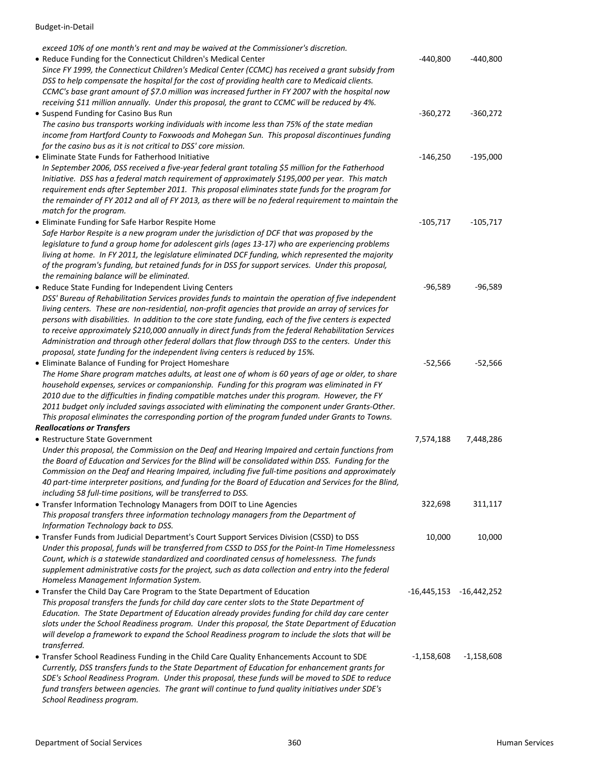| exceed 10% of one month's rent and may be waived at the Commissioner's discretion.                                                                                                                                                                                                                                                                                                                                                                                                                                                 |                             |              |
|------------------------------------------------------------------------------------------------------------------------------------------------------------------------------------------------------------------------------------------------------------------------------------------------------------------------------------------------------------------------------------------------------------------------------------------------------------------------------------------------------------------------------------|-----------------------------|--------------|
| • Reduce Funding for the Connecticut Children's Medical Center<br>Since FY 1999, the Connecticut Children's Medical Center (CCMC) has received a grant subsidy from<br>DSS to help compensate the hospital for the cost of providing health care to Medicaid clients.<br>CCMC's base grant amount of \$7.0 million was increased further in FY 2007 with the hospital now<br>receiving \$11 million annually. Under this proposal, the grant to CCMC will be reduced by 4%.                                                        | $-440,800$                  | $-440,800$   |
| • Suspend Funding for Casino Bus Run                                                                                                                                                                                                                                                                                                                                                                                                                                                                                               | $-360,272$                  | $-360,272$   |
| The casino bus transports working individuals with income less than 75% of the state median<br>income from Hartford County to Foxwoods and Mohegan Sun. This proposal discontinues funding                                                                                                                                                                                                                                                                                                                                         |                             |              |
| for the casino bus as it is not critical to DSS' core mission.                                                                                                                                                                                                                                                                                                                                                                                                                                                                     |                             |              |
| • Eliminate State Funds for Fatherhood Initiative                                                                                                                                                                                                                                                                                                                                                                                                                                                                                  | $-146,250$                  | $-195,000$   |
| In September 2006, DSS received a five-year federal grant totaling \$5 million for the Fatherhood<br>Initiative. DSS has a federal match requirement of approximately \$195,000 per year. This match                                                                                                                                                                                                                                                                                                                               |                             |              |
| requirement ends after September 2011. This proposal eliminates state funds for the program for<br>the remainder of FY 2012 and all of FY 2013, as there will be no federal requirement to maintain the<br>match for the program.                                                                                                                                                                                                                                                                                                  |                             |              |
|                                                                                                                                                                                                                                                                                                                                                                                                                                                                                                                                    |                             |              |
| • Eliminate Funding for Safe Harbor Respite Home                                                                                                                                                                                                                                                                                                                                                                                                                                                                                   | $-105,717$                  | $-105,717$   |
| Safe Harbor Respite is a new program under the jurisdiction of DCF that was proposed by the<br>legislature to fund a group home for adolescent girls (ages 13-17) who are experiencing problems<br>living at home. In FY 2011, the legislature eliminated DCF funding, which represented the majority<br>of the program's funding, but retained funds for in DSS for support services. Under this proposal,<br>the remaining balance will be eliminated.                                                                           |                             |              |
| • Reduce State Funding for Independent Living Centers                                                                                                                                                                                                                                                                                                                                                                                                                                                                              | $-96,589$                   | $-96,589$    |
| DSS' Bureau of Rehabilitation Services provides funds to maintain the operation of five independent<br>living centers. These are non-residential, non-profit agencies that provide an array of services for<br>persons with disabilities. In addition to the core state funding, each of the five centers is expected<br>to receive approximately \$210,000 annually in direct funds from the federal Rehabilitation Services<br>Administration and through other federal dollars that flow through DSS to the centers. Under this |                             |              |
| proposal, state funding for the independent living centers is reduced by 15%.                                                                                                                                                                                                                                                                                                                                                                                                                                                      |                             |              |
| • Eliminate Balance of Funding for Project Homeshare<br>The Home Share program matches adults, at least one of whom is 60 years of age or older, to share                                                                                                                                                                                                                                                                                                                                                                          | $-52,566$                   | $-52,566$    |
| household expenses, services or companionship. Funding for this program was eliminated in FY<br>2010 due to the difficulties in finding compatible matches under this program. However, the FY<br>2011 budget only included savings associated with eliminating the component under Grants-Other.                                                                                                                                                                                                                                  |                             |              |
| This proposal eliminates the corresponding portion of the program funded under Grants to Towns.                                                                                                                                                                                                                                                                                                                                                                                                                                    |                             |              |
| <b>Reallocations or Transfers</b>                                                                                                                                                                                                                                                                                                                                                                                                                                                                                                  |                             |              |
| • Restructure State Government                                                                                                                                                                                                                                                                                                                                                                                                                                                                                                     | 7,574,188                   | 7,448,286    |
| Under this proposal, the Commission on the Deaf and Hearing Impaired and certain functions from<br>the Board of Education and Services for the Blind will be consolidated within DSS. Funding for the<br>Commission on the Deaf and Hearing Impaired, including five full-time positions and approximately<br>40 part-time interpreter positions, and funding for the Board of Education and Services for the Blind,                                                                                                               |                             |              |
| including 58 full-time positions, will be transferred to DSS.                                                                                                                                                                                                                                                                                                                                                                                                                                                                      |                             |              |
| • Transfer Information Technology Managers from DOIT to Line Agencies<br>This proposal transfers three information technology managers from the Department of<br>Information Technology back to DSS.                                                                                                                                                                                                                                                                                                                               | 322,698                     | 311,117      |
| • Transfer Funds from Judicial Department's Court Support Services Division (CSSD) to DSS<br>Under this proposal, funds will be transferred from CSSD to DSS for the Point-In Time Homelessness<br>Count, which is a statewide standardized and coordinated census of homelessness. The funds<br>supplement administrative costs for the project, such as data collection and entry into the federal<br>Homeless Management Information System.                                                                                    | 10,000                      | 10,000       |
| • Transfer the Child Day Care Program to the State Department of Education                                                                                                                                                                                                                                                                                                                                                                                                                                                         | $-16,445,153$ $-16,442,252$ |              |
| This proposal transfers the funds for child day care center slots to the State Department of<br>Education. The State Department of Education already provides funding for child day care center<br>slots under the School Readiness program. Under this proposal, the State Department of Education<br>will develop a framework to expand the School Readiness program to include the slots that will be<br>transferred.                                                                                                           |                             |              |
| . Transfer School Readiness Funding in the Child Care Quality Enhancements Account to SDE<br>Currently, DSS transfers funds to the State Department of Education for enhancement grants for<br>SDE's School Readiness Program. Under this proposal, these funds will be moved to SDE to reduce<br>fund transfers between agencies. The grant will continue to fund quality initiatives under SDE's<br>School Readiness program.                                                                                                    | -1,158,608                  | $-1,158,608$ |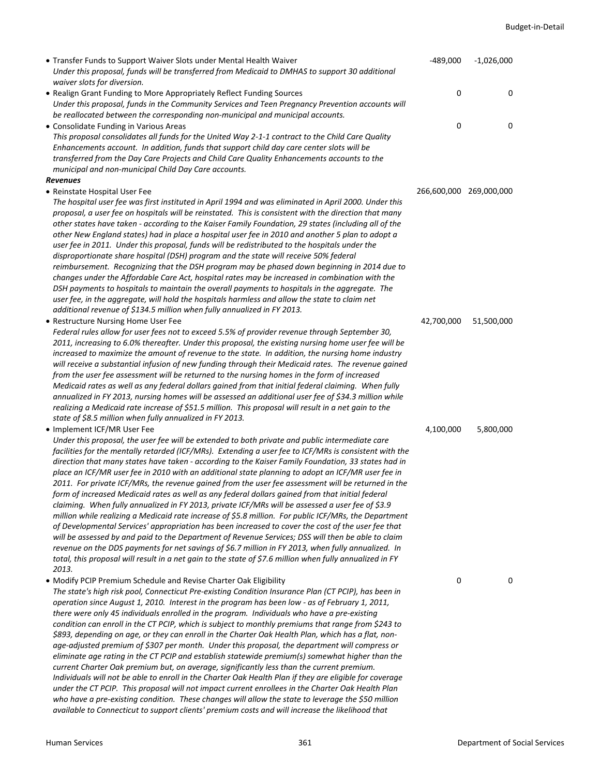| • Transfer Funds to Support Waiver Slots under Mental Health Waiver<br>Under this proposal, funds will be transferred from Medicaid to DMHAS to support 30 additional<br>waiver slots for diversion.                                                                                                                                                                                                                                                                                                                                                                                                                                                                                                                                                                                                                                                                                                                                                                                                                                                                                                                                                                                                                                                                                                              | $-489,000$              | $-1,026,000$ |
|-------------------------------------------------------------------------------------------------------------------------------------------------------------------------------------------------------------------------------------------------------------------------------------------------------------------------------------------------------------------------------------------------------------------------------------------------------------------------------------------------------------------------------------------------------------------------------------------------------------------------------------------------------------------------------------------------------------------------------------------------------------------------------------------------------------------------------------------------------------------------------------------------------------------------------------------------------------------------------------------------------------------------------------------------------------------------------------------------------------------------------------------------------------------------------------------------------------------------------------------------------------------------------------------------------------------|-------------------------|--------------|
| • Realign Grant Funding to More Appropriately Reflect Funding Sources<br>Under this proposal, funds in the Community Services and Teen Pregnancy Prevention accounts will<br>be reallocated between the corresponding non-municipal and municipal accounts.                                                                                                                                                                                                                                                                                                                                                                                                                                                                                                                                                                                                                                                                                                                                                                                                                                                                                                                                                                                                                                                       | 0                       | 0            |
| • Consolidate Funding in Various Areas<br>This proposal consolidates all funds for the United Way 2-1-1 contract to the Child Care Quality<br>Enhancements account. In addition, funds that support child day care center slots will be<br>transferred from the Day Care Projects and Child Care Quality Enhancements accounts to the<br>municipal and non-municipal Child Day Care accounts.                                                                                                                                                                                                                                                                                                                                                                                                                                                                                                                                                                                                                                                                                                                                                                                                                                                                                                                     | 0                       | 0            |
| <b>Revenues</b>                                                                                                                                                                                                                                                                                                                                                                                                                                                                                                                                                                                                                                                                                                                                                                                                                                                                                                                                                                                                                                                                                                                                                                                                                                                                                                   |                         |              |
| • Reinstate Hospital User Fee<br>The hospital user fee was first instituted in April 1994 and was eliminated in April 2000. Under this<br>proposal, a user fee on hospitals will be reinstated. This is consistent with the direction that many<br>other states have taken - according to the Kaiser Family Foundation, 29 states (including all of the<br>other New England states) had in place a hospital user fee in 2010 and another 5 plan to adopt a<br>user fee in 2011. Under this proposal, funds will be redistributed to the hospitals under the<br>disproportionate share hospital (DSH) program and the state will receive 50% federal<br>reimbursement. Recognizing that the DSH program may be phased down beginning in 2014 due to<br>changes under the Affordable Care Act, hospital rates may be increased in combination with the<br>DSH payments to hospitals to maintain the overall payments to hospitals in the aggregate. The<br>user fee, in the aggregate, will hold the hospitals harmless and allow the state to claim net                                                                                                                                                                                                                                                           | 266,600,000 269,000,000 |              |
| additional revenue of \$134.5 million when fully annualized in FY 2013.                                                                                                                                                                                                                                                                                                                                                                                                                                                                                                                                                                                                                                                                                                                                                                                                                                                                                                                                                                                                                                                                                                                                                                                                                                           |                         |              |
| • Restructure Nursing Home User Fee<br>Federal rules allow for user fees not to exceed 5.5% of provider revenue through September 30,<br>2011, increasing to 6.0% thereafter. Under this proposal, the existing nursing home user fee will be<br>increased to maximize the amount of revenue to the state. In addition, the nursing home industry<br>will receive a substantial infusion of new funding through their Medicaid rates. The revenue gained<br>from the user fee assessment will be returned to the nursing homes in the form of increased<br>Medicaid rates as well as any federal dollars gained from that initial federal claiming. When fully<br>annualized in FY 2013, nursing homes will be assessed an additional user fee of \$34.3 million while<br>realizing a Medicaid rate increase of \$51.5 million. This proposal will result in a net gain to the                                                                                                                                                                                                                                                                                                                                                                                                                                    | 42,700,000              | 51,500,000   |
| state of \$8.5 million when fully annualized in FY 2013.<br>• Implement ICF/MR User Fee                                                                                                                                                                                                                                                                                                                                                                                                                                                                                                                                                                                                                                                                                                                                                                                                                                                                                                                                                                                                                                                                                                                                                                                                                           | 4,100,000               | 5,800,000    |
| Under this proposal, the user fee will be extended to both private and public intermediate care<br>facilities for the mentally retarded (ICF/MRs). Extending a user fee to ICF/MRs is consistent with the<br>direction that many states have taken - according to the Kaiser Family Foundation, 33 states had in<br>place an ICF/MR user fee in 2010 with an additional state planning to adopt an ICF/MR user fee in<br>2011. For private ICF/MRs, the revenue gained from the user fee assessment will be returned in the<br>form of increased Medicaid rates as well as any federal dollars gained from that initial federal<br>claiming. When fully annualized in FY 2013, private ICF/MRs will be assessed a user fee of \$3.9<br>million while realizing a Medicaid rate increase of \$5.8 million. For public ICF/MRs, the Department<br>of Developmental Services' appropriation has been increased to cover the cost of the user fee that<br>will be assessed by and paid to the Department of Revenue Services; DSS will then be able to claim<br>revenue on the DDS payments for net savings of \$6.7 million in FY 2013, when fully annualized. In<br>total, this proposal will result in a net gain to the state of \$7.6 million when fully annualized in FY<br>2013.                               |                         |              |
| • Modify PCIP Premium Schedule and Revise Charter Oak Eligibility<br>The state's high risk pool, Connecticut Pre-existing Condition Insurance Plan (CT PCIP), has been in<br>operation since August 1, 2010. Interest in the program has been low - as of February 1, 2011,<br>there were only 45 individuals enrolled in the program. Individuals who have a pre-existing<br>condition can enroll in the CT PCIP, which is subject to monthly premiums that range from \$243 to<br>\$893, depending on age, or they can enroll in the Charter Oak Health Plan, which has a flat, non-<br>age-adjusted premium of \$307 per month. Under this proposal, the department will compress or<br>eliminate age rating in the CT PCIP and establish statewide premium(s) somewhat higher than the<br>current Charter Oak premium but, on average, significantly less than the current premium.<br>Individuals will not be able to enroll in the Charter Oak Health Plan if they are eligible for coverage<br>under the CT PCIP. This proposal will not impact current enrollees in the Charter Oak Health Plan<br>who have a pre-existing condition. These changes will allow the state to leverage the \$50 million<br>available to Connecticut to support clients' premium costs and will increase the likelihood that | 0                       | 0            |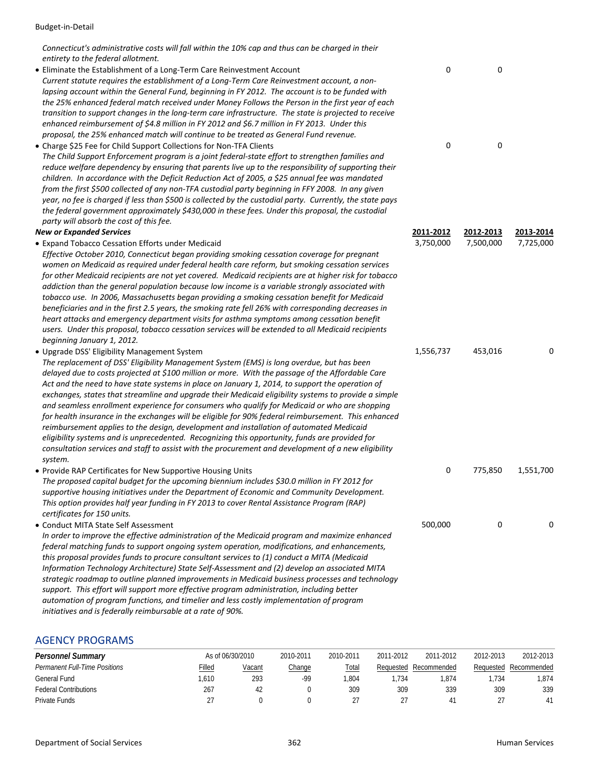*Connecticut's administrative costs will fall within the 10% cap and thus can be charged in their entirety to the federal allotment.*

- Eliminate the Establishment of a Long‐Term Care Reinvestment Account 0 0 *Current statute requires the establishment of a Long‐Term Care Reinvestment account, a non‐ lapsing account within the General Fund, beginning in FY 2012. The account is to be funded with the 25% enhanced federal match received under Money Follows the Person in the first year of each* transition to support changes in the long-term care infrastructure. The state is projected to receive *enhanced reimbursement of \$4.8 million in FY 2012 and \$6.7 million in FY 2013. Under this proposal, the 25% enhanced match will continue to be treated as General Fund revenue.*
- Charge \$25 Fee for Child Support Collections for Non‐TFA Clients 0 0 *The Child Support Enforcement program is a joint federal‐state effort to strengthen families and reduce welfare dependency by ensuring that parents live up to the responsibility of supporting their children. In accordance with the Deficit Reduction Act of 2005, a \$25 annual fee was mandated* from the first \$500 collected of any non-TFA custodial party beginning in FFY 2008. In any given year, no fee is charged if less than \$500 is collected by the custodial party. Currently, the state pays *the federal government approximately \$430,000 in these fees. Under this proposal, the custodial party will absorb the cost of this fee.*

#### *New or Expanded Services* **2011‐2012 2012‐2013 2013‐2014**

• Expand Tobacco Cessation Efforts under Medicaid 3,750,000 7,500,000 7,725,000

*Effective October 2010, Connecticut began providing smoking cessation coverage for pregnant women on Medicaid as required under federal health care reform, but smoking cessation services for other Medicaid recipients are not yet covered. Medicaid recipients are at higher risk for tobacco addiction than the general population because low income is a variable strongly associated with tobacco use. In 2006, Massachusetts began providing a smoking cessation benefit for Medicaid beneficiaries and in the first 2.5 years, the smoking rate fell 26% with corresponding decreases in heart attacks and emergency department visits for asthma symptoms among cessation benefit users. Under this proposal, tobacco cessation services will be extended to all Medicaid recipients beginning January 1, 2012.*

• Upgrade DSS' Eligibility Management System 1,556,737 automobility of the Upgrade DSS' Eligibility Management System *The replacement of DSS' Eligibility Management System (EMS) is long overdue, but has been delayed due to costs projected at \$100 million or more. With the passage of the Affordable Care* Act and the need to have state systems in place on January 1, 2014, to support the operation of *exchanges, states that streamline and upgrade their Medicaid eligibility systems to provide a simple and seamless enrollment experience for consumers who qualify for Medicaid or who are shopping for health insurance in the exchanges will be eligible for 90% federal reimbursement. This enhanced reimbursement applies to the design, development and installation of automated Medicaid eligibility systems and is unprecedented. Recognizing this opportunity, funds are provided for consultation services and staff to assist with the procurement and development of a new eligibility system.* • Provide RAP Certificates for New Supportive Housing Units 0 775,850 1,551,700

*The proposed capital budget for the upcoming biennium includes \$30.0 million in FY 2012 for supportive housing initiatives under the Department of Economic and Community Development. This option provides half year funding in FY 2013 to cover Rental Assistance Program (RAP) certificates for 150 units.*

• Conduct MITA State Self Assessment 500,000 0 0

*In order to improve the effective administration of the Medicaid program and maximize enhanced federal matching funds to support ongoing system operation, modifications, and enhancements, this proposal provides funds to procure consultant services to (1) conduct a MITA (Medicaid Information Technology Architecture) State Self‐Assessment and (2) develop an associated MITA strategic roadmap to outline planned improvements in Medicaid business processes and technology support. This effort will support more effective program administration, including better automation of program functions, and timelier and less costly implementation of program initiatives and is federally reimbursable at a rate of 90%.*

#### AGENCY PROGRAMS

| <b>Personnel Summary</b>             |        | As of 06/30/2010 | 2010-2011 | 2010-2011 | 2011-2012 | 2011-2012   | 2012-2013 | 2012-2013             |
|--------------------------------------|--------|------------------|-----------|-----------|-----------|-------------|-----------|-----------------------|
| <b>Permanent Full-Time Positions</b> | Filled | Vacant           | Change    | Total     | Reauested | Recommended |           | Requested Recommended |
| General Fund                         | .610   | 293              | -99       | .804      | .734      | .874        | .734      | .874                  |
| <b>Federal Contributions</b>         | 267    | 42               |           | 309       | 309       | 339         | 309       | 339                   |
| Private Funds                        |        |                  |           |           |           | 41          |           |                       |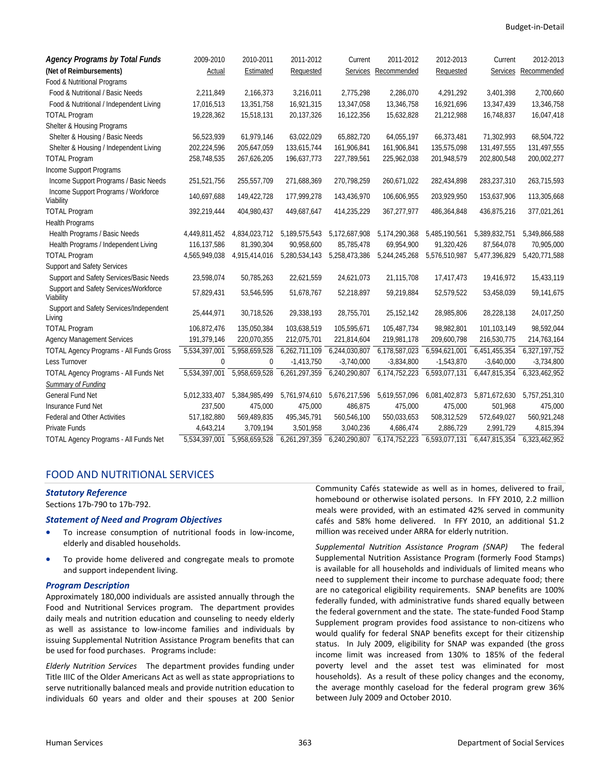| <b>Agency Programs by Total Funds</b>              | 2009-2010     | 2010-2011     | 2011-2012     | Current       | 2011-2012            | 2012-2013     | Current         | 2012-2013     |
|----------------------------------------------------|---------------|---------------|---------------|---------------|----------------------|---------------|-----------------|---------------|
| (Net of Reimbursements)                            | Actual        | Estimated     | Requested     |               | Services Recommended | Requested     | <b>Services</b> | Recommended   |
| Food & Nutritional Programs                        |               |               |               |               |                      |               |                 |               |
| Food & Nutritional / Basic Needs                   | 2,211,849     | 2,166,373     | 3,216,011     | 2,775,298     | 2,286,070            | 4,291,292     | 3,401,398       | 2,700,660     |
| Food & Nutritional / Independent Living            | 17,016,513    | 13,351,758    | 16,921,315    | 13,347,058    | 13,346,758           | 16,921,696    | 13,347,439      | 13,346,758    |
| <b>TOTAL Program</b>                               | 19,228,362    | 15,518,131    | 20,137,326    | 16,122,356    | 15,632,828           | 21,212,988    | 16,748,837      | 16,047,418    |
| Shelter & Housing Programs                         |               |               |               |               |                      |               |                 |               |
| Shelter & Housing / Basic Needs                    | 56,523,939    | 61,979,146    | 63,022,029    | 65,882,720    | 64,055,197           | 66,373,481    | 71,302,993      | 68,504,722    |
| Shelter & Housing / Independent Living             | 202,224,596   | 205,647,059   | 133,615,744   | 161,906,841   | 161,906,841          | 135,575,098   | 131,497,555     | 131,497,555   |
| <b>TOTAL Program</b>                               | 258,748,535   | 267,626,205   | 196,637,773   | 227,789,561   | 225,962,038          | 201,948,579   | 202,800,548     | 200,002,277   |
| Income Support Programs                            |               |               |               |               |                      |               |                 |               |
| Income Support Programs / Basic Needs              | 251,521,756   | 255,557,709   | 271,688,369   | 270,798,259   | 260,671,022          | 282,434,898   | 283,237,310     | 263,715,593   |
| Income Support Programs / Workforce<br>Viability   | 140,697,688   | 149,422,728   | 177,999,278   | 143,436,970   | 106,606,955          | 203,929,950   | 153,637,906     | 113,305,668   |
| <b>TOTAL Program</b>                               | 392,219,444   | 404,980,437   | 449,687,647   | 414,235,229   | 367,277,977          | 486,364,848   | 436,875,216     | 377,021,261   |
| <b>Health Programs</b>                             |               |               |               |               |                      |               |                 |               |
| Health Programs / Basic Needs                      | 4,449,811,452 | 4,834,023,712 | 5,189,575,543 | 5,172,687,908 | 5,174,290,368        | 5,485,190,561 | 5,389,832,751   | 5,349,866,588 |
| Health Programs / Independent Living               | 116,137,586   | 81,390,304    | 90,958,600    | 85,785,478    | 69,954,900           | 91,320,426    | 87,564,078      | 70,905,000    |
| <b>TOTAL Program</b>                               | 4,565,949,038 | 4,915,414,016 | 5,280,534,143 | 5,258,473,386 | 5,244,245,268        | 5,576,510,987 | 5,477,396,829   | 5,420,771,588 |
| Support and Safety Services                        |               |               |               |               |                      |               |                 |               |
| Support and Safety Services/Basic Needs            | 23,598,074    | 50,785,263    | 22,621,559    | 24,621,073    | 21,115,708           | 17,417,473    | 19,416,972      | 15,433,119    |
| Support and Safety Services/Workforce<br>Viability | 57,829,431    | 53,546,595    | 51,678,767    | 52,218,897    | 59,219,884           | 52,579,522    | 53,458,039      | 59,141,675    |
| Support and Safety Services/Independent<br>Living  | 25,444,971    | 30,718,526    | 29,338,193    | 28,755,701    | 25, 152, 142         | 28,985,806    | 28,228,138      | 24,017,250    |
| <b>TOTAL Program</b>                               | 106,872,476   | 135,050,384   | 103,638,519   | 105,595,671   | 105,487,734          | 98.982.801    | 101.103.149     | 98,592,044    |
| <b>Agency Management Services</b>                  | 191,379,146   | 220,070,355   | 212,075,701   | 221,814,604   | 219,981,178          | 209,600,798   | 216,530,775     | 214,763,164   |
| <b>TOTAL Agency Programs - All Funds Gross</b>     | 5,534,397,001 | 5,958,659,528 | 6,262,711,109 | 6,244,030,807 | 6,178,587,023        | 6,594,621,001 | 6,451,455,354   | 6,327,197,752 |
| Less Turnover                                      | 0             | $\mathbf 0$   | $-1,413,750$  | $-3,740,000$  | $-3,834,800$         | $-1,543,870$  | $-3,640,000$    | $-3,734,800$  |
| TOTAL Agency Programs - All Funds Net              | 5,534,397,001 | 5,958,659,528 | 6,261,297,359 | 6,240,290,807 | 6,174,752,223        | 6,593,077,131 | 6,447,815,354   | 6,323,462,952 |
| Summary of Funding                                 |               |               |               |               |                      |               |                 |               |
| <b>General Fund Net</b>                            | 5,012,333,407 | 5,384,985,499 | 5,761,974,610 | 5,676,217,596 | 5,619,557,096        | 6,081,402,873 | 5,871,672,630   | 5,757,251,310 |
| Insurance Fund Net                                 | 237,500       | 475,000       | 475,000       | 486,875       | 475,000              | 475,000       | 501,968         | 475,000       |
| Federal and Other Activities                       | 517,182,880   | 569,489,835   | 495,345,791   | 560,546,100   | 550,033,653          | 508,312,529   | 572,649,027     | 560,921,248   |
| Private Funds                                      | 4,643,214     | 3,709,194     | 3,501,958     | 3,040,236     | 4,686,474            | 2,886,729     | 2,991,729       | 4,815,394     |
| <b>TOTAL Agency Programs - All Funds Net</b>       | 5,534,397,001 | 5,958,659,528 | 6,261,297,359 | 6,240,290,807 | 6,174,752,223        | 6,593,077,131 | 6,447,815,354   | 6,323,462,952 |

#### FOOD AND NUTRITIONAL SERVICES

#### *Statutory Reference*

Sections 17b‐790 to 17b‐792.

#### *Statement of Need and Program Objectives*

- To increase consumption of nutritional foods in low-income, elderly and disabled households.
- To provide home delivered and congregate meals to promote and support independent living.

#### *Program Description*

Approximately 180,000 individuals are assisted annually through the Food and Nutritional Services program. The department provides daily meals and nutrition education and counseling to needy elderly as well as assistance to low‐income families and individuals by issuing Supplemental Nutrition Assistance Program benefits that can be used for food purchases. Programs include:

*Elderly Nutrition Services* The department provides funding under Title IIIC of the Older Americans Act as well as state appropriations to serve nutritionally balanced meals and provide nutrition education to individuals 60 years and older and their spouses at 200 Senior

Community Cafés statewide as well as in homes, delivered to frail, homebound or otherwise isolated persons. In FFY 2010, 2.2 million meals were provided, with an estimated 42% served in community cafés and 58% home delivered. In FFY 2010, an additional \$1.2 million was received under ARRA for elderly nutrition.

*Supplemental Nutrition Assistance Program (SNAP)*  The federal Supplemental Nutrition Assistance Program (formerly Food Stamps) is available for all households and individuals of limited means who need to supplement their income to purchase adequate food; there are no categorical eligibility requirements. SNAP benefits are 100% federally funded, with administrative funds shared equally between the federal government and the state. The state‐funded Food Stamp Supplement program provides food assistance to non‐citizens who would qualify for federal SNAP benefits except for their citizenship status. In July 2009, eligibility for SNAP was expanded (the gross income limit was increased from 130% to 185% of the federal poverty level and the asset test was eliminated for most households). As a result of these policy changes and the economy, the average monthly caseload for the federal program grew 36% between July 2009 and October 2010.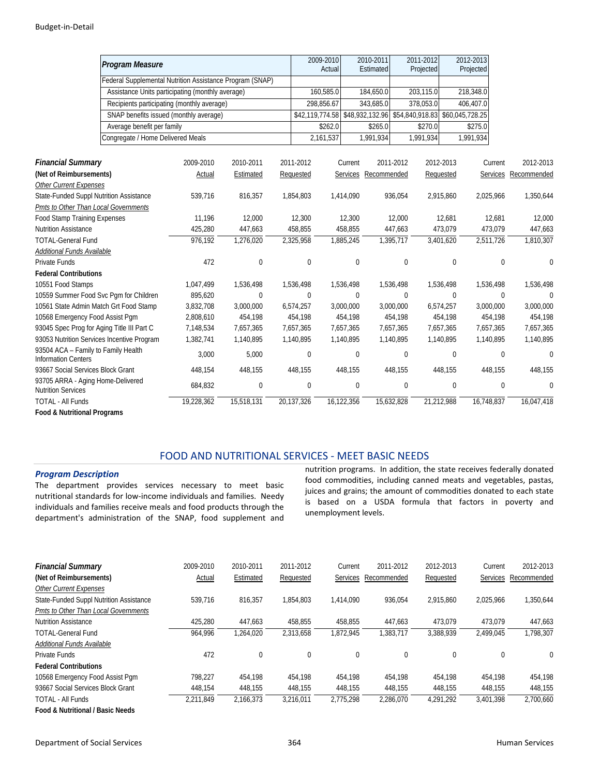|                                                                   | Program Measure                                                                                |                      |             |            | 2009-2010<br>Actual           |             | 2010-2011<br>Estimated |             | 2011-2012<br>Projected |             | 2012-2013<br>Projected |             |                      |
|-------------------------------------------------------------------|------------------------------------------------------------------------------------------------|----------------------|-------------|------------|-------------------------------|-------------|------------------------|-------------|------------------------|-------------|------------------------|-------------|----------------------|
|                                                                   | Federal Supplemental Nutrition Assistance Program (SNAP)                                       |                      |             |            |                               |             |                        |             |                        |             |                        |             |                      |
|                                                                   |                                                                                                |                      |             |            | 160,585.0                     |             | 184,650.0              |             | 203,115.0              |             | 218,348.0              |             |                      |
|                                                                   | Assistance Units participating (monthly average)<br>Recipients participating (monthly average) |                      |             |            |                               |             | 343,685.0              |             | 378,053.0              |             | 406,407.0              |             |                      |
|                                                                   | SNAP benefits issued (monthly average)                                                         |                      |             |            | 298,856.67<br>\$42,119,774.58 |             | \$48,932,132.96        |             | \$54,840,918.83        |             | \$60,045,728.25        |             |                      |
|                                                                   |                                                                                                |                      |             |            |                               |             | \$265.0                |             |                        |             |                        |             |                      |
|                                                                   | Average benefit per family                                                                     |                      |             |            | \$262.0                       |             |                        |             | \$270.0                |             | \$275.0                |             |                      |
|                                                                   | Congregate / Home Delivered Meals                                                              |                      |             |            | 2,161,537                     |             | 1,991,934              |             | 1,991,934              |             | 1,991,934              |             |                      |
|                                                                   |                                                                                                |                      |             |            |                               |             |                        |             |                        |             |                        |             |                      |
| <b>Financial Summary</b>                                          |                                                                                                | 2009-2010            | 2010-2011   | 2011-2012  |                               | Current     |                        | 2011-2012   |                        | 2012-2013   | Current                |             | 2012-2013            |
| (Net of Reimbursements)                                           |                                                                                                | Actual               | Estimated   | Requested  |                               |             | Services Recommended   |             |                        | Requested   |                        |             | Services Recommended |
| <b>Other Current Expenses</b>                                     |                                                                                                |                      |             |            |                               |             |                        |             |                        |             |                        |             |                      |
| State-Funded Suppl Nutrition Assistance                           |                                                                                                | 539,716              | 816,357     | 1,854,803  |                               | 1,414,090   |                        | 936,054     |                        | 2,915,860   | 2,025,966              |             | 1,350,644            |
| <b>Pmts to Other Than Local Governments</b>                       |                                                                                                |                      |             |            |                               |             |                        |             |                        |             |                        |             |                      |
| <b>Food Stamp Training Expenses</b>                               |                                                                                                | 11,196               | 12,000      |            | 12,300                        | 12,300      |                        | 12,000      |                        | 12,681      | 12,681                 |             | 12,000               |
| <b>Nutrition Assistance</b>                                       |                                                                                                | 425,280              | 447,663     |            | 458,855                       | 458,855     |                        | 447,663     |                        | 473,079     | 473,079                |             | 447,663              |
| <b>TOTAL-General Fund</b>                                         |                                                                                                | $\overline{976,192}$ | 1,276,020   | 2,325,958  |                               | 1,885,245   |                        | 1,395,717   |                        | 3,401,620   | 2,511,726              |             | 1,810,307            |
| Additional Funds Available                                        |                                                                                                |                      |             |            |                               |             |                        |             |                        |             |                        |             |                      |
| <b>Private Funds</b>                                              |                                                                                                | 472                  | 0           |            | $\mathbf{0}$                  | 0           |                        | $\bf{0}$    |                        | $\mathbf 0$ |                        | 0           | $\mathbf{0}$         |
| <b>Federal Contributions</b>                                      |                                                                                                |                      |             |            |                               |             |                        |             |                        |             |                        |             |                      |
| 10551 Food Stamps                                                 |                                                                                                | 1,047,499            | 1,536,498   | 1,536,498  |                               | 1,536,498   |                        | 1,536,498   |                        | 1,536,498   | 1,536,498              |             | 1,536,498            |
| 10559 Summer Food Svc Pgm for Children                            |                                                                                                | 895,620              | $\mathbf 0$ |            | 0                             | $\mathbf 0$ |                        | $\mathbf 0$ |                        | $\mathbf 0$ |                        | $\mathbf 0$ | $\mathbf{0}$         |
| 10561 State Admin Match Grt Food Stamp                            |                                                                                                | 3,832,708            | 3,000,000   | 6,574,257  |                               | 3,000,000   |                        | 3,000,000   |                        | 6,574,257   | 3,000,000              |             | 3,000,000            |
| 10568 Emergency Food Assist Pgm                                   |                                                                                                | 2,808,610            | 454,198     |            | 454,198                       | 454,198     |                        | 454,198     |                        | 454,198     | 454,198                |             | 454,198              |
| 93045 Spec Prog for Aging Title III Part C                        |                                                                                                | 7,148,534            | 7,657,365   | 7,657,365  |                               | 7,657,365   |                        | 7.657.365   |                        | 7,657,365   | 7,657,365              |             | 7,657,365            |
| 93053 Nutrition Services Incentive Program                        |                                                                                                | 1,382,741            | 1,140,895   | 1,140,895  |                               | 1,140,895   |                        | 1,140,895   |                        | 1,140,895   | 1,140,895              |             | 1,140,895            |
| 93504 ACA - Family to Family Health<br><b>Information Centers</b> |                                                                                                | 3,000                | 5,000       |            | 0                             | $\mathbf 0$ |                        | 0           |                        | $\theta$    |                        | 0           | $\mathbf{0}$         |
| 93667 Social Services Block Grant                                 |                                                                                                | 448,154              | 448,155     |            | 448,155                       | 448,155     |                        | 448,155     |                        | 448,155     | 448,155                |             | 448,155              |
| 93705 ARRA - Aging Home-Delivered<br><b>Nutrition Services</b>    |                                                                                                | 684,832              | 0           |            | 0                             | $\mathbf 0$ |                        | 0           |                        | 0           |                        | 0           | $\Omega$             |
| <b>TOTAL - All Funds</b>                                          |                                                                                                | 19,228,362           | 15,518,131  | 20,137,326 |                               | 16,122,356  |                        | 15,632,828  |                        | 21,212,988  | 16,748,837             |             | 16,047,418           |
| Food & Nutritional Programs                                       |                                                                                                |                      |             |            |                               |             |                        |             |                        |             |                        |             |                      |

### FOOD AND NUTRITIONAL SERVICES ‐ MEET BASIC NEEDS

#### *Program Description*

The department provides services necessary to meet basic nutritional standards for low‐income individuals and families. Needy individuals and families receive meals and food products through the department's administration of the SNAP, food supplement and nutrition programs. In addition, the state receives federally donated food commodities, including canned meats and vegetables, pastas, juices and grains; the amount of commodities donated to each state is based on a USDA formula that factors in poverty and unemployment levels.

| <b>Financial Summary</b>                | 2009-2010 | 2010-2011   | 2011-2012 | Current   | 2011-2012            | 2012-2013    | Current   | 2012-2013   |
|-----------------------------------------|-----------|-------------|-----------|-----------|----------------------|--------------|-----------|-------------|
| (Net of Reimbursements)                 | Actual    | Estimated   | Requested |           | Services Recommended | Requested    | Services  | Recommended |
| <b>Other Current Expenses</b>           |           |             |           |           |                      |              |           |             |
| State-Funded Suppl Nutrition Assistance | 539,716   | 816,357     | 1.854.803 | 1.414.090 | 936.054              | 2.915.860    | 2.025.966 | 1,350,644   |
| Pmts to Other Than Local Governments    |           |             |           |           |                      |              |           |             |
| <b>Nutrition Assistance</b>             | 425.280   | 447.663     | 458.855   | 458.855   | 447.663              | 473.079      | 473.079   | 447.663     |
| <b>TOTAL-General Fund</b>               | 964.996   | 1.264.020   | 2.313.658 | 1.872.945 | 1.383.717            | 3.388.939    | 2.499.045 | 1.798.307   |
| Additional Funds Available              |           |             |           |           |                      |              |           |             |
| Private Funds                           | 472       | $\mathbf 0$ | 0         | 0         | $\Omega$             | $\mathbf{0}$ | $\theta$  | $\Omega$    |
| <b>Federal Contributions</b>            |           |             |           |           |                      |              |           |             |
| 10568 Emergency Food Assist Pgm         | 798,227   | 454.198     | 454.198   | 454,198   | 454.198              | 454.198      | 454.198   | 454,198     |
| 93667 Social Services Block Grant       | 448,154   | 448.155     | 448,155   | 448.155   | 448,155              | 448.155      | 448,155   | 448,155     |
| TOTAL - All Funds                       | 2.211.849 | 2,166,373   | 3,216,011 | 2,775,298 | 2.286.070            | 4.291.292    | 3,401,398 | 2,700,660   |
| Food & Nutritional / Basic Needs        |           |             |           |           |                      |              |           |             |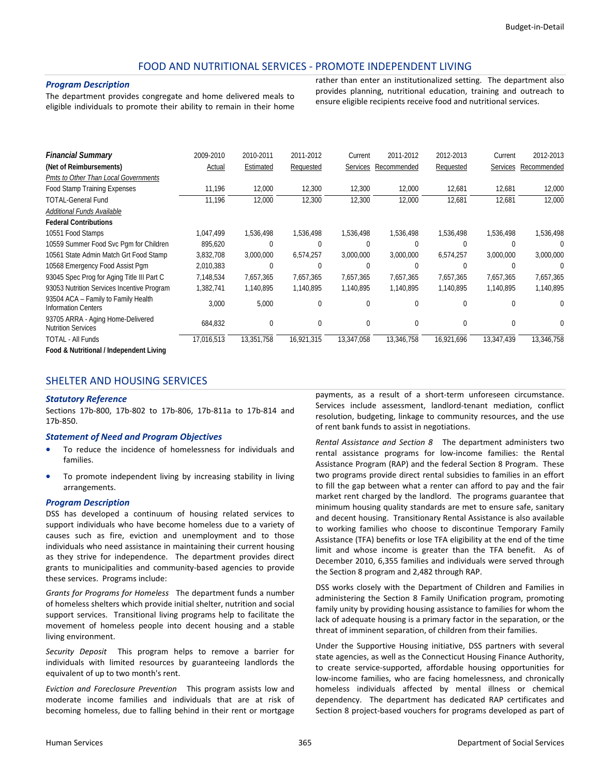### FOOD AND NUTRITIONAL SERVICES ‐ PROMOTE INDEPENDENT LIVING

#### *Program Description*

The department provides congregate and home delivered meals to eligible individuals to promote their ability to remain in their home rather than enter an institutionalized setting. The department also provides planning, nutritional education, training and outreach to ensure eligible recipients receive food and nutritional services.

| <b>Financial Summary</b>                                          | 2009-2010  | 2010-2011  | 2011-2012  | Current    | 2011-2012            | 2012-2013  | Current    | 2012-2013   |
|-------------------------------------------------------------------|------------|------------|------------|------------|----------------------|------------|------------|-------------|
| (Net of Reimbursements)                                           | Actual     | Estimated  | Requested  |            | Services Recommended | Requested  | Services   | Recommended |
| Pmts to Other Than Local Governments                              |            |            |            |            |                      |            |            |             |
| Food Stamp Training Expenses                                      | 11,196     | 12,000     | 12,300     | 12,300     | 12,000               | 12,681     | 12,681     | 12,000      |
| TOTAL-General Fund                                                | 11,196     | 12,000     | 12,300     | 12,300     | 12,000               | 12,681     | 12,681     | 12,000      |
| Additional Funds Available                                        |            |            |            |            |                      |            |            |             |
| <b>Federal Contributions</b>                                      |            |            |            |            |                      |            |            |             |
| 10551 Food Stamps                                                 | 1,047,499  | 1,536,498  | 1,536,498  | 1,536,498  | 1,536,498            | 1,536,498  | 1,536,498  | 1,536,498   |
| 10559 Summer Food Svc Pqm for Children                            | 895,620    | 0          | $\Omega$   | 0          | 0                    | $\Omega$   | 0          | ∩           |
| 10561 State Admin Match Grt Food Stamp                            | 3,832,708  | 3,000,000  | 6,574,257  | 3,000,000  | 3,000,000            | 6,574,257  | 3,000,000  | 3,000,000   |
| 10568 Emergency Food Assist Pgm                                   | 2,010,383  | 0          | 0          | 0          |                      | O          | 0          | ſ           |
| 93045 Spec Prog for Aging Title III Part C                        | 7,148,534  | 7,657,365  | 7,657,365  | 7,657,365  | 7,657,365            | 7,657,365  | 7,657,365  | 7,657,365   |
| 93053 Nutrition Services Incentive Program                        | 1,382,741  | 1,140,895  | 1,140,895  | 1,140,895  | 1,140,895            | 1,140,895  | 1,140,895  | 1,140,895   |
| 93504 ACA - Family to Family Health<br><b>Information Centers</b> | 3,000      | 5,000      | $\Omega$   | $\Omega$   |                      | $\Omega$   | $\Omega$   | $\Omega$    |
| 93705 ARRA - Aging Home-Delivered<br><b>Nutrition Services</b>    | 684,832    | 0          | 0          | 0          | 0                    | 0          | 0          | $\Omega$    |
| TOTAL - All Funds                                                 | 17,016,513 | 13,351,758 | 16,921,315 | 13,347,058 | 13,346,758           | 16,921,696 | 13,347,439 | 13,346,758  |
| Food & Nutritional / Independent Living                           |            |            |            |            |                      |            |            |             |

# SHELTER AND HOUSING SERVICES

#### *Statutory Reference*

Sections 17b‐800, 17b‐802 to 17b‐806, 17b‐811a to 17b‐814 and 17b‐850.

#### *Statement of Need and Program Objectives*

- To reduce the incidence of homelessness for individuals and families.
- To promote independent living by increasing stability in living arrangements.

#### *Program Description*

DSS has developed a continuum of housing related services to support individuals who have become homeless due to a variety of causes such as fire, eviction and unemployment and to those individuals who need assistance in maintaining their current housing as they strive for independence. The department provides direct grants to municipalities and community‐based agencies to provide these services. Programs include:

*Grants for Programs for Homeless* The department funds a number of homeless shelters which provide initial shelter, nutrition and social support services. Transitional living programs help to facilitate the movement of homeless people into decent housing and a stable living environment.

*Security Deposit* This program helps to remove a barrier for individuals with limited resources by guaranteeing landlords the equivalent of up to two month's rent.

*Eviction and Foreclosure Prevention* This program assists low and moderate income families and individuals that are at risk of becoming homeless, due to falling behind in their rent or mortgage

payments, as a result of a short-term unforeseen circumstance. Services include assessment, landlord‐tenant mediation, conflict resolution, budgeting, linkage to community resources, and the use of rent bank funds to assist in negotiations.

*Rental Assistance and Section 8* The department administers two rental assistance programs for low‐income families: the Rental Assistance Program (RAP) and the federal Section 8 Program. These two programs provide direct rental subsidies to families in an effort to fill the gap between what a renter can afford to pay and the fair market rent charged by the landlord. The programs guarantee that minimum housing quality standards are met to ensure safe, sanitary and decent housing. Transitionary Rental Assistance is also available to working families who choose to discontinue Temporary Family Assistance (TFA) benefits or lose TFA eligibility at the end of the time limit and whose income is greater than the TFA benefit. As of December 2010, 6,355 families and individuals were served through the Section 8 program and 2,482 through RAP.

DSS works closely with the Department of Children and Families in administering the Section 8 Family Unification program, promoting family unity by providing housing assistance to families for whom the lack of adequate housing is a primary factor in the separation, or the threat of imminent separation, of children from their families.

Under the Supportive Housing initiative, DSS partners with several state agencies, as well as the Connecticut Housing Finance Authority, to create service‐supported, affordable housing opportunities for low‐income families, who are facing homelessness, and chronically homeless individuals affected by mental illness or chemical dependency. The department has dedicated RAP certificates and Section 8 project-based vouchers for programs developed as part of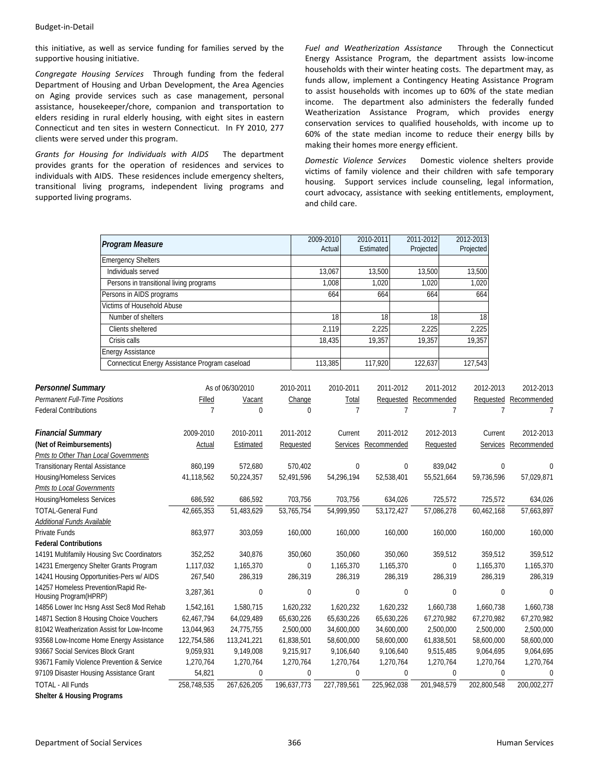this initiative, as well as service funding for families served by the supportive housing initiative.

*Congregate Housing Services* Through funding from the federal Department of Housing and Urban Development, the Area Agencies on Aging provide services such as case management, personal assistance, housekeeper/chore, companion and transportation to elders residing in rural elderly housing, with eight sites in eastern Connecticut and ten sites in western Connecticut. In FY 2010, 277 clients were served under this program.

*Grants for Housing for Individuals with AIDS* The department provides grants for the operation of residences and services to individuals with AIDS. These residences include emergency shelters, transitional living programs, independent living programs and supported living programs.

*Fuel and Weatherization Assistance* Through the Connecticut Energy Assistance Program, the department assists low‐income households with their winter heating costs. The department may, as funds allow, implement a Contingency Heating Assistance Program to assist households with incomes up to 60% of the state median income. The department also administers the federally funded Weatherization Assistance Program, which provides energy conservation services to qualified households, with income up to 60% of the state median income to reduce their energy bills by making their homes more energy efficient.

*Domestic Violence Services* Domestic violence shelters provide victims of family violence and their children with safe temporary housing. Support services include counseling, legal information, court advocacy, assistance with seeking entitlements, employment, and child care.

| <b>Program Measure</b>                         | 2009-2010 | 2010-2011 | 2011-2012 | 2012-2013 |
|------------------------------------------------|-----------|-----------|-----------|-----------|
|                                                | Actual    | Estimated | Projected | Projected |
| <b>Emergency Shelters</b>                      |           |           |           |           |
| Individuals served                             | 13,067    | 13,500    | 13,500    | 13,500    |
| Persons in transitional living programs        | 1,008     | 1,020     | 1,020     | 1,020     |
| Persons in AIDS programs                       | 664       | 664       | 664       | 664       |
| Victims of Household Abuse                     |           |           |           |           |
| Number of shelters                             | 18        | 18        | 18        | 18        |
| Clients sheltered                              | 2.119     | 2,225     | 2.225     | 2,225     |
| Crisis calls                                   | 18,435    | 19,357    | 19,357    | 19,357    |
| <b>Energy Assistance</b>                       |           |           |           |           |
| Connecticut Energy Assistance Program caseload | 113,385   | 117,920   | 122,637   | 127,543   |

| <b>Personnel Summary</b>                                      |             | As of 06/30/2010 | 2010-2011    | 2010-2011   | 2011-2012   | 2011-2012   | 2012-2013    | 2012-2013   |
|---------------------------------------------------------------|-------------|------------------|--------------|-------------|-------------|-------------|--------------|-------------|
| Permanent Full-Time Positions                                 | Filled      | Vacant           | Change       | Total       | Requested   | Recommended | Requested    | Recommended |
| <b>Federal Contributions</b>                                  |             | $\Omega$         | 0            |             |             |             |              | 7           |
|                                                               |             |                  |              |             |             |             |              |             |
| <b>Financial Summary</b>                                      | 2009-2010   | 2010-2011        | 2011-2012    | Current     | 2011-2012   | 2012-2013   | Current      | 2012-2013   |
| (Net of Reimbursements)                                       | Actual      | Estimated        | Requested    | Services    | Recommended | Requested   | Services     | Recommended |
| Pmts to Other Than Local Governments                          |             |                  |              |             |             |             |              |             |
| <b>Transitionary Rental Assistance</b>                        | 860.199     | 572.680          | 570,402      | $\mathbf 0$ | 0           | 839.042     | 0            |             |
| Housing/Homeless Services                                     | 41,118,562  | 50,224,357       | 52,491,596   | 54,296,194  | 52,538,401  | 55,521,664  | 59,736,596   | 57,029,871  |
| Pmts to Local Governments                                     |             |                  |              |             |             |             |              |             |
| Housing/Homeless Services                                     | 686,592     | 686,592          | 703,756      | 703,756     | 634,026     | 725,572     | 725,572      | 634,026     |
| <b>TOTAL-General Fund</b>                                     | 42,665,353  | 51,483,629       | 53,765,754   | 54.999.950  | 53,172,427  | 57,086,278  | 60,462,168   | 57,663,897  |
| Additional Funds Available                                    |             |                  |              |             |             |             |              |             |
| <b>Private Funds</b>                                          | 863,977     | 303,059          | 160,000      | 160,000     | 160,000     | 160,000     | 160,000      | 160,000     |
| <b>Federal Contributions</b>                                  |             |                  |              |             |             |             |              |             |
| 14191 Multifamily Housing Svc Coordinators                    | 352,252     | 340,876          | 350,060      | 350,060     | 350,060     | 359,512     | 359,512      | 359,512     |
| 14231 Emergency Shelter Grants Program                        | 1,117,032   | 1,165,370        | $\mathbf{0}$ | 1,165,370   | 1,165,370   | 0           | 1,165,370    | 1,165,370   |
| 14241 Housing Opportunities-Pers w/ AIDS                      | 267,540     | 286,319          | 286,319      | 286,319     | 286,319     | 286,319     | 286,319      | 286,319     |
| 14257 Homeless Prevention/Rapid Re-<br>Housing Program (HPRP) | 3,287,361   | $\Omega$         | $\Omega$     | $\Omega$    | $\Omega$    | $\Omega$    | $\Omega$     | $\Omega$    |
| 14856 Lower Inc Hsng Asst Sec8 Mod Rehab                      | 1,542,161   | 1,580,715        | 1,620,232    | 1,620,232   | 1,620,232   | 1,660,738   | 1,660,738    | 1,660,738   |
| 14871 Section 8 Housing Choice Vouchers                       | 62,467,794  | 64,029,489       | 65,630,226   | 65,630,226  | 65,630,226  | 67,270,982  | 67,270,982   | 67,270,982  |
| 81042 Weatherization Assist for Low-Income                    | 13,044,963  | 24,775,755       | 2,500,000    | 34,600,000  | 34,600,000  | 2,500,000   | 2,500,000    | 2,500,000   |
| 93568 Low-Income Home Energy Assistance                       | 122,754,586 | 113,241,221      | 61,838,501   | 58,600,000  | 58,600,000  | 61,838,501  | 58,600,000   | 58,600,000  |
| 93667 Social Services Block Grant                             | 9.059.931   | 9,149,008        | 9.215.917    | 9.106.640   | 9,106,640   | 9,515,485   | 9,064,695    | 9,064,695   |
| 93671 Family Violence Prevention & Service                    | 1,270,764   | 1,270,764        | 1,270,764    | 1,270,764   | 1,270,764   | 1,270,764   | 1,270,764    | 1,270,764   |
| 97109 Disaster Housing Assistance Grant                       | 54,821      | $\mathbf 0$      | $\Omega$     | $\mathbf 0$ | $\Omega$    | 0           | $\mathbf{0}$ | $\Omega$    |
| <b>TOTAL - All Funds</b>                                      | 258,748,535 | 267,626,205      | 196,637,773  | 227,789,561 | 225,962,038 | 201,948,579 | 202,800,548  | 200,002,277 |

**Shelter & Housing Programs**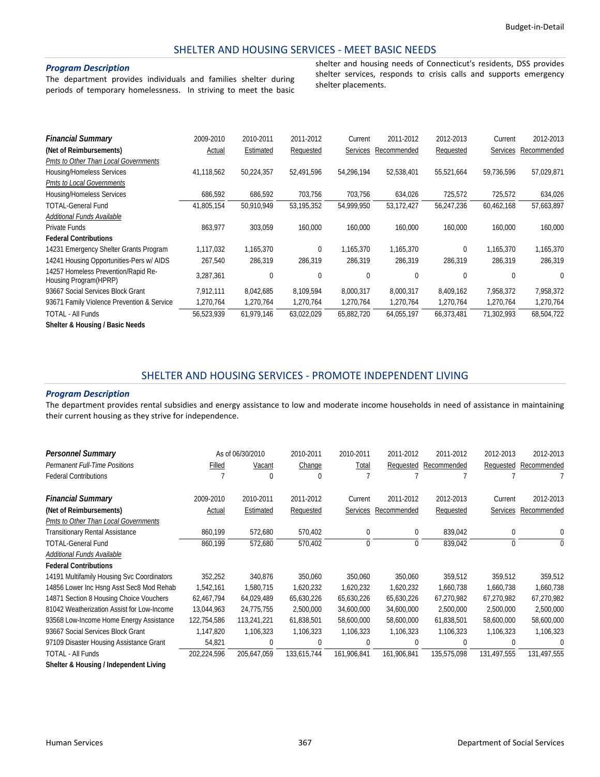#### SHELTER AND HOUSING SERVICES ‐ MEET BASIC NEEDS

#### *Program Description*

The department provides individuals and families shelter during periods of temporary homelessness. In striving to meet the basic shelter and housing needs of Connecticut's residents, DSS provides shelter services, responds to crisis calls and supports emergency shelter placements.

| <b>Financial Summary</b>                                     | 2009-2010  | 2010-2011  | 2011-2012  | Current     | 2011-2012   | 2012-2013    | Current         | 2012-2013   |
|--------------------------------------------------------------|------------|------------|------------|-------------|-------------|--------------|-----------------|-------------|
|                                                              |            |            |            |             |             |              |                 |             |
| (Net of Reimbursements)                                      | Actual     | Estimated  | Requested  | Services    | Recommended | Requested    | <b>Services</b> | Recommended |
| Pmts to Other Than Local Governments                         |            |            |            |             |             |              |                 |             |
| Housing/Homeless Services                                    | 41,118,562 | 50,224,357 | 52,491,596 | 54,296,194  | 52,538,401  | 55,521,664   | 59,736,596      | 57,029,871  |
| Pmts to Local Governments                                    |            |            |            |             |             |              |                 |             |
| Housing/Homeless Services                                    | 686,592    | 686,592    | 703,756    | 703,756     | 634,026     | 725,572      | 725,572         | 634,026     |
| TOTAL-General Fund                                           | 41,805,154 | 50.910.949 | 53.195.352 | 54.999.950  | 53,172,427  | 56,247,236   | 60,462,168      | 57,663,897  |
| Additional Funds Available                                   |            |            |            |             |             |              |                 |             |
| Private Funds                                                | 863,977    | 303,059    | 160,000    | 160,000     | 160,000     | 160,000      | 160,000         | 160,000     |
| <b>Federal Contributions</b>                                 |            |            |            |             |             |              |                 |             |
| 14231 Emergency Shelter Grants Program                       | 1,117,032  | 1,165,370  | $\theta$   | 1,165,370   | 1,165,370   | $\mathbf 0$  | 1,165,370       | 1,165,370   |
| 14241 Housing Opportunities-Pers w/ AIDS                     | 267,540    | 286,319    | 286,319    | 286,319     | 286,319     | 286,319      | 286,319         | 286,319     |
| 14257 Homeless Prevention/Rapid Re-<br>Housing Program(HPRP) | 3,287,361  | 0          | 0          | $\mathbf 0$ | 0           | $\mathbf{0}$ | $\Omega$        | 0           |
| 93667 Social Services Block Grant                            | 7,912,111  | 8,042,685  | 8,109,594  | 8,000,317   | 8,000,317   | 8,409,162    | 7,958,372       | 7,958,372   |
| 93671 Family Violence Prevention & Service                   | 1,270,764  | 1,270,764  | 1,270,764  | 1,270,764   | 1,270,764   | 1,270,764    | 1,270,764       | 1,270,764   |
| <b>TOTAL - All Funds</b>                                     | 56,523,939 | 61,979,146 | 63,022,029 | 65,882,720  | 64,055,197  | 66,373,481   | 71,302,993      | 68,504,722  |
| Shelter & Housing / Basic Needs                              |            |            |            |             |             |              |                 |             |

#### SHELTER AND HOUSING SERVICES ‐ PROMOTE INDEPENDENT LIVING

#### *Program Description*

The department provides rental subsidies and energy assistance to low and moderate income households in need of assistance in maintaining their current housing as they strive for independence.

| <b>Personnel Summary</b>                   |             | As of 06/30/2010 | 2010-2011   | 2010-2011       | 2011-2012   | 2011-2012   | 2012-2013    | 2012-2013   |
|--------------------------------------------|-------------|------------------|-------------|-----------------|-------------|-------------|--------------|-------------|
| <b>Permanent Full-Time Positions</b>       | Filled      | Vacant           | Change      | Total           | Requested   | Recommended | Requested    | Recommended |
| <b>Federal Contributions</b>               |             | 0                | Λ           |                 |             |             |              |             |
| <b>Financial Summary</b>                   | 2009-2010   | 2010-2011        | 2011-2012   | Current         | 2011-2012   | 2012-2013   | Current      | 2012-2013   |
| (Net of Reimbursements)                    | Actual      | Estimated        | Requested   | <b>Services</b> | Recommended | Requested   | Services     | Recommended |
| Pmts to Other Than Local Governments       |             |                  |             |                 |             |             |              |             |
| <b>Transitionary Rental Assistance</b>     | 860,199     | 572,680          | 570,402     | $\mathbf 0$     | 0           | 839,042     | $\mathbf{0}$ | $\Omega$    |
| <b>TOTAL-General Fund</b>                  | 860,199     | 572,680          | 570,402     | 0               | $\Omega$    | 839,042     | $\Omega$     | 0           |
| Additional Funds Available                 |             |                  |             |                 |             |             |              |             |
| <b>Federal Contributions</b>               |             |                  |             |                 |             |             |              |             |
| 14191 Multifamily Housing Svc Coordinators | 352,252     | 340,876          | 350,060     | 350,060         | 350,060     | 359.512     | 359,512      | 359,512     |
| 14856 Lower Inc Hsng Asst Sec8 Mod Rehab   | 1,542,161   | 1,580,715        | 1,620,232   | 1,620,232       | 1,620,232   | 1,660,738   | 1,660,738    | 1,660,738   |
| 14871 Section 8 Housing Choice Vouchers    | 62,467,794  | 64,029,489       | 65,630,226  | 65,630,226      | 65,630,226  | 67,270,982  | 67,270,982   | 67,270,982  |
| 81042 Weatherization Assist for Low-Income | 13,044,963  | 24,775,755       | 2,500,000   | 34,600,000      | 34,600,000  | 2,500,000   | 2,500,000    | 2,500,000   |
| 93568 Low-Income Home Energy Assistance    | 122,754,586 | 113,241,221      | 61,838,501  | 58,600,000      | 58,600,000  | 61,838,501  | 58,600,000   | 58,600,000  |
| 93667 Social Services Block Grant          | 1,147,820   | 1,106,323        | 1,106,323   | 1,106,323       | 1,106,323   | 1,106,323   | 1,106,323    | 1,106,323   |
| 97109 Disaster Housing Assistance Grant    | 54,821      | 0                | 0           | 0               | 0           | $\bigcap$   | 0            |             |
| <b>TOTAL - All Funds</b>                   | 202,224,596 | 205,647,059      | 133,615,744 | 161.906.841     | 161,906,841 | 135,575,098 | 131.497.555  | 131.497.555 |

**Shelter & Housing / Independent Living**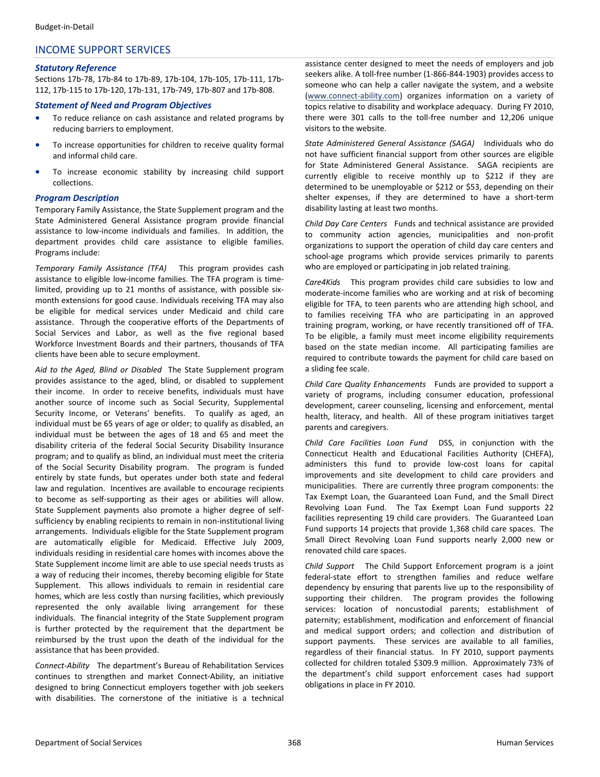## INCOME SUPPORT SERVICES

#### *Statutory Reference*

Sections 17b‐78, 17b‐84 to 17b‐89, 17b‐104, 17b‐105, 17b‐111, 17b‐ 112, 17b‐115 to 17b‐120, 17b‐131, 17b‐749, 17b‐807 and 17b‐808.

#### *Statement of Need and Program Objectives*

- To reduce reliance on cash assistance and related programs by reducing barriers to employment.
- To increase opportunities for children to receive quality formal and informal child care.
- To increase economic stability by increasing child support collections.

#### *Program Description*

Temporary Family Assistance, the State Supplement program and the State Administered General Assistance program provide financial assistance to low-income individuals and families. In addition, the department provides child care assistance to eligible families. Programs include:

*Temporary Family Assistance (TFA)* This program provides cash assistance to eligible low-income families. The TFA program is timelimited, providing up to 21 months of assistance, with possible six‐ month extensions for good cause. Individuals receiving TFA may also be eligible for medical services under Medicaid and child care assistance. Through the cooperative efforts of the Departments of Social Services and Labor, as well as the five regional based Workforce Investment Boards and their partners, thousands of TFA clients have been able to secure employment.

*Aid to the Aged, Blind or Disabled* The State Supplement program provides assistance to the aged, blind, or disabled to supplement their income. In order to receive benefits, individuals must have another source of income such as Social Security, Supplemental Security Income, or Veterans' benefits. To qualify as aged, an individual must be 65 years of age or older; to qualify as disabled, an individual must be between the ages of 18 and 65 and meet the disability criteria of the federal Social Security Disability Insurance program; and to qualify as blind, an individual must meet the criteria of the Social Security Disability program. The program is funded entirely by state funds, but operates under both state and federal law and regulation. Incentives are available to encourage recipients to become as self‐supporting as their ages or abilities will allow. State Supplement payments also promote a higher degree of self‐ sufficiency by enabling recipients to remain in non-institutional living arrangements. Individuals eligible for the State Supplement program are automatically eligible for Medicaid. Effective July 2009, individuals residing in residential care homes with incomes above the State Supplement income limit are able to use special needs trusts as a way of reducing their incomes, thereby becoming eligible for State Supplement. This allows individuals to remain in residential care homes, which are less costly than nursing facilities, which previously represented the only available living arrangement for these individuals. The financial integrity of the State Supplement program is further protected by the requirement that the department be reimbursed by the trust upon the death of the individual for the assistance that has been provided.

*Connect‐Ability* The department's Bureau of Rehabilitation Services continues to strengthen and market Connect‐Ability, an initiative designed to bring Connecticut employers together with job seekers with disabilities. The cornerstone of the initiative is a technical

assistance center designed to meet the needs of employers and job seekers alike. A toll‐free number (1‐866‐844‐1903) provides access to someone who can help a caller navigate the system, and a website (www.connect‐ability.com) organizes information on a variety of topics relative to disability and workplace adequacy. During FY 2010, there were 301 calls to the toll‐free number and 12,206 unique visitors to the website.

*State Administered General Assistance (SAGA)* Individuals who do not have sufficient financial support from other sources are eligible for State Administered General Assistance. SAGA recipients are currently eligible to receive monthly up to \$212 if they are determined to be unemployable or \$212 or \$53, depending on their shelter expenses, if they are determined to have a short-term disability lasting at least two months.

*Child Day Care Centers* Funds and technical assistance are provided to community action agencies, municipalities and non‐profit organizations to support the operation of child day care centers and school-age programs which provide services primarily to parents who are employed or participating in job related training.

*Care4Kids* This program provides child care subsidies to low and moderate‐income families who are working and at risk of becoming eligible for TFA, to teen parents who are attending high school, and to families receiving TFA who are participating in an approved training program, working, or have recently transitioned off of TFA. To be eligible, a family must meet income eligibility requirements based on the state median income. All participating families are required to contribute towards the payment for child care based on a sliding fee scale.

*Child Care Quality Enhancements* Funds are provided to support a variety of programs, including consumer education, professional development, career counseling, licensing and enforcement, mental health, literacy, and health. All of these program initiatives target parents and caregivers.

*Child Care Facilities Loan Fund* DSS, in conjunction with the Connecticut Health and Educational Facilities Authority (CHEFA), administers this fund to provide low‐cost loans for capital improvements and site development to child care providers and municipalities. There are currently three program components: the Tax Exempt Loan, the Guaranteed Loan Fund, and the Small Direct Revolving Loan Fund. The Tax Exempt Loan Fund supports 22 facilities representing 19 child care providers. The Guaranteed Loan Fund supports 14 projects that provide 1,368 child care spaces. The Small Direct Revolving Loan Fund supports nearly 2,000 new or renovated child care spaces.

*Child Support* The Child Support Enforcement program is a joint federal‐state effort to strengthen families and reduce welfare dependency by ensuring that parents live up to the responsibility of supporting their children. The program provides the following services: location of noncustodial parents; establishment of paternity; establishment, modification and enforcement of financial and medical support orders; and collection and distribution of support payments. These services are available to all families, regardless of their financial status. In FY 2010, support payments collected for children totaled \$309.9 million. Approximately 73% of the department's child support enforcement cases had support obligations in place in FY 2010.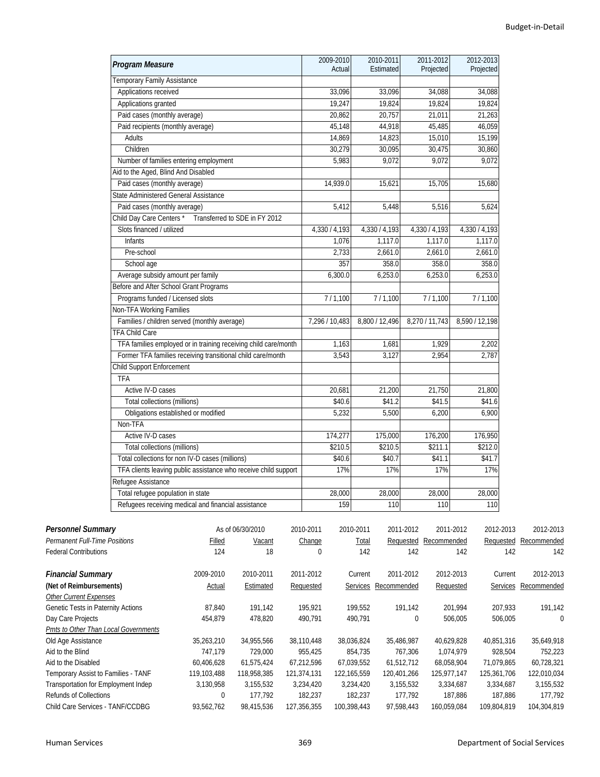| Program Measure                                                 | 2009-2010          | 2010-2011<br>Estimated | 2011-2012      | 2012-2013      |
|-----------------------------------------------------------------|--------------------|------------------------|----------------|----------------|
| Temporary Family Assistance                                     | Actual             |                        | Projected      | Projected      |
| Applications received                                           | 33,096             | 33,096                 | 34,088         | 34,088         |
| Applications granted                                            | 19,247             | 19,824                 | 19,824         | 19,824         |
| Paid cases (monthly average)                                    | 20,862             | 20,757                 | 21,011         | 21,263         |
| Paid recipients (monthly average)                               | 45,148             | 44,918                 | 45,485         | 46,059         |
| Adults                                                          | 14.869             | 14,823                 | 15,010         | 15,199         |
| Children                                                        | 30,279             | 30,095                 | 30,475         | 30,860         |
| Number of families entering employment                          | 5,983              | 9,072                  | 9,072          | 9,072          |
| Aid to the Aged, Blind And Disabled                             |                    |                        |                |                |
| Paid cases (monthly average)                                    | 14,939.0           | 15,621                 | 15,705         | 15,680         |
| State Administered General Assistance                           |                    |                        |                |                |
| Paid cases (monthly average)                                    | 5,412              | 5,448                  | 5,516          | 5,624          |
| Child Day Care Centers*<br>Transferred to SDE in FY 2012        |                    |                        |                |                |
| Slots financed / utilized                                       | 4,330 / 4,193      | 4,330 / 4,193          | 4,330 / 4,193  | 4,330 / 4,193  |
| <b>Infants</b>                                                  | 1,076              | 1,117.0                | 1,117.0        | 1,117.0        |
| Pre-school                                                      | 2,733              | 2,661.0                | 2,661.0        | 2,661.0        |
| School age                                                      | 357                | 358.0                  | 358.0          | 358.0          |
| Average subsidy amount per family                               | 6,300.0            | 6,253.0                | 6,253.0        | 6,253.0        |
| Before and After School Grant Programs                          |                    |                        |                |                |
| Programs funded / Licensed slots                                | 7/1,100            | 7/1,100                | 7/1,100        | 7/1,100        |
| Non-TFA Working Families                                        |                    |                        |                |                |
| Families / children served (monthly average)                    | 7,296 / 10,483     | 8,800 / 12,496         | 8,270 / 11,743 | 8,590 / 12,198 |
| <b>TFA Child Care</b>                                           |                    |                        |                |                |
| TFA families employed or in training receiving child care/month | $\overline{1,}163$ | 1,681                  | 1,929          | 2,202          |
| Former TFA families receiving transitional child care/month     | 3,543              | 3,127                  | 2,954          | 2,787          |
| Child Support Enforcement                                       |                    |                        |                |                |
| <b>TFA</b>                                                      |                    |                        |                |                |
| Active IV-D cases                                               | 20,681             | 21,200                 | 21,750         | 21,800         |
| Total collections (millions)                                    | \$40.6             | \$41.2                 | \$41.5         | \$41.6         |
| Obligations established or modified                             | 5,232              | 5,500                  | 6,200          | 6,900          |
| Non-TFA                                                         |                    |                        |                |                |
| Active IV-D cases                                               | 174,277            | 175,000                | 176,200        | 176,950        |
| Total collections (millions)                                    | \$210.5            | \$210.5                | \$211.1        | \$212.0        |
| Total collections for non IV-D cases (millions)                 | \$40.6             | \$40.7                 | \$41.1         | \$41.7         |
| TFA clients leaving public assistance who receive child support | 17%                | 17%                    | 17%            | 17%            |
| Refugee Assistance                                              |                    |                        |                |                |
| Total refugee population in state                               | 28,000             | 28,000                 | 28,000         | 28,000         |
| Refugees receiving medical and financial assistance             | 159                | 110                    | 110            | 110            |

| <b>Personnel Summary</b>             |             | As of 06/30/2010 | 2010-2011   | 2010-2011       | 2011-2012   | 2011-2012   | 2012-2013   | 2012-2013   |
|--------------------------------------|-------------|------------------|-------------|-----------------|-------------|-------------|-------------|-------------|
| <b>Permanent Full-Time Positions</b> | Filled      | Vacant           | Change      | Total           | Requested   | Recommended | Requested   | Recommended |
| <b>Federal Contributions</b>         | 124         | 18               |             | 142             | 142         | 142         | 142         | 142         |
| <b>Financial Summary</b>             | 2009-2010   | 2010-2011        | 2011-2012   | Current         | 2011-2012   | 2012-2013   | Current     | 2012-2013   |
| (Net of Reimbursements)              | Actual      | Estimated        | Requested   | <b>Services</b> | Recommended | Requested   | Services    | Recommended |
| <b>Other Current Expenses</b>        |             |                  |             |                 |             |             |             |             |
| Genetic Tests in Paternity Actions   | 87,840      | 191,142          | 195,921     | 199,552         | 191,142     | 201,994     | 207,933     | 191,142     |
| Day Care Projects                    | 454,879     | 478,820          | 490,791     | 490,791         | 0           | 506,005     | 506,005     | $\mathbf 0$ |
| Pmts to Other Than Local Governments |             |                  |             |                 |             |             |             |             |
| Old Age Assistance                   | 35,263,210  | 34,955,566       | 38,110,448  | 38,036,824      | 35,486,987  | 40,629,828  | 40,851,316  | 35,649,918  |
| Aid to the Blind                     | 747.179     | 729.000          | 955.425     | 854.735         | 767.306     | 1.074.979   | 928.504     | 752.223     |
| Aid to the Disabled                  | 60,406,628  | 61,575,424       | 67,212,596  | 67,039,552      | 61,512,712  | 68,058,904  | 71,079,865  | 60,728,321  |
| Temporary Assist to Families - TANF  | 119,103,488 | 118.958.385      | 121,374,131 | 122.165.559     | 120,401,266 | 125.977.147 | 125.361.706 | 122,010,034 |
| Transportation for Employment Indep  | 3,130,958   | 3,155,532        | 3,234,420   | 3,234,420       | 3,155,532   | 3,334,687   | 3,334,687   | 3,155,532   |
| <b>Refunds of Collections</b>        | 0           | 177,792          | 182,237     | 182,237         | 177,792     | 187,886     | 187.886     | 177.792     |
| Child Care Services - TANF/CCDBG     | 93.562.762  | 98,415,536       | 127.356.355 | 100.398.443     | 97.598.443  | 160.059.084 | 109.804.819 | 104,304,819 |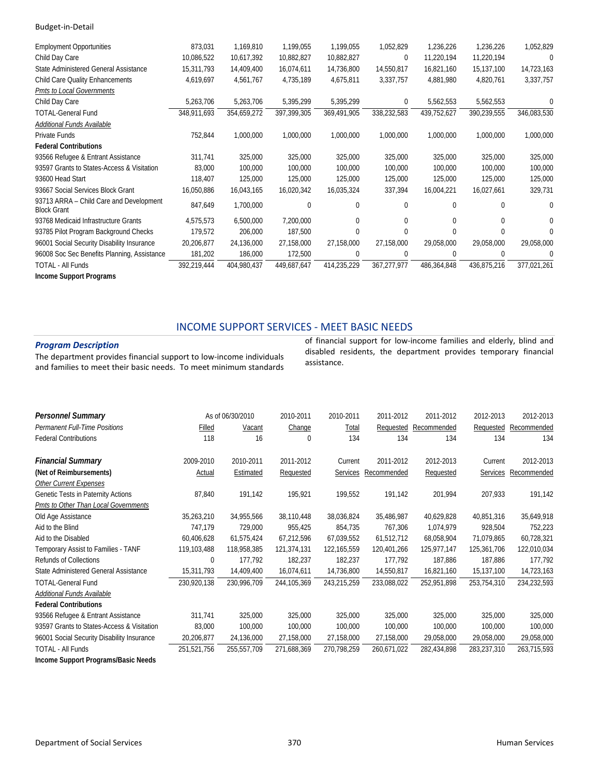| <b>Employment Opportunities</b>                               | 873,031     | 1,169,810   | 1,199,055   | 1,199,055   | 1,052,829   | 1,236,226    | 1,236,226    | 1,052,829    |
|---------------------------------------------------------------|-------------|-------------|-------------|-------------|-------------|--------------|--------------|--------------|
| Child Day Care                                                | 10,086,522  | 10,617,392  | 10,882,827  | 10,882,827  | $\mathbf 0$ | 11,220,194   | 11,220,194   | $\Omega$     |
| State Administered General Assistance                         | 15,311,793  | 14,409,400  | 16,074,611  | 14,736,800  | 14,550,817  | 16,821,160   | 15,137,100   | 14,723,163   |
| <b>Child Care Quality Enhancements</b>                        | 4,619,697   | 4,561,767   | 4,735,189   | 4,675,811   | 3,337,757   | 4,881,980    | 4,820,761    | 3,337,757    |
| Pmts to Local Governments                                     |             |             |             |             |             |              |              |              |
| Child Day Care                                                | 5,263,706   | 5,263,706   | 5,395,299   | 5,395,299   | 0           | 5,562,553    | 5,562,553    | 0            |
| <b>TOTAL-General Fund</b>                                     | 348,911,693 | 354,659,272 | 397,399,305 | 369,491,905 | 338,232,583 | 439,752,627  | 390,239,555  | 346,083,530  |
| Additional Funds Available                                    |             |             |             |             |             |              |              |              |
| Private Funds                                                 | 752,844     | 1,000,000   | 1,000,000   | 1,000,000   | 1,000,000   | 1,000,000    | 1,000,000    | 1,000,000    |
| <b>Federal Contributions</b>                                  |             |             |             |             |             |              |              |              |
| 93566 Refugee & Entrant Assistance                            | 311,741     | 325,000     | 325,000     | 325,000     | 325,000     | 325,000      | 325,000      | 325,000      |
| 93597 Grants to States-Access & Visitation                    | 83,000      | 100,000     | 100,000     | 100,000     | 100,000     | 100,000      | 100,000      | 100,000      |
| 93600 Head Start                                              | 118,407     | 125,000     | 125,000     | 125,000     | 125,000     | 125,000      | 125,000      | 125,000      |
| 93667 Social Services Block Grant                             | 16,050,886  | 16,043,165  | 16,020,342  | 16,035,324  | 337,394     | 16,004,221   | 16,027,661   | 329,731      |
| 93713 ARRA - Child Care and Development<br><b>Block Grant</b> | 847,649     | 1,700,000   | 0           | 0           | 0           | $\mathbf{0}$ | $\mathbf{0}$ | $\Omega$     |
| 93768 Medicaid Infrastructure Grants                          | 4,575,573   | 6,500,000   | 7,200,000   | $\Omega$    | $\Omega$    | $\Omega$     | $\Omega$     | 0            |
| 93785 Pilot Program Background Checks                         | 179,572     | 206,000     | 187,500     | $\mathbf 0$ | $\Omega$    | $\Omega$     | 0            | <sup>0</sup> |
| 96001 Social Security Disability Insurance                    | 20,206,877  | 24,136,000  | 27,158,000  | 27,158,000  | 27,158,000  | 29,058,000   | 29,058,000   | 29,058,000   |
| 96008 Soc Sec Benefits Planning, Assistance                   | 181,202     | 186,000     | 172,500     | 0           | 0           | 0            | 0            | ſ            |
| <b>TOTAL - All Funds</b>                                      | 392,219,444 | 404,980,437 | 449,687,647 | 414,235,229 | 367,277,977 | 486,364,848  | 436,875,216  | 377,021,261  |
| Income Support Programs                                       |             |             |             |             |             |              |              |              |

#### INCOME SUPPORT SERVICES ‐ MEET BASIC NEEDS

#### *Program Description*

The department provides financial support to low‐income individuals and families to meet their basic needs. To meet minimum standards

of financial support for low‐income families and elderly, blind and disabled residents, the department provides temporary financial assistance.

| <b>Personnel Summary</b>                   |             | As of 06/30/2010 | 2010-2011     | 2010-2011   | 2011-2012   | 2011-2012   | 2012-2013   | 2012-2013   |
|--------------------------------------------|-------------|------------------|---------------|-------------|-------------|-------------|-------------|-------------|
| <b>Permanent Full-Time Positions</b>       | Filled      | Vacant           | Change        | Total       | Requested   | Recommended | Requested   | Recommended |
| <b>Federal Contributions</b>               | 118         | 16               | 0             | 134         | 134         | 134         | 134         | 134         |
| <b>Financial Summary</b>                   | 2009-2010   | 2010-2011        | 2011-2012     | Current     | 2011-2012   | 2012-2013   | Current     | 2012-2013   |
| (Net of Reimbursements)                    | Actual      | Estimated        | Requested     | Services    | Recommended | Requested   | Services    | Recommended |
| <b>Other Current Expenses</b>              |             |                  |               |             |             |             |             |             |
| Genetic Tests in Paternity Actions         | 87,840      | 191,142          | 195,921       | 199,552     | 191,142     | 201,994     | 207,933     | 191,142     |
| Pmts to Other Than Local Governments       |             |                  |               |             |             |             |             |             |
| Old Age Assistance                         | 35,263,210  | 34,955,566       | 38,110,448    | 38,036,824  | 35,486,987  | 40,629,828  | 40,851,316  | 35,649,918  |
| Aid to the Blind                           | 747,179     | 729,000          | 955,425       | 854,735     | 767,306     | 1,074,979   | 928,504     | 752,223     |
| Aid to the Disabled                        | 60,406,628  | 61,575,424       | 67,212,596    | 67,039,552  | 61,512,712  | 68,058,904  | 71,079,865  | 60,728,321  |
| Temporary Assist to Families - TANF        | 119,103,488 | 118,958,385      | 121,374,131   | 122.165.559 | 120,401,266 | 125,977,147 | 125,361,706 | 122,010,034 |
| <b>Refunds of Collections</b>              | 0           | 177,792          | 182,237       | 182,237     | 177,792     | 187,886     | 187,886     | 177,792     |
| State Administered General Assistance      | 15,311,793  | 14,409,400       | 16,074,611    | 14,736,800  | 14,550,817  | 16,821,160  | 15,137,100  | 14,723,163  |
| <b>TOTAL-General Fund</b>                  | 230,920,138 | 230,996,709      | 244, 105, 369 | 243,215,259 | 233,088,022 | 252,951,898 | 253,754,310 | 234,232,593 |
| Additional Funds Available                 |             |                  |               |             |             |             |             |             |
| <b>Federal Contributions</b>               |             |                  |               |             |             |             |             |             |
| 93566 Refugee & Entrant Assistance         | 311,741     | 325,000          | 325,000       | 325,000     | 325,000     | 325,000     | 325,000     | 325,000     |
| 93597 Grants to States-Access & Visitation | 83,000      | 100,000          | 100,000       | 100,000     | 100,000     | 100,000     | 100,000     | 100,000     |
| 96001 Social Security Disability Insurance | 20,206,877  | 24,136,000       | 27,158,000    | 27,158,000  | 27,158,000  | 29,058,000  | 29,058,000  | 29,058,000  |
| <b>TOTAL - All Funds</b>                   | 251,521,756 | 255,557,709      | 271,688,369   | 270,798,259 | 260,671,022 | 282,434,898 | 283,237,310 | 263,715,593 |
| Income Support Programs/Basic Needs        |             |                  |               |             |             |             |             |             |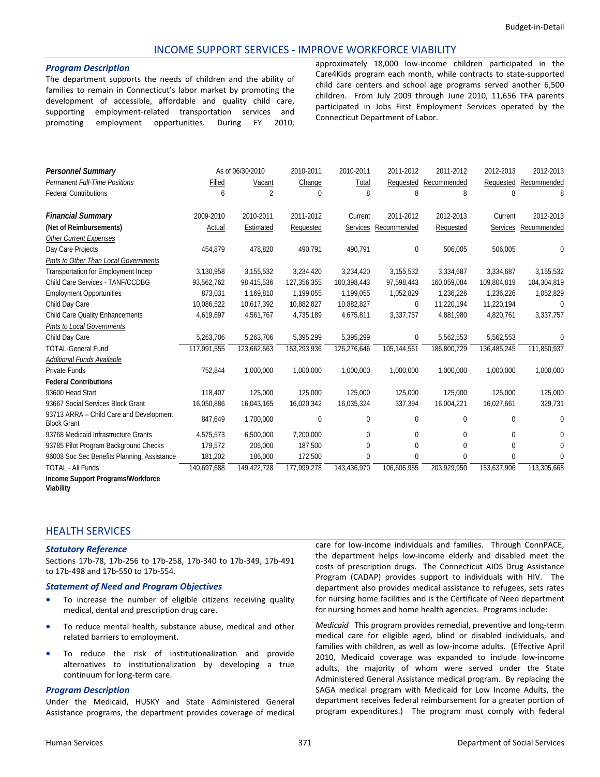#### INCOME SUPPORT SERVICES ‐ IMPROVE WORKFORCE VIABILITY

#### *Program Description*

The department supports the needs of children and the ability of families to remain in Connecticut's labor market by promoting the development of accessible, affordable and quality child care, supporting employment-related transportation services and promoting employment opportunities. During FY 2010,

approximately 18,000 low‐income children participated in the Care4Kids program each month, while contracts to state‐supported child care centers and school age programs served another 6,500 children. From July 2009 through June 2010, 11,656 TFA parents participated in Jobs First Employment Services operated by the Connecticut Department of Labor.

| <b>Personnel Summary</b>                                      |             | As of 06/30/2010 | 2010-2011   | 2010-2011   | 2011-2012    | 2011-2012    | 2012-2013       | 2012-2013   |
|---------------------------------------------------------------|-------------|------------------|-------------|-------------|--------------|--------------|-----------------|-------------|
| <b>Permanent Full-Time Positions</b>                          | Filled      | Vacant           | Change      | Total       | Requested    | Recommended  | Requested       | Recommended |
| <b>Federal Contributions</b>                                  | 6           | 2                | $\Omega$    | 8           | 8            | 8            | 8               | β           |
| <b>Financial Summary</b>                                      | 2009-2010   | 2010-2011        | 2011-2012   | Current     | 2011-2012    | 2012-2013    | Current         | 2012-2013   |
| (Net of Reimbursements)                                       | Actual      | Estimated        | Requested   | Services    | Recommended  | Requested    | <b>Services</b> | Recommended |
| <b>Other Current Expenses</b>                                 |             |                  |             |             |              |              |                 |             |
| Day Care Projects                                             | 454,879     | 478,820          | 490,791     | 490,791     | 0            | 506,005      | 506,005         | 0           |
| Pmts to Other Than Local Governments                          |             |                  |             |             |              |              |                 |             |
| <b>Transportation for Employment Indep</b>                    | 3,130,958   | 3,155,532        | 3,234,420   | 3,234,420   | 3,155,532    | 3,334,687    | 3,334,687       | 3,155,532   |
| Child Care Services - TANF/CCDBG                              | 93,562,762  | 98,415,536       | 127,356,355 | 100,398,443 | 97,598,443   | 160,059,084  | 109,804,819     | 104,304,819 |
| <b>Employment Opportunities</b>                               | 873,031     | 1.169.810        | 1,199,055   | 1,199,055   | 1,052,829    | 1,236,226    | 1,236,226       | 1,052,829   |
| Child Day Care                                                | 10,086,522  | 10,617,392       | 10,882,827  | 10,882,827  | 0            | 11,220,194   | 11,220,194      | $\Omega$    |
| Child Care Quality Enhancements                               | 4,619,697   | 4,561,767        | 4,735,189   | 4,675,811   | 3,337,757    | 4,881,980    | 4,820,761       | 3,337,757   |
| Pmts to Local Governments                                     |             |                  |             |             |              |              |                 |             |
| Child Day Care                                                | 5,263,706   | 5,263,706        | 5,395,299   | 5,395,299   | 0            | 5,562,553    | 5,562,553       | $\Omega$    |
| <b>TOTAL-General Fund</b>                                     | 117,991,555 | 123,662,563      | 153,293,936 | 126,276,646 | 105,144,561  | 186,800,729  | 136,485,245     | 111,850,937 |
| Additional Funds Available                                    |             |                  |             |             |              |              |                 |             |
| Private Funds                                                 | 752,844     | 1,000,000        | 1,000,000   | 1,000,000   | 1,000,000    | 1,000,000    | 1,000,000       | 1,000,000   |
| <b>Federal Contributions</b>                                  |             |                  |             |             |              |              |                 |             |
| 93600 Head Start                                              | 118,407     | 125,000          | 125,000     | 125,000     | 125,000      | 125,000      | 125,000         | 125,000     |
| 93667 Social Services Block Grant                             | 16,050,886  | 16,043,165       | 16,020,342  | 16,035,324  | 337,394      | 16,004,221   | 16,027,661      | 329,731     |
| 93713 ARRA - Child Care and Development<br><b>Block Grant</b> | 847,649     | 1,700,000        | $\mathbf 0$ | 0           | 0            | 0            | 0               | 0           |
| 93768 Medicaid Infrastructure Grants                          | 4,575,573   | 6,500,000        | 7,200,000   | 0           | 0            | 0            | $\Omega$        | 0           |
| 93785 Pilot Program Background Checks                         | 179,572     | 206,000          | 187,500     | $\theta$    | $\theta$     | $\Omega$     | $\Omega$        | $\Omega$    |
| 96008 Soc Sec Benefits Planning, Assistance                   | 181,202     | 186,000          | 172,500     | 0           | $\mathbf{0}$ | $\mathbf{0}$ | $\Omega$        | $\Omega$    |
| <b>TOTAL - All Funds</b>                                      | 140,697,688 | 149,422,728      | 177,999,278 | 143,436,970 | 106,606,955  | 203,929,950  | 153,637,906     | 113,305,668 |
| Income Support Programs/Workforce                             |             |                  |             |             |              |              |                 |             |

**Viability** 

### HEALTH SERVICES

#### *Statutory Reference*

Sections 17b‐78, 17b‐256 to 17b‐258, 17b‐340 to 17b‐349, 17b‐491 to 17b‐498 and 17b‐550 to 17b‐554.

#### *Statement of Need and Program Objectives*

- To increase the number of eligible citizens receiving quality medical, dental and prescription drug care.
- To reduce mental health, substance abuse, medical and other related barriers to employment.
- To reduce the risk of institutionalization and provide alternatives to institutionalization by developing a true continuum for long‐term care.

#### *Program Description*

Under the Medicaid, HUSKY and State Administered General Assistance programs, the department provides coverage of medical care for low-income individuals and families. Through ConnPACE, the department helps low‐income elderly and disabled meet the costs of prescription drugs. The Connecticut AIDS Drug Assistance Program (CADAP) provides support to individuals with HIV. The department also provides medical assistance to refugees, sets rates for nursing home facilities and is the Certificate of Need department for nursing homes and home health agencies. Programs include:

*Medicaid* This program provides remedial, preventive and long‐term medical care for eligible aged, blind or disabled individuals, and families with children, as well as low‐income adults. (Effective April 2010, Medicaid coverage was expanded to include low‐income adults, the majority of whom were served under the State Administered General Assistance medical program. By replacing the SAGA medical program with Medicaid for Low Income Adults, the department receives federal reimbursement for a greater portion of program expenditures.) The program must comply with federal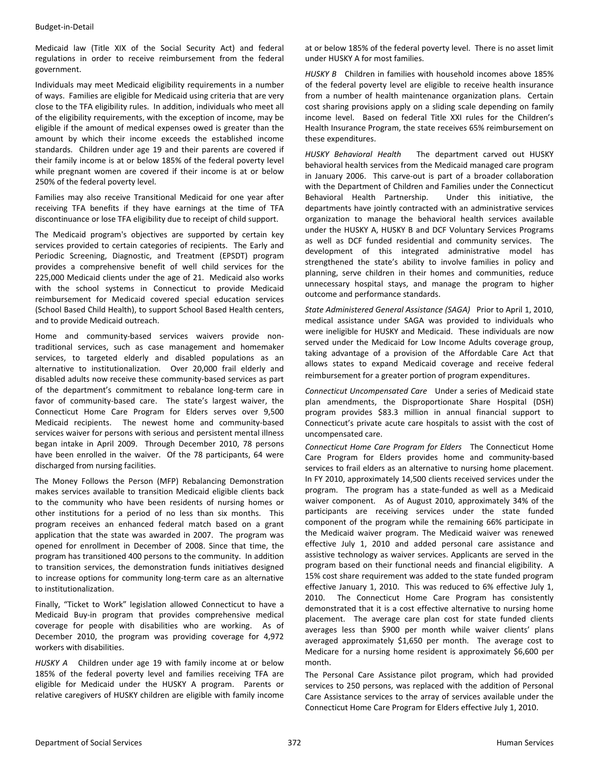Medicaid law (Title XIX of the Social Security Act) and federal regulations in order to receive reimbursement from the federal government.

Individuals may meet Medicaid eligibility requirements in a number of ways. Families are eligible for Medicaid using criteria that are very close to the TFA eligibility rules. In addition, individuals who meet all of the eligibility requirements, with the exception of income, may be eligible if the amount of medical expenses owed is greater than the amount by which their income exceeds the established income standards. Children under age 19 and their parents are covered if their family income is at or below 185% of the federal poverty level while pregnant women are covered if their income is at or below 250% of the federal poverty level.

Families may also receive Transitional Medicaid for one year after receiving TFA benefits if they have earnings at the time of TFA discontinuance or lose TFA eligibility due to receipt of child support.

The Medicaid program's objectives are supported by certain key services provided to certain categories of recipients. The Early and Periodic Screening, Diagnostic, and Treatment (EPSDT) program provides a comprehensive benefit of well child services for the 225,000 Medicaid clients under the age of 21. Medicaid also works with the school systems in Connecticut to provide Medicaid reimbursement for Medicaid covered special education services (School Based Child Health), to support School Based Health centers, and to provide Medicaid outreach.

Home and community-based services waivers provide nontraditional services, such as case management and homemaker services, to targeted elderly and disabled populations as an alternative to institutionalization. Over 20,000 frail elderly and disabled adults now receive these community‐based services as part of the department's commitment to rebalance long‐term care in favor of community-based care. The state's largest waiver, the Connecticut Home Care Program for Elders serves over 9,500 Medicaid recipients. The newest home and community-based services waiver for persons with serious and persistent mental illness began intake in April 2009. Through December 2010, 78 persons have been enrolled in the waiver. Of the 78 participants, 64 were discharged from nursing facilities.

The Money Follows the Person (MFP) Rebalancing Demonstration makes services available to transition Medicaid eligible clients back to the community who have been residents of nursing homes or other institutions for a period of no less than six months. This program receives an enhanced federal match based on a grant application that the state was awarded in 2007. The program was opened for enrollment in December of 2008. Since that time, the program has transitioned 400 persons to the community. In addition to transition services, the demonstration funds initiatives designed to increase options for community long‐term care as an alternative to institutionalization.

Finally, "Ticket to Work" legislation allowed Connecticut to have a Medicaid Buy‐in program that provides comprehensive medical coverage for people with disabilities who are working. As of December 2010, the program was providing coverage for 4,972 workers with disabilities.

*HUSKY A* Children under age 19 with family income at or below 185% of the federal poverty level and families receiving TFA are eligible for Medicaid under the HUSKY A program. Parents or relative caregivers of HUSKY children are eligible with family income at or below 185% of the federal poverty level. There is no asset limit under HUSKY A for most families.

*HUSKY B* Children in families with household incomes above 185% of the federal poverty level are eligible to receive health insurance from a number of health maintenance organization plans. Certain cost sharing provisions apply on a sliding scale depending on family income level. Based on federal Title XXI rules for the Children's Health Insurance Program, the state receives 65% reimbursement on these expenditures.

*HUSKY Behavioral Health* The department carved out HUSKY behavioral health services from the Medicaid managed care program in January 2006. This carve-out is part of a broader collaboration with the Department of Children and Families under the Connecticut Behavioral Health Partnership. Under this initiative, the departments have jointly contracted with an administrative services organization to manage the behavioral health services available under the HUSKY A, HUSKY B and DCF Voluntary Services Programs as well as DCF funded residential and community services. The development of this integrated administrative model has strengthened the state's ability to involve families in policy and planning, serve children in their homes and communities, reduce unnecessary hospital stays, and manage the program to higher outcome and performance standards.

*State Administered General Assistance (SAGA)* Prior to April 1, 2010, medical assistance under SAGA was provided to individuals who were ineligible for HUSKY and Medicaid. These individuals are now served under the Medicaid for Low Income Adults coverage group, taking advantage of a provision of the Affordable Care Act that allows states to expand Medicaid coverage and receive federal reimbursement for a greater portion of program expenditures.

*Connecticut Uncompensated Care* Under a series of Medicaid state plan amendments, the Disproportionate Share Hospital (DSH) program provides \$83.3 million in annual financial support to Connecticut's private acute care hospitals to assist with the cost of uncompensated care.

*Connecticut Home Care Program for Elders* The Connecticut Home Care Program for Elders provides home and community‐based services to frail elders as an alternative to nursing home placement. In FY 2010, approximately 14,500 clients received services under the program. The program has a state-funded as well as a Medicaid waiver component. As of August 2010, approximately 34% of the participants are receiving services under the state funded component of the program while the remaining 66% participate in the Medicaid waiver program. The Medicaid waiver was renewed effective July 1, 2010 and added personal care assistance and assistive technology as waiver services. Applicants are served in the program based on their functional needs and financial eligibility. A 15% cost share requirement was added to the state funded program effective January 1, 2010. This was reduced to 6% effective July 1, 2010. The Connecticut Home Care Program has consistently demonstrated that it is a cost effective alternative to nursing home placement. The average care plan cost for state funded clients averages less than \$900 per month while waiver clients' plans averaged approximately \$1,650 per month. The average cost to Medicare for a nursing home resident is approximately \$6,600 per month.

The Personal Care Assistance pilot program, which had provided services to 250 persons, was replaced with the addition of Personal Care Assistance services to the array of services available under the Connecticut Home Care Program for Elders effective July 1, 2010.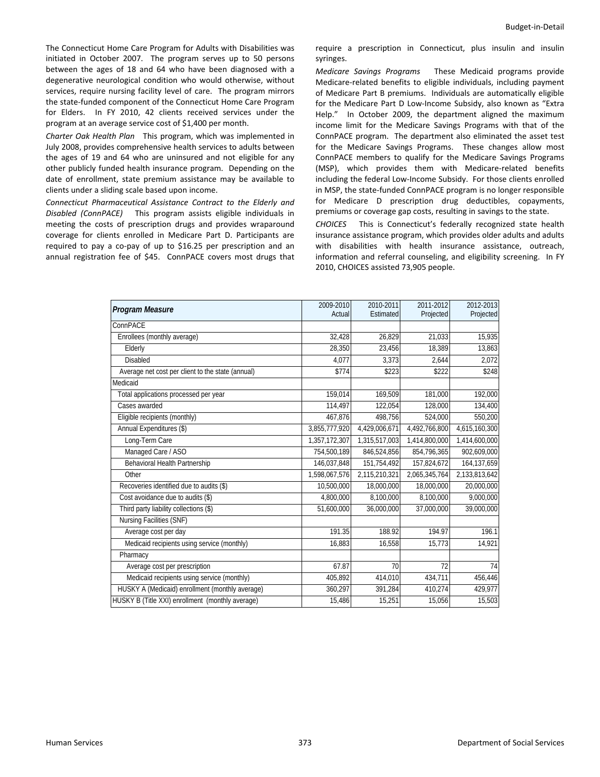The Connecticut Home Care Program for Adults with Disabilities was initiated in October 2007. The program serves up to 50 persons between the ages of 18 and 64 who have been diagnosed with a degenerative neurological condition who would otherwise, without services, require nursing facility level of care. The program mirrors the state‐funded component of the Connecticut Home Care Program for Elders. In FY 2010, 42 clients received services under the program at an average service cost of \$1,400 per month.

*Charter Oak Health Plan* This program, which was implemented in July 2008, provides comprehensive health services to adults between the ages of 19 and 64 who are uninsured and not eligible for any other publicly funded health insurance program. Depending on the date of enrollment, state premium assistance may be available to clients under a sliding scale based upon income.

*Connecticut Pharmaceutical Assistance Contract to the Elderly and Disabled (ConnPACE)*  This program assists eligible individuals in meeting the costs of prescription drugs and provides wraparound coverage for clients enrolled in Medicare Part D. Participants are required to pay a co-pay of up to \$16.25 per prescription and an annual registration fee of \$45. ConnPACE covers most drugs that require a prescription in Connecticut, plus insulin and insulin syringes.

*Medicare Savings Programs* These Medicaid programs provide Medicare‐related benefits to eligible individuals, including payment of Medicare Part B premiums. Individuals are automatically eligible for the Medicare Part D Low‐Income Subsidy, also known as "Extra Help." In October 2009, the department aligned the maximum income limit for the Medicare Savings Programs with that of the ConnPACE program. The department also eliminated the asset test for the Medicare Savings Programs. These changes allow most ConnPACE members to qualify for the Medicare Savings Programs (MSP), which provides them with Medicare‐related benefits including the federal Low‐Income Subsidy. For those clients enrolled in MSP, the state‐funded ConnPACE program is no longer responsible for Medicare D prescription drug deductibles, copayments, premiums or coverage gap costs, resulting in savings to the state.

*CHOICES* This is Connecticut's federally recognized state health insurance assistance program, which provides older adults and adults with disabilities with health insurance assistance, outreach, information and referral counseling, and eligibility screening. In FY 2010, CHOICES assisted 73,905 people.

| Program Measure                                   | 2009-2010     | 2010-2011     | 2011-2012     | 2012-2013     |
|---------------------------------------------------|---------------|---------------|---------------|---------------|
|                                                   | Actual        | Estimated     | Projected     | Projected     |
| ConnPACE                                          |               |               |               |               |
| Enrollees (monthly average)                       | 32,428        | 26.829        | 21,033        | 15,935        |
| Elderly                                           | 28,350        | 23,456        | 18,389        | 13,863        |
| Disabled                                          | 4,077         | 3,373         | 2,644         | 2,072         |
| Average net cost per client to the state (annual) | \$774         | \$223         | \$222         | \$248         |
| Medicaid                                          |               |               |               |               |
| Total applications processed per year             | 159,014       | 169,509       | 181,000       | 192,000       |
| Cases awarded                                     | 114,497       | 122,054       | 128,000       | 134,400       |
| Eligible recipients (monthly)                     | 467,876       | 498,756       | 524,000       | 550,200       |
| Annual Expenditures (\$)                          | 3,855,777,920 | 4,429,006,671 | 4,492,766,800 | 4,615,160,300 |
| Long-Term Care                                    | 1,357,172,307 | 1,315,517,003 | 1,414,800,000 | 1,414,600,000 |
| Managed Care / ASO                                | 754,500,189   | 846,524,856   | 854,796,365   | 902.609.000   |
| Behavioral Health Partnership                     | 146,037,848   | 151,754,492   | 157,824,672   | 164, 137, 659 |
| Other                                             | 1,598,067,576 | 2,115,210,321 | 2,065,345,764 | 2,133,813,642 |
| Recoveries identified due to audits (\$)          | 10.500.000    | 18.000.000    | 18.000.000    | 20,000,000    |
| Cost avoidance due to audits (\$)                 | 4,800,000     | 8,100,000     | 8,100,000     | 9,000,000     |
| Third party liability collections (\$)            | 51,600,000    | 36,000,000    | 37,000,000    | 39,000,000    |
| Nursing Facilities (SNF)                          |               |               |               |               |
| Average cost per day                              | 191.35        | 188.92        | 194.97        | 196.1         |
| Medicaid recipients using service (monthly)       | 16,883        | 16,558        | 15,773        | 14,921        |
| Pharmacy                                          |               |               |               |               |
| Average cost per prescription                     | 67.87         | 70            | 72            | 74            |
| Medicaid recipients using service (monthly)       | 405,892       | 414,010       | 434,711       | 456,446       |
| HUSKY A (Medicaid) enrollment (monthly average)   | 360,297       | 391,284       | 410,274       | 429,977       |
| HUSKY B (Title XXI) enrollment (monthly average)  | 15,486        | 15,251        | 15,056        | 15,503        |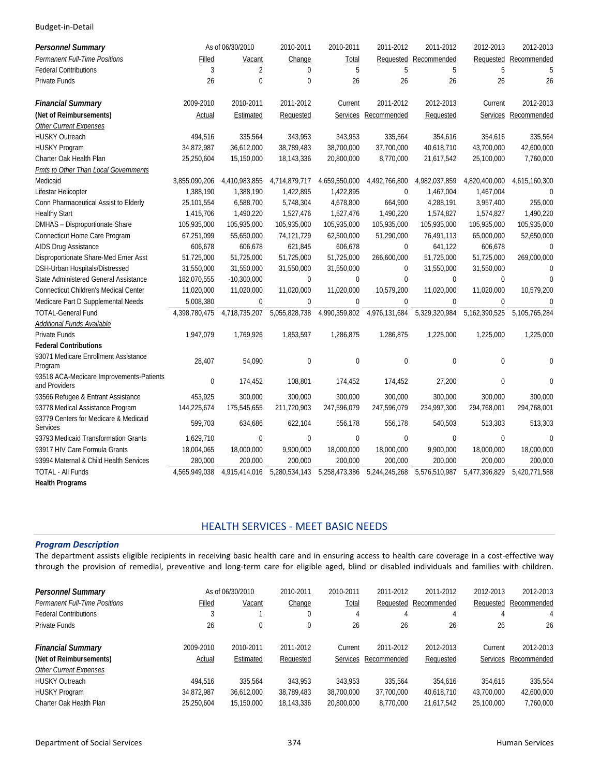| <b>Personnel Summary</b>                                  |               | As of 06/30/2010 | 2010-2011     | 2010-2011       | 2011-2012     | 2011-2012     | 2012-2013        | 2012-2013            |
|-----------------------------------------------------------|---------------|------------------|---------------|-----------------|---------------|---------------|------------------|----------------------|
| <b>Permanent Full-Time Positions</b>                      | Filled        | Vacant           | Change        | Total           | Requested     | Recommended   | Requested        | Recommended          |
| <b>Federal Contributions</b>                              | 3             | $\overline{2}$   | $\Omega$      | 5               | 5             | 5             | 5                | 5                    |
| Private Funds                                             | 26            | $\mathbf 0$      | $\mathbf 0$   | 26              | 26            | 26            | 26               | 26                   |
| <b>Financial Summary</b>                                  | 2009-2010     | 2010-2011        | 2011-2012     | Current         | 2011-2012     | 2012-2013     | Current          | 2012-2013            |
| (Net of Reimbursements)                                   | Actual        | Estimated        | Requested     | <b>Services</b> | Recommended   | Requested     |                  | Services Recommended |
| <b>Other Current Expenses</b>                             |               |                  |               |                 |               |               |                  |                      |
| <b>HUSKY Outreach</b>                                     | 494,516       | 335,564          | 343.953       | 343.953         | 335,564       | 354,616       | 354,616          | 335,564              |
| HUSKY Program                                             | 34,872,987    | 36,612,000       | 38,789,483    | 38,700,000      | 37,700,000    | 40,618,710    | 43,700,000       | 42,600,000           |
| Charter Oak Health Plan                                   | 25,250,604    | 15,150,000       | 18,143,336    | 20,800,000      | 8,770,000     | 21,617,542    | 25,100,000       | 7,760,000            |
| Pmts to Other Than Local Governments                      |               |                  |               |                 |               |               |                  |                      |
| Medicaid                                                  | 3,855,090,206 | 4,410,983,855    | 4,714,879,717 | 4,659,550,000   | 4,492,766,800 | 4,982,037,859 | 4,820,400,000    | 4,615,160,300        |
| Lifestar Helicopter                                       | 1,388,190     | 1,388,190        | 1,422,895     | 1,422,895       | $\mathbf 0$   | 1,467,004     | 1,467,004        | $\Omega$             |
| Conn Pharmaceutical Assist to Elderly                     | 25,101,554    | 6,588,700        | 5,748,304     | 4,678,800       | 664,900       | 4,288,191     | 3,957,400        | 255,000              |
| <b>Healthy Start</b>                                      | 1,415,706     | 1,490,220        | 1,527,476     | 1,527,476       | 1,490,220     | 1,574,827     | 1,574,827        | 1,490,220            |
| DMHAS - Disproportionate Share                            | 105,935,000   | 105,935,000      | 105,935,000   | 105,935,000     | 105,935,000   | 105,935,000   | 105,935,000      | 105,935,000          |
| Connecticut Home Care Program                             | 67,251,099    | 55,650,000       | 74,121,729    | 62,500,000      | 51,290,000    | 76,491,113    | 65,000,000       | 52,650,000           |
| AIDS Drug Assistance                                      | 606,678       | 606,678          | 621,845       | 606,678         | $\mathbf 0$   | 641,122       | 606,678          | $\theta$             |
| Disproportionate Share-Med Emer Asst                      | 51,725,000    | 51,725,000       | 51,725,000    | 51,725,000      | 266,600,000   | 51,725,000    | 51,725,000       | 269,000,000          |
| DSH-Urban Hospitals/Distressed                            | 31,550,000    | 31,550,000       | 31,550,000    | 31,550,000      | $\Omega$      | 31,550,000    | 31,550,000       | $\Omega$             |
| State Administered General Assistance                     | 182,070,555   | $-10,300,000$    | $\mathbf 0$   | $\mathbf 0$     | $\mathbf 0$   | 0             | $\mathbf{0}$     | $\Omega$             |
| <b>Connecticut Children's Medical Center</b>              | 11,020,000    | 11,020,000       | 11,020,000    | 11,020,000      | 10,579,200    | 11,020,000    | 11,020,000       | 10,579,200           |
| Medicare Part D Supplemental Needs                        | 5,008,380     | $\mathbf{0}$     | $\mathbf{0}$  | $\mathbf 0$     | 0             | $\mathbf 0$   | $\mathbf{0}$     | $\Omega$             |
| <b>TOTAL-General Fund</b>                                 | 4,398,780,475 | 4,718,735,207    | 5,055,828,738 | 4,990,359,802   | 4,976,131,684 | 5,329,320,984 | 5,162,390,525    | 5,105,765,284        |
| <b>Additional Funds Available</b>                         |               |                  |               |                 |               |               |                  |                      |
| Private Funds                                             | 1,947,079     | 1,769,926        | 1,853,597     | 1,286,875       | 1,286,875     | 1,225,000     | 1,225,000        | 1,225,000            |
| <b>Federal Contributions</b>                              |               |                  |               |                 |               |               |                  |                      |
| 93071 Medicare Enrollment Assistance<br>Program           | 28,407        | 54,090           | $\mathbf 0$   | $\mathbf 0$     | $\bf{0}$      | $\mathbf{0}$  | $\boldsymbol{0}$ | $\mathbf 0$          |
| 93518 ACA-Medicare Improvements-Patients<br>and Providers | $\mathbf{0}$  | 174,452          | 108,801       | 174,452         | 174,452       | 27,200        | $\overline{0}$   | $\Omega$             |
| 93566 Refugee & Entrant Assistance                        | 453,925       | 300,000          | 300,000       | 300,000         | 300,000       | 300,000       | 300,000          | 300,000              |
| 93778 Medical Assistance Program                          | 144,225,674   | 175,545,655      | 211,720,903   | 247,596,079     | 247,596,079   | 234,997,300   | 294,768,001      | 294,768,001          |
| 93779 Centers for Medicare & Medicaid<br><b>Services</b>  | 599,703       | 634,686          | 622,104       | 556,178         | 556,178       | 540,503       | 513,303          | 513,303              |
| 93793 Medicaid Transformation Grants                      | 1,629,710     | $\mathbf{0}$     | $\mathbf{0}$  | $\mathbf 0$     | $\mathbf 0$   | 0             | $\mathbf{0}$     | $\Omega$             |
| 93917 HIV Care Formula Grants                             | 18,004,065    | 18,000,000       | 9,900,000     | 18,000,000      | 18,000,000    | 9,900,000     | 18,000,000       | 18,000,000           |
| 93994 Maternal & Child Health Services                    | 280,000       | 200,000          | 200,000       | 200,000         | 200,000       | 200,000       | 200,000          | 200,000              |
| <b>TOTAL - All Funds</b>                                  | 4,565,949,038 | 4,915,414,016    | 5,280,534,143 | 5,258,473,386   | 5,244,245,268 | 5,576,510,987 | 5,477,396,829    | 5,420,771,588        |
| <b>Health Programs</b>                                    |               |                  |               |                 |               |               |                  |                      |

# HEALTH SERVICES ‐ MEET BASIC NEEDS

#### *Program Description*

The department assists eligible recipients in receiving basic health care and in ensuring access to health care coverage in a cost-effective way through the provision of remedial, preventive and long‐term care for eligible aged, blind or disabled individuals and families with children.

| <b>Personnel Summary</b>             |            | As of 06/30/2010 | 2010-2011  | 2010-2011    | 2011-2012   | 2011-2012   | 2012-2013  | 2012-2013   |
|--------------------------------------|------------|------------------|------------|--------------|-------------|-------------|------------|-------------|
| <b>Permanent Full-Time Positions</b> | Filled     | Vacant           | Change     | <u>Total</u> | Requested   | Recommended | Requested  | Recommended |
| <b>Federal Contributions</b>         |            |                  | 0          | 4            |             | 4           |            | 4           |
| Private Funds                        | 26         | 0                | 0          | 26           | 26          | 26          | 26         | 26          |
| <b>Financial Summary</b>             | 2009-2010  | 2010-2011        | 2011-2012  | Current      | 2011-2012   | 2012-2013   | Current    | 2012-2013   |
| (Net of Reimbursements)              | Actual     | Estimated        | Requested  | Services     | Recommended | Requested   | Services   | Recommended |
| <b>Other Current Expenses</b>        |            |                  |            |              |             |             |            |             |
| <b>HUSKY Outreach</b>                | 494.516    | 335.564          | 343.953    | 343.953      | 335.564     | 354.616     | 354.616    | 335,564     |
| <b>HUSKY Program</b>                 | 34.872.987 | 36.612.000       | 38.789.483 | 38,700,000   | 37.700.000  | 40.618.710  | 43.700.000 | 42,600,000  |
| Charter Oak Health Plan              | 25.250.604 | 15.150.000       | 18,143,336 | 20,800,000   | 8.770.000   | 21.617.542  | 25.100.000 | 7,760,000   |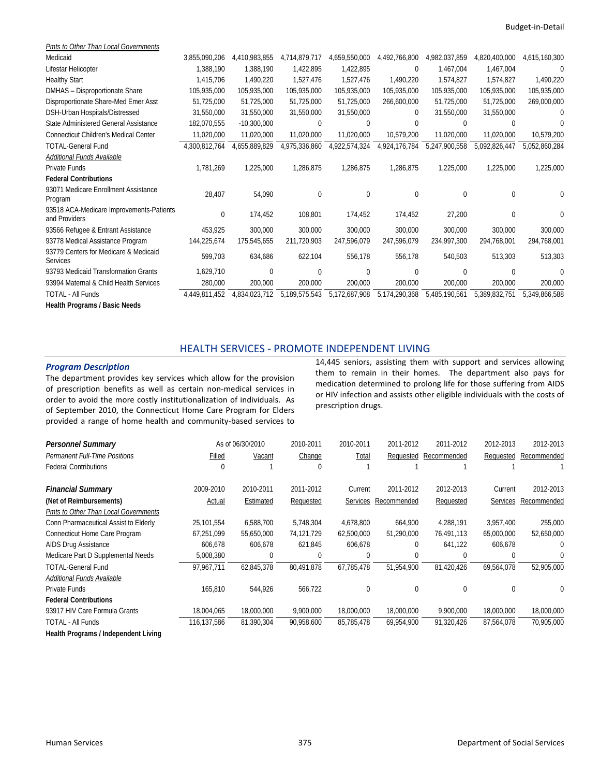| Pmts to Other Than Local Governments                      |               |               |               |               |               |               |               |               |
|-----------------------------------------------------------|---------------|---------------|---------------|---------------|---------------|---------------|---------------|---------------|
| Medicaid                                                  | 3,855,090,206 | 4.410.983.855 | 4.714.879.717 | 4,659,550,000 | 4,492,766,800 | 4,982,037,859 | 4,820,400,000 | 4,615,160,300 |
| Lifestar Helicopter                                       | 1,388,190     | 1,388,190     | 1,422,895     | 1,422,895     | $\bf{0}$      | 1,467,004     | 1,467,004     | $\Omega$      |
| <b>Healthy Start</b>                                      | 1,415,706     | 1,490,220     | 1,527,476     | 1,527,476     | 1,490,220     | 1,574,827     | 1,574,827     | 1,490,220     |
| DMHAS - Disproportionate Share                            | 105,935,000   | 105,935,000   | 105,935,000   | 105,935,000   | 105,935,000   | 105,935,000   | 105,935,000   | 105,935,000   |
| Disproportionate Share-Med Emer Asst                      | 51,725,000    | 51,725,000    | 51,725,000    | 51,725,000    | 266,600,000   | 51,725,000    | 51,725,000    | 269,000,000   |
| DSH-Urban Hospitals/Distressed                            | 31,550,000    | 31,550,000    | 31,550,000    | 31,550,000    | $\Omega$      | 31,550,000    | 31,550,000    |               |
| State Administered General Assistance                     | 182,070,555   | $-10,300,000$ | $\Omega$      | $\theta$      | 0             | $\Omega$      | 0             |               |
| <b>Connecticut Children's Medical Center</b>              | 11,020,000    | 11,020,000    | 11,020,000    | 11,020,000    | 10,579,200    | 11,020,000    | 11,020,000    | 10,579,200    |
| <b>TOTAL-General Fund</b>                                 | 4,300,812,764 | 4,655,889,829 | 4,975,336,860 | 4,922,574,324 | 4,924,176,784 | 5,247,900,558 | 5,092,826,447 | 5,052,860,284 |
| Additional Funds Available                                |               |               |               |               |               |               |               |               |
| Private Funds                                             | 1,781,269     | 1,225,000     | 1,286,875     | 1,286,875     | 1,286,875     | 1,225,000     | 1,225,000     | 1,225,000     |
| <b>Federal Contributions</b>                              |               |               |               |               |               |               |               |               |
| 93071 Medicare Enrollment Assistance<br>Program           | 28,407        | 54,090        | $\mathbf 0$   | 0             | $\mathbf{0}$  | 0             | 0             | $\Omega$      |
| 93518 ACA-Medicare Improvements-Patients<br>and Providers | $\mathbf{0}$  | 174,452       | 108,801       | 174,452       | 174,452       | 27,200        | 0             | 0             |
| 93566 Refugee & Entrant Assistance                        | 453,925       | 300,000       | 300,000       | 300,000       | 300,000       | 300,000       | 300,000       | 300,000       |
| 93778 Medical Assistance Program                          | 144,225,674   | 175,545,655   | 211,720,903   | 247,596,079   | 247,596,079   | 234,997,300   | 294,768,001   | 294,768,001   |
| 93779 Centers for Medicare & Medicaid<br><b>Services</b>  | 599,703       | 634,686       | 622,104       | 556,178       | 556,178       | 540,503       | 513,303       | 513,303       |
| 93793 Medicaid Transformation Grants                      | 1,629,710     | $\Omega$      | $\Omega$      | $\theta$      | 0             | $\Omega$      | U             | $\Omega$      |
| 93994 Maternal & Child Health Services                    | 280,000       | 200,000       | 200,000       | 200,000       | 200,000       | 200,000       | 200,000       | 200,000       |
| <b>TOTAL - All Funds</b>                                  | 4,449,811,452 | 4,834,023,712 | 5,189,575,543 | 5,172,687,908 | 5,174,290,368 | 5,485,190,561 | 5,389,832,751 | 5,349,866,588 |
|                                                           |               |               |               |               |               |               |               |               |

**Health Programs / Basic Needs** 

### HEALTH SERVICES ‐ PROMOTE INDEPENDENT LIVING

#### *Program Description*

The department provides key services which allow for the provision of prescription benefits as well as certain non‐medical services in order to avoid the more costly institutionalization of individuals. As of September 2010, the Connecticut Home Care Program for Elders provided a range of home health and community‐based services to 14,445 seniors, assisting them with support and services allowing them to remain in their homes. The department also pays for medication determined to prolong life for those suffering from AIDS or HIV infection and assists other eligible individuals with the costs of prescription drugs.

| <b>Personnel Summary</b>              |             | As of 06/30/2010 | 2010-2011  | 2010-2011       | 2011-2012    | 2011-2012   | 2012-2013       | 2012-2013   |
|---------------------------------------|-------------|------------------|------------|-----------------|--------------|-------------|-----------------|-------------|
| <b>Permanent Full-Time Positions</b>  | Filled      | Vacant           | Change     | Total           | Requested    | Recommended | Requested       | Recommended |
| <b>Federal Contributions</b>          | 0           |                  |            |                 |              |             |                 |             |
| <b>Financial Summary</b>              | 2009-2010   | 2010-2011        | 2011-2012  | Current         | 2011-2012    | 2012-2013   | Current         | 2012-2013   |
| (Net of Reimbursements)               | Actual      | Estimated        | Requested  | <b>Services</b> | Recommended  | Requested   | <b>Services</b> | Recommended |
| Pmts to Other Than Local Governments  |             |                  |            |                 |              |             |                 |             |
| Conn Pharmaceutical Assist to Elderly | 25,101,554  | 6,588,700        | 5,748,304  | 4.678.800       | 664,900      | 4,288,191   | 3,957,400       | 255,000     |
| Connecticut Home Care Program         | 67,251,099  | 55,650,000       | 74,121,729 | 62,500,000      | 51,290,000   | 76,491,113  | 65,000,000      | 52,650,000  |
| AIDS Drug Assistance                  | 606,678     | 606,678          | 621,845    | 606,678         | $\mathbf{0}$ | 641,122     | 606,678         | $\Omega$    |
| Medicare Part D Supplemental Needs    | 5,008,380   | 0                |            | C               | 0            | $\Omega$    | 0               | $\Omega$    |
| <b>TOTAL-General Fund</b>             | 97,967,711  | 62,845,378       | 80,491,878 | 67,785,478      | 51.954.900   | 81.420.426  | 69,564,078      | 52,905,000  |
| Additional Funds Available            |             |                  |            |                 |              |             |                 |             |
| Private Funds                         | 165,810     | 544,926          | 566,722    | 0               | $\theta$     | $\Omega$    | $\Omega$        | 0           |
| <b>Federal Contributions</b>          |             |                  |            |                 |              |             |                 |             |
| 93917 HIV Care Formula Grants         | 18,004,065  | 18,000,000       | 9,900,000  | 18,000,000      | 18,000,000   | 9,900,000   | 18,000,000      | 18,000,000  |
| <b>TOTAL - All Funds</b>              | 116,137,586 | 81,390,304       | 90,958,600 | 85,785,478      | 69,954,900   | 91,320,426  | 87,564,078      | 70,905,000  |
| Health Programs / Independent Living  |             |                  |            |                 |              |             |                 |             |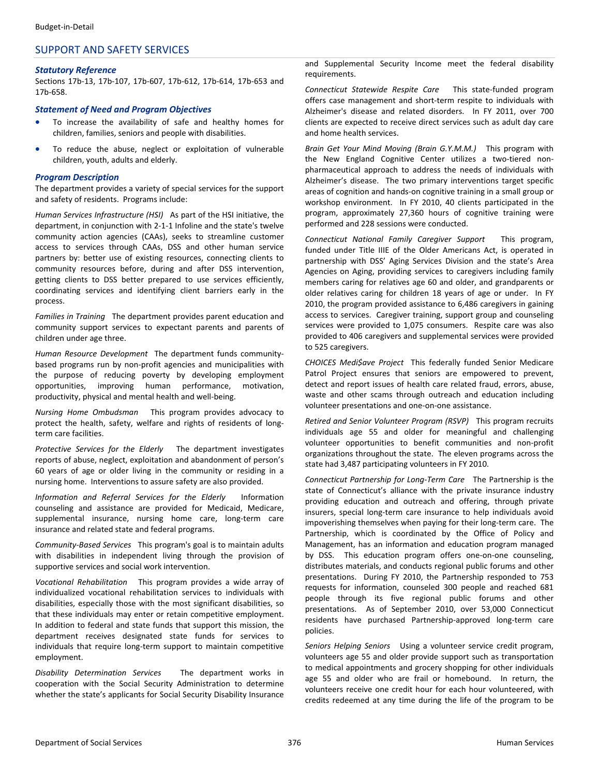#### SUPPORT AND SAFETY SERVICES

#### *Statutory Reference*

Sections 17b‐13, 17b‐107, 17b‐607, 17b‐612, 17b‐614, 17b‐653 and 17b‐658.

#### *Statement of Need and Program Objectives*

- To increase the availability of safe and healthy homes for children, families, seniors and people with disabilities.
- To reduce the abuse, neglect or exploitation of vulnerable children, youth, adults and elderly.

#### *Program Description*

The department provides a variety of special services for the support and safety of residents. Programs include:

*Human Services Infrastructure (HSI)* As part of the HSI initiative, the department, in conjunction with 2‐1‐1 Infoline and the state's twelve community action agencies (CAAs), seeks to streamline customer access to services through CAAs, DSS and other human service partners by: better use of existing resources, connecting clients to community resources before, during and after DSS intervention, getting clients to DSS better prepared to use services efficiently, coordinating services and identifying client barriers early in the process.

*Families in Training* The department provides parent education and community support services to expectant parents and parents of children under age three.

*Human Resource Development* The department funds community‐ based programs run by non‐profit agencies and municipalities with the purpose of reducing poverty by developing employment opportunities, improving human performance, motivation, productivity, physical and mental health and well‐being.

*Nursing Home Ombudsman* This program provides advocacy to protect the health, safety, welfare and rights of residents of long‐ term care facilities.

*Protective Services for the Elderly* The department investigates reports of abuse, neglect, exploitation and abandonment of person's 60 years of age or older living in the community or residing in a nursing home. Interventions to assure safety are also provided.

*Information and Referral Services for the Elderly* Information counseling and assistance are provided for Medicaid, Medicare, supplemental insurance, nursing home care, long-term care insurance and related state and federal programs.

*Community‐Based Services* This program's goal is to maintain adults with disabilities in independent living through the provision of supportive services and social work intervention.

*Vocational Rehabilitation* This program provides a wide array of individualized vocational rehabilitation services to individuals with disabilities, especially those with the most significant disabilities, so that these individuals may enter or retain competitive employment. In addition to federal and state funds that support this mission, the department receives designated state funds for services to individuals that require long‐term support to maintain competitive employment.

*Disability Determination Services* The department works in cooperation with the Social Security Administration to determine whether the state's applicants for Social Security Disability Insurance and Supplemental Security Income meet the federal disability requirements.

*Connecticut Statewide Respite Care* This state‐funded program offers case management and short‐term respite to individuals with Alzheimer's disease and related disorders. In FY 2011, over 700 clients are expected to receive direct services such as adult day care and home health services.

*Brain Get Your Mind Moving (Brain G.Y.M.M.)* This program with the New England Cognitive Center utilizes a two-tiered nonpharmaceutical approach to address the needs of individuals with Alzheimer's disease. The two primary interventions target specific areas of cognition and hands‐on cognitive training in a small group or workshop environment. In FY 2010, 40 clients participated in the program, approximately 27,360 hours of cognitive training were performed and 228 sessions were conducted.

*Connecticut National Family Caregiver Support* This program, funded under Title IIIE of the Older Americans Act, is operated in partnership with DSS' Aging Services Division and the state's Area Agencies on Aging, providing services to caregivers including family members caring for relatives age 60 and older, and grandparents or older relatives caring for children 18 years of age or under. In FY 2010, the program provided assistance to 6,486 caregivers in gaining access to services. Caregiver training, support group and counseling services were provided to 1,075 consumers. Respite care was also provided to 406 caregivers and supplemental services were provided to 525 caregivers.

*CHOICES Medi\$ave Project* This federally funded Senior Medicare Patrol Project ensures that seniors are empowered to prevent, detect and report issues of health care related fraud, errors, abuse, waste and other scams through outreach and education including volunteer presentations and one‐on‐one assistance.

*Retired and Senior Volunteer Program (RSVP)* This program recruits individuals age 55 and older for meaningful and challenging volunteer opportunities to benefit communities and non‐profit organizations throughout the state. The eleven programs across the state had 3,487 participating volunteers in FY 2010.

*Connecticut Partnership for Long‐Term Care* The Partnership is the state of Connecticut's alliance with the private insurance industry providing education and outreach and offering, through private insurers, special long‐term care insurance to help individuals avoid impoverishing themselves when paying for their long-term care. The Partnership, which is coordinated by the Office of Policy and Management, has an information and education program managed by DSS. This education program offers one-on-one counseling, distributes materials, and conducts regional public forums and other presentations. During FY 2010, the Partnership responded to 753 requests for information, counseled 300 people and reached 681 people through its five regional public forums and other presentations. As of September 2010, over 53,000 Connecticut residents have purchased Partnership‐approved long‐term care policies.

*Seniors Helping Seniors* Using a volunteer service credit program, volunteers age 55 and older provide support such as transportation to medical appointments and grocery shopping for other individuals age 55 and older who are frail or homebound. In return, the volunteers receive one credit hour for each hour volunteered, with credits redeemed at any time during the life of the program to be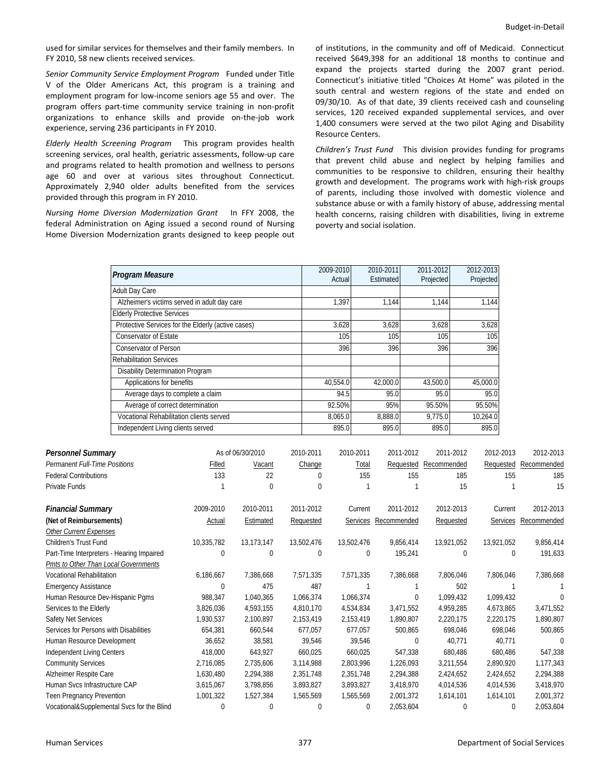used for similar services for themselves and their family members. In FY 2010, 58 new clients received services.

*Senior Community Service Employment Program* Funded under Title V of the Older Americans Act, this program is a training and employment program for low‐income seniors age 55 and over. The program offers part‐time community service training in non‐profit organizations to enhance skills and provide on‐the‐job work experience, serving 236 participants in FY 2010.

*Elderly Health Screening Program*  This program provides health screening services, oral health, geriatric assessments, follow‐up care and programs related to health promotion and wellness to persons age 60 and over at various sites throughout Connecticut. Approximately 2,940 older adults benefited from the services provided through this program in FY 2010.

*Nursing Home Diversion Modernization Grant*  In FFY 2008, the federal Administration on Aging issued a second round of Nursing Home Diversion Modernization grants designed to keep people out of institutions, in the community and off of Medicaid. Connecticut received \$649,398 for an additional 18 months to continue and expand the projects started during the 2007 grant period. Connecticut's initiative titled "Choices At Home" was piloted in the south central and western regions of the state and ended on 09/30/10. As of that date, 39 clients received cash and counseling services, 120 received expanded supplemental services, and over 1,400 consumers were served at the two pilot Aging and Disability Resource Centers.

*Children's Trust Fund*  This division provides funding for programs that prevent child abuse and neglect by helping families and communities to be responsive to children, ensuring their healthy growth and development. The programs work with high‐risk groups of parents, including those involved with domestic violence and substance abuse or with a family history of abuse, addressing mental health concerns, raising children with disabilities, living in extreme poverty and social isolation.

|                               | Program Measure                                    |        |                  |           | 2009-2010<br>Actual |              | 2010-2011<br>Estimated | 2011-2012<br>Projected |           | 2012-2013<br>Projected |     |             |
|-------------------------------|----------------------------------------------------|--------|------------------|-----------|---------------------|--------------|------------------------|------------------------|-----------|------------------------|-----|-------------|
|                               | Adult Day Care                                     |        |                  |           |                     |              |                        |                        |           |                        |     |             |
|                               | Alzheimer's victims served in adult day care       |        |                  |           | 1,397               |              | 1,144                  | 1,144                  |           | 1,144                  |     |             |
|                               | <b>Elderly Protective Services</b>                 |        |                  |           |                     |              |                        |                        |           |                        |     |             |
|                               | Protective Services for the Elderly (active cases) |        |                  |           | 3,628               |              | 3,628                  | 3,628                  |           | 3,628                  |     |             |
|                               | <b>Conservator of Estate</b>                       |        |                  |           | 105                 |              | 105                    | 105                    |           | 105                    |     |             |
|                               | <b>Conservator of Person</b>                       |        |                  |           | 396                 |              | 396                    | 396                    |           | 396                    |     |             |
|                               | <b>Rehabilitation Services</b>                     |        |                  |           |                     |              |                        |                        |           |                        |     |             |
|                               | Disability Determination Program                   |        |                  |           |                     |              |                        |                        |           |                        |     |             |
|                               | Applications for benefits                          |        |                  |           | 40,554.0            |              | 42,000.0               | 43,500.0               |           | 45,000.0               |     |             |
|                               | Average days to complete a claim                   |        |                  |           | 94.5                |              | 95.0                   | 95.0                   |           | 95.0                   |     |             |
|                               | Average of correct determination                   |        |                  |           | 92.50%              |              | 95%                    | 95.50%                 |           | 95.50%                 |     |             |
|                               | Vocational Rehabilitation clients served           |        |                  |           | 8,065.0             |              | 8,888.0                | 9,775.0                |           | 10,264.0               |     |             |
|                               | Independent Living clients served                  |        |                  |           | 895.0               |              | 895.0                  | 895.0                  |           | 895.0                  |     |             |
|                               |                                                    |        |                  |           |                     |              |                        |                        |           |                        |     |             |
| Personnel Summary             |                                                    |        | As of 06/30/2010 | 2010-2011 |                     | 2010-2011    | 2011-2012              |                        | 2011-2012 | 2012-2013              |     | 2012-2013   |
| Permanent Full-Time Positions |                                                    | Filled | Vacant           | Change    |                     | <b>Total</b> | Requested              | Recommended            |           | Requested              |     | Recommended |
| <b>Federal Contributions</b>  |                                                    | 133    | 22               | $\Omega$  |                     | 155          | 155                    |                        | 185       |                        | 155 | 185         |
| Private Funds                 |                                                    |        | $\boldsymbol{0}$ | 0         |                     |              |                        |                        | 15        |                        |     | 15          |
|                               |                                                    |        |                  |           |                     |              |                        |                        |           |                        |     |             |

| <b>Permanent Full-Time Positions</b>       | Filled     | Vacant     | Change      | Total       | Requested   | Recommended | Requested       | Recommended |
|--------------------------------------------|------------|------------|-------------|-------------|-------------|-------------|-----------------|-------------|
| <b>Federal Contributions</b>               | 133        | 22         | $\Omega$    | 155         | 155         | 185         | 155             | 185         |
| Private Funds                              |            | 0          | 0           |             |             | 15          |                 | 15          |
| <b>Financial Summary</b>                   | 2009-2010  | 2010-2011  | 2011-2012   | Current     | 2011-2012   | 2012-2013   | Current         | 2012-2013   |
| (Net of Reimbursements)                    | Actual     | Estimated  | Requested   | Services    | Recommended | Requested   | <b>Services</b> | Recommended |
| <b>Other Current Expenses</b>              |            |            |             |             |             |             |                 |             |
| Children's Trust Fund                      | 10,335,782 | 13,173,147 | 13,502,476  | 13,502,476  | 9,856,414   | 13,921,052  | 13,921,052      | 9,856,414   |
| Part-Time Interpreters - Hearing Impaired  | 0          | 0          | $\mathbf 0$ | $\mathbf 0$ | 195,241     | 0           | 0               | 191,633     |
| Pmts to Other Than Local Governments       |            |            |             |             |             |             |                 |             |
| <b>Vocational Rehabilitation</b>           | 6,186,667  | 7,386,668  | 7,571,335   | 7,571,335   | 7,386,668   | 7,806,046   | 7,806,046       | 7,386,668   |
| <b>Emergency Assistance</b>                | 0          | 475        | 487         |             |             | 502         |                 |             |
| Human Resource Dev-Hispanic Pqms           | 988,347    | 1,040,365  | 1,066,374   | 1,066,374   | $\mathbf 0$ | 1,099,432   | 1,099,432       | ∩           |
| Services to the Elderly                    | 3,826,036  | 4,593,155  | 4,810,170   | 4,534,834   | 3,471,552   | 4,959,285   | 4,673,865       | 3,471,552   |
| Safety Net Services                        | 1,930,537  | 2,100,897  | 2,153,419   | 2,153,419   | 1,890,807   | 2,220,175   | 2,220,175       | 1,890,807   |
| Services for Persons with Disabilities     | 654,381    | 660,544    | 677,057     | 677,057     | 500,865     | 698,046     | 698,046         | 500,865     |
| Human Resource Development                 | 36,652     | 38,581     | 39,546      | 39,546      | $\mathbf 0$ | 40,771      | 40,771          | 0           |
| <b>Independent Living Centers</b>          | 418,000    | 643,927    | 660,025     | 660,025     | 547,338     | 680,486     | 680,486         | 547,338     |
| <b>Community Services</b>                  | 2,716,085  | 2,735,606  | 3,114,988   | 2,803,996   | 1,226,093   | 3,211,554   | 2,890,920       | 1,177,343   |
| Alzheimer Respite Care                     | 1,630,480  | 2,294,388  | 2,351,748   | 2,351,748   | 2,294,388   | 2,424,652   | 2,424,652       | 2,294,388   |
| Human Svcs Infrastructure CAP              | 3,615,067  | 3,798,856  | 3,893,827   | 3,893,827   | 3,418,970   | 4,014,536   | 4,014,536       | 3,418,970   |
| <b>Teen Pregnancy Prevention</b>           | 1,001,322  | 1,527,384  | 1,565,569   | 1,565,569   | 2,001,372   | 1,614,101   | 1,614,101       | 2,001,372   |
| Vocational&Supplemental Svcs for the Blind | 0          | 0          | 0           | $\mathbf 0$ | 2,053,604   | 0           | 0               | 2,053,604   |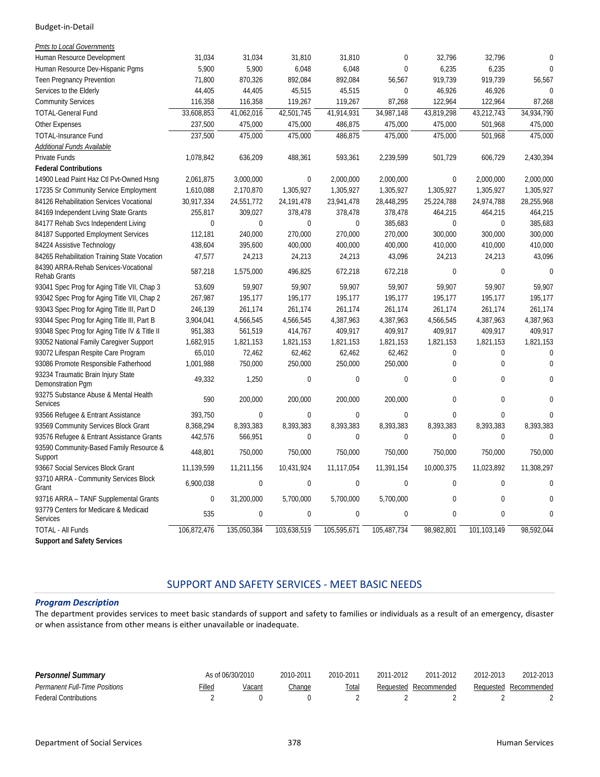| Pmts to Local Governments                                   |              |                |              |                  |             |                  |             |                |
|-------------------------------------------------------------|--------------|----------------|--------------|------------------|-------------|------------------|-------------|----------------|
| Human Resource Development                                  | 31,034       | 31,034         | 31,810       | 31,810           | 0           | 32,796           | 32,796      | $\overline{0}$ |
| Human Resource Dev-Hispanic Pgms                            | 5,900        | 5,900          | 6,048        | 6,048            | $\mathbf 0$ | 6,235            | 6,235       | $\Omega$       |
| Teen Pregnancy Prevention                                   | 71,800       | 870,326        | 892,084      | 892,084          | 56,567      | 919,739          | 919,739     | 56,567         |
| Services to the Elderly                                     | 44,405       | 44,405         | 45,515       | 45,515           | $\mathbf 0$ | 46,926           | 46,926      | $\Omega$       |
| <b>Community Services</b>                                   | 116,358      | 116,358        | 119,267      | 119,267          | 87,268      | 122,964          | 122,964     | 87,268         |
| <b>TOTAL-General Fund</b>                                   | 33,608,853   | 41,062,016     | 42,501,745   | 41,914,931       | 34,987,148  | 43,819,298       | 43,212,743  | 34,934,790     |
| <b>Other Expenses</b>                                       | 237,500      | 475,000        | 475,000      | 486,875          | 475,000     | 475,000          | 501,968     | 475,000        |
| <b>TOTAL-Insurance Fund</b>                                 | 237.500      | 475.000        | 475.000      | 486.875          | 475.000     | 475.000          | 501.968     | 475.000        |
| Additional Funds Available                                  |              |                |              |                  |             |                  |             |                |
| Private Funds                                               | 1,078,842    | 636,209        | 488,361      | 593,361          | 2,239,599   | 501.729          | 606.729     | 2,430,394      |
| <b>Federal Contributions</b>                                |              |                |              |                  |             |                  |             |                |
| 14900 Lead Paint Haz Ctl Pvt-Owned Hsng                     | 2,061,875    | 3,000,000      | $\mathbf{0}$ | 2,000,000        | 2,000,000   | 0                | 2,000,000   | 2,000,000      |
| 17235 Sr Community Service Employment                       | 1,610,088    | 2,170,870      | 1,305,927    | 1,305,927        | 1,305,927   | 1,305,927        | 1,305,927   | 1,305,927      |
| 84126 Rehabilitation Services Vocational                    | 30,917,334   | 24,551,772     | 24, 191, 478 | 23,941,478       | 28,448,295  | 25,224,788       | 24,974,788  | 28,255,968     |
| 84169 Independent Living State Grants                       | 255,817      | 309,027        | 378,478      | 378,478          | 378,478     | 464,215          | 464,215     | 464,215        |
| 84177 Rehab Svcs Independent Living                         | $\mathbf{0}$ | $\mathbf{0}$   | $\mathbf{0}$ | $\mathbf 0$      | 385,683     | $\mathbf 0$      | $\mathbf 0$ | 385,683        |
| 84187 Supported Employment Services                         | 112,181      | 240,000        | 270,000      | 270,000          | 270,000     | 300,000          | 300,000     | 300,000        |
| 84224 Assistive Technology                                  | 438,604      | 395,600        | 400,000      | 400,000          | 400,000     | 410,000          | 410,000     | 410,000        |
| 84265 Rehabilitation Training State Vocation                | 47,577       | 24,213         | 24,213       | 24,213           | 43,096      | 24,213           | 24,213      | 43,096         |
| 84390 ARRA-Rehab Services-Vocational<br><b>Rehab Grants</b> | 587,218      | 1,575,000      | 496,825      | 672,218          | 672,218     | $\mathbf 0$      | $\mathbf 0$ | $\overline{0}$ |
| 93041 Spec Prog for Aging Title VII, Chap 3                 | 53,609       | 59,907         | 59,907       | 59,907           | 59,907      | 59,907           | 59,907      | 59,907         |
| 93042 Spec Prog for Aging Title VII, Chap 2                 | 267,987      | 195,177        | 195,177      | 195,177          | 195,177     | 195,177          | 195,177     | 195,177        |
| 93043 Spec Prog for Aging Title III, Part D                 | 246.139      | 261.174        | 261,174      | 261.174          | 261,174     | 261,174          | 261,174     | 261,174        |
| 93044 Spec Prog for Aging Title III, Part B                 | 3,904,041    | 4,566,545      | 4,566,545    | 4,387,963        | 4,387,963   | 4,566,545        | 4,387,963   | 4,387,963      |
| 93048 Spec Prog for Aging Title IV & Title II               | 951,383      | 561,519        | 414,767      | 409,917          | 409,917     | 409,917          | 409,917     | 409,917        |
| 93052 National Family Caregiver Support                     | 1,682,915    | 1,821,153      | 1,821,153    | 1,821,153        | 1,821,153   | 1,821,153        | 1,821,153   | 1,821,153      |
| 93072 Lifespan Respite Care Program                         | 65,010       | 72,462         | 62,462       | 62,462           | 62,462      | 0                | $\mathbf 0$ | $\overline{0}$ |
| 93086 Promote Responsible Fatherhood                        | 1,001,988    | 750,000        | 250,000      | 250,000          | 250,000     | $\mathbf 0$      | $\theta$    | $\Omega$       |
| 93234 Traumatic Brain Injury State<br>Demonstration Pqm     | 49,332       | 1,250          | $\mathbf 0$  | $\boldsymbol{0}$ | $\pmb{0}$   | $\boldsymbol{0}$ | $\pmb{0}$   | $\Omega$       |
| 93275 Substance Abuse & Mental Health<br><b>Services</b>    | 590          | 200,000        | 200,000      | 200,000          | 200,000     | $\mathbf 0$      | $\Omega$    | $\Omega$       |
| 93566 Refugee & Entrant Assistance                          | 393,750      | $\overline{0}$ | $\mathbf{0}$ | $\pmb{0}$        | $\mathbf 0$ | $\mathbf 0$      | $\mathbf 0$ | $\bigcap$      |
| 93569 Community Services Block Grant                        | 8,368,294    | 8,393,383      | 8,393,383    | 8,393,383        | 8,393,383   | 8,393,383        | 8,393,383   | 8,393,383      |
| 93576 Refugee & Entrant Assistance Grants                   | 442,576      | 566,951        | $\Omega$     | $\boldsymbol{0}$ | $\theta$    | $\boldsymbol{0}$ | $\pmb{0}$   | $\Omega$       |
| 93590 Community-Based Family Resource &<br>Support          | 448,801      | 750,000        | 750,000      | 750,000          | 750,000     | 750,000          | 750,000     | 750,000        |
| 93667 Social Services Block Grant                           | 11,139,599   | 11,211,156     | 10,431,924   | 11,117,054       | 11,391,154  | 10,000,375       | 11,023,892  | 11,308,297     |
| 93710 ARRA - Community Services Block<br>Grant              | 6,900,038    | $\mathbf 0$    | $\mathbf 0$  | $\pmb{0}$        | $\mathbf 0$ | $\mathbf 0$      | $\mathbf 0$ | $\mathbf{0}$   |
| 93716 ARRA - TANF Supplemental Grants                       | $\mathbf 0$  | 31,200,000     | 5,700,000    | 5,700,000        | 5,700,000   | $\boldsymbol{0}$ | $\mathbf 0$ | $\overline{0}$ |
| 93779 Centers for Medicare & Medicaid<br><b>Services</b>    | 535          | $\mathbf 0$    | $\mathbf 0$  | $\pmb{0}$        | $\mathbf 0$ | $\mathbf 0$      | $\mathbf 0$ | $\overline{0}$ |
| <b>TOTAL - All Funds</b>                                    | 106,872,476  | 135,050,384    | 103,638,519  | 105,595,671      | 105,487,734 | 98,982,801       | 101.103.149 | 98.592.044     |
| <b>Support and Safety Services</b>                          |              |                |              |                  |             |                  |             |                |

# SUPPORT AND SAFETY SERVICES ‐ MEET BASIC NEEDS

#### *Program Description*

The department provides services to meet basic standards of support and safety to families or individuals as a result of an emergency, disaster or when assistance from other means is either unavailable or inadequate.

| Personnel Summary             |        | As of 06/30/2010 | 2010-2011     | 2010-2011 | 2011-2012 | 2011-2012             | 2012-2013 | 2012-2013             |
|-------------------------------|--------|------------------|---------------|-----------|-----------|-----------------------|-----------|-----------------------|
| Permanent Full-Time Positions | Filled | Vacant           | <u>Change</u> | Total     |           | Reauested Recommended |           | Requested Recommended |
| <b>Federal Contributions</b>  |        |                  |               |           |           |                       |           |                       |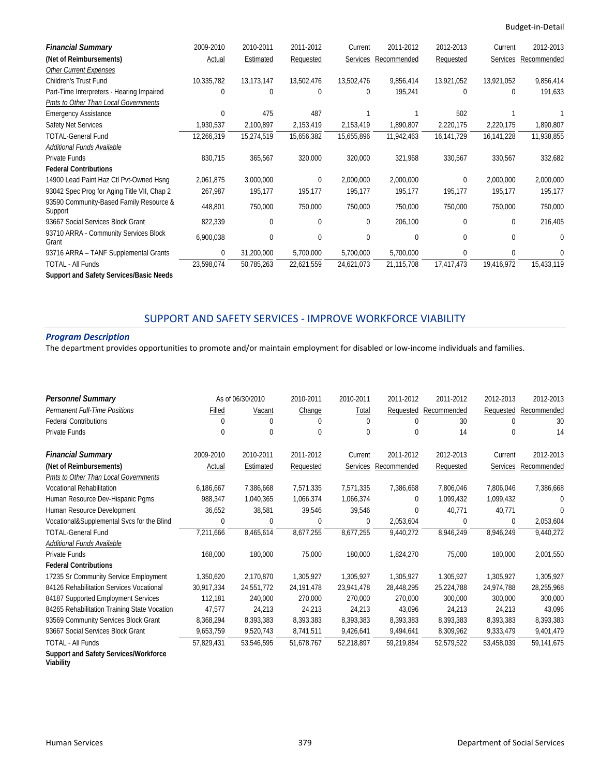| <b>Financial Summary</b>                           | 2009-2010    | 2010-2011  | 2011-2012  | Current    | 2011-2012   | 2012-2013  | Current     | 2012-2013   |
|----------------------------------------------------|--------------|------------|------------|------------|-------------|------------|-------------|-------------|
| (Net of Reimbursements)                            | Actual       | Estimated  | Requested  | Services   | Recommended | Requested  | Services    | Recommended |
| <b>Other Current Expenses</b>                      |              |            |            |            |             |            |             |             |
| <b>Children's Trust Fund</b>                       | 10,335,782   | 13,173,147 | 13,502,476 | 13,502,476 | 9,856,414   | 13,921,052 | 13,921,052  | 9,856,414   |
| Part-Time Interpreters - Hearing Impaired          | $\Omega$     | 0          | $\Omega$   | 0          | 195,241     | $\Omega$   | $\Omega$    | 191,633     |
| Pmts to Other Than Local Governments               |              |            |            |            |             |            |             |             |
| <b>Emergency Assistance</b>                        | $\Omega$     | 475        | 487        |            |             | 502        |             |             |
| Safety Net Services                                | 1,930,537    | 2,100,897  | 2,153,419  | 2,153,419  | 1,890,807   | 2,220,175  | 2,220,175   | 1,890,807   |
| <b>TOTAL-General Fund</b>                          | 12,266,319   | 15,274,519 | 15,656,382 | 15,655,896 | 11,942,463  | 16,141,729 | 16,141,228  | 11,938,855  |
| Additional Funds Available                         |              |            |            |            |             |            |             |             |
| Private Funds                                      | 830,715      | 365,567    | 320,000    | 320,000    | 321,968     | 330,567    | 330,567     | 332,682     |
| <b>Federal Contributions</b>                       |              |            |            |            |             |            |             |             |
| 14900 Lead Paint Haz Ctl Pvt-Owned Hsng            | 2,061,875    | 3,000,000  | $\Omega$   | 2,000,000  | 2,000,000   | 0          | 2,000,000   | 2,000,000   |
| 93042 Spec Prog for Aging Title VII, Chap 2        | 267,987      | 195,177    | 195,177    | 195,177    | 195,177     | 195,177    | 195,177     | 195,177     |
| 93590 Community-Based Family Resource &<br>Support | 448,801      | 750,000    | 750,000    | 750,000    | 750,000     | 750,000    | 750,000     | 750,000     |
| 93667 Social Services Block Grant                  | 822,339      | 0          | $\Omega$   | $\Omega$   | 206,100     | 0          | $\Omega$    | 216,405     |
| 93710 ARRA - Community Services Block<br>Grant     | 6,900,038    | 0          | 0          | 0          | 0           | 0          | $\mathbf 0$ | 0           |
| 93716 ARRA - TANF Supplemental Grants              | $\mathbf{0}$ | 31,200,000 | 5,700,000  | 5,700,000  | 5,700,000   | $\Omega$   | $\Omega$    | $\Omega$    |
| <b>TOTAL - All Funds</b>                           | 23,598,074   | 50,785,263 | 22,621,559 | 24,621,073 | 21,115,708  | 17,417,473 | 19,416,972  | 15,433,119  |
| <b>Support and Safety Services/Basic Needs</b>     |              |            |            |            |             |            |             |             |

# SUPPORT AND SAFETY SERVICES ‐ IMPROVE WORKFORCE VIABILITY

#### *Program Description*

The department provides opportunities to promote and/or maintain employment for disabled or low‐income individuals and families.

| <b>Personnel Summary</b>                     |            | As of 06/30/2010 | 2010-2011        | 2010-2011  | 2011-2012   | 2011-2012   | 2012-2013  | 2012-2013   |
|----------------------------------------------|------------|------------------|------------------|------------|-------------|-------------|------------|-------------|
| Permanent Full-Time Positions                | Filled     | Vacant           | Change           | Total      | Requested   | Recommended | Requested  | Recommended |
| <b>Federal Contributions</b>                 | $\Omega$   | 0                | 0                | 0          | $\Omega$    | 30          | $\theta$   | 30          |
| Private Funds                                | 0          | 0                | $\Omega$         | 0          | $\Omega$    | 14          | 0          | 14          |
| Financial Summary                            | 2009-2010  | 2010-2011        | 2011-2012        | Current    | 2011-2012   | 2012-2013   | Current    | 2012-2013   |
| (Net of Reimbursements)                      | Actual     | Estimated        | <b>Requested</b> | Services   | Recommended | Requested   | Services   | Recommended |
| Pmts to Other Than Local Governments         |            |                  |                  |            |             |             |            |             |
| <b>Vocational Rehabilitation</b>             | 6,186,667  | 7,386,668        | 7,571,335        | 7,571,335  | 7,386,668   | 7,806,046   | 7,806,046  | 7,386,668   |
| Human Resource Dev-Hispanic Pgms             | 988,347    | 1,040,365        | 1,066,374        | 1,066,374  | $\Omega$    | 1,099,432   | 1,099,432  | $\Omega$    |
| Human Resource Development                   | 36,652     | 38,581           | 39,546           | 39,546     | 0           | 40,771      | 40,771     | 0           |
| Vocational&Supplemental Svcs for the Blind   | 0          | 0                | 0                | 0          | 2,053,604   | 0           | 0          | 2,053,604   |
| <b>TOTAL-General Fund</b>                    | 7,211,666  | 8,465,614        | 8,677,255        | 8,677,255  | 9,440,272   | 8,946,249   | 8,946,249  | 9,440,272   |
| Additional Funds Available                   |            |                  |                  |            |             |             |            |             |
| Private Funds                                | 168,000    | 180,000          | 75,000           | 180,000    | 1,824,270   | 75,000      | 180,000    | 2,001,550   |
| <b>Federal Contributions</b>                 |            |                  |                  |            |             |             |            |             |
| 17235 Sr Community Service Employment        | 1,350,620  | 2.170.870        | 1,305,927        | 1,305,927  | 1,305,927   | 1,305,927   | 1,305,927  | 1,305,927   |
| 84126 Rehabilitation Services Vocational     | 30,917,334 | 24,551,772       | 24, 191, 478     | 23,941,478 | 28,448,295  | 25,224,788  | 24,974,788 | 28,255,968  |
| 84187 Supported Employment Services          | 112.181    | 240.000          | 270,000          | 270.000    | 270.000     | 300,000     | 300,000    | 300.000     |
| 84265 Rehabilitation Training State Vocation | 47,577     | 24,213           | 24,213           | 24,213     | 43,096      | 24,213      | 24,213     | 43,096      |
| 93569 Community Services Block Grant         | 8,368,294  | 8,393,383        | 8,393,383        | 8,393,383  | 8,393,383   | 8,393,383   | 8,393,383  | 8,393,383   |
| 93667 Social Services Block Grant            | 9,653,759  | 9,520,743        | 8,741,511        | 9,426,641  | 9,494,641   | 8,309,962   | 9,333,479  | 9,401,479   |
| <b>TOTAL - All Funds</b>                     | 57,829,431 | 53,546,595       | 51,678,767       | 52,218,897 | 59,219,884  | 52,579,522  | 53,458,039 | 59,141,675  |
| <b>Support and Safety Services/Workforce</b> |            |                  |                  |            |             |             |            |             |

**Viability**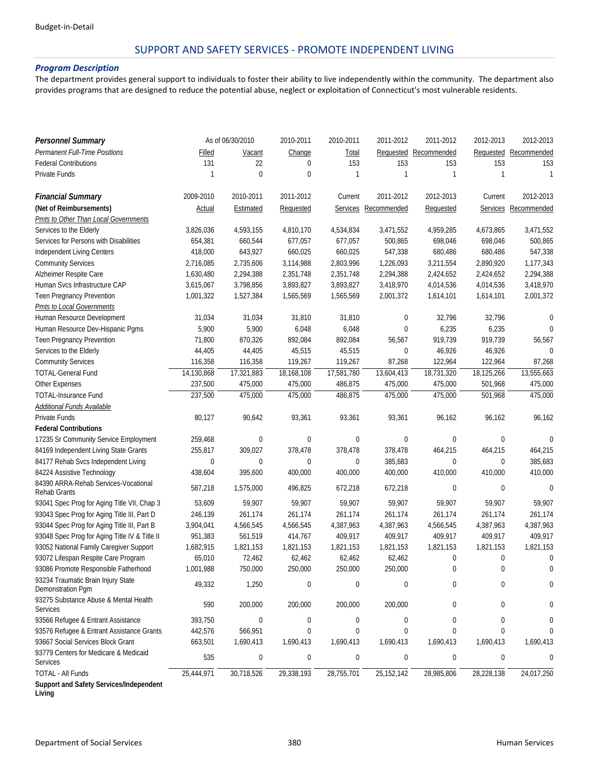## SUPPORT AND SAFETY SERVICES ‐ PROMOTE INDEPENDENT LIVING

#### *Program Description*

The department provides general support to individuals to foster their ability to live independently within the community. The department also provides programs that are designed to reduce the potential abuse, neglect or exploitation of Connecticut's most vulnerable residents.

| <b>Personnel Summary</b>                                 |             | As of 06/30/2010 | 2010-2011        | 2010-2011        | 2011-2012            | 2011-2012        | 2012-2013        | 2012-2013            |
|----------------------------------------------------------|-------------|------------------|------------------|------------------|----------------------|------------------|------------------|----------------------|
| Permanent Full-Time Positions                            | Filled      | Vacant           | Change           | <b>Total</b>     | Requested            | Recommended      | Requested        | Recommended          |
| <b>Federal Contributions</b>                             | 131         | 22               | $\mathbf 0$      | 153              | 153                  | 153              | 153              | 153                  |
| Private Funds                                            | 1           | $\mathbf 0$      | $\mathbf 0$      | 1                | 1                    | $\mathbf{1}$     | $\mathbf{1}$     | $\mathbf{1}$         |
|                                                          |             |                  |                  |                  |                      |                  |                  |                      |
| <b>Financial Summary</b>                                 | 2009-2010   | 2010-2011        | 2011-2012        | Current          | 2011-2012            | 2012-2013        | Current          | 2012-2013            |
| (Net of Reimbursements)                                  | Actual      | Estimated        | Requested        |                  | Services Recommended | Requested        |                  | Services Recommended |
| Pmts to Other Than Local Governments                     |             |                  |                  |                  |                      |                  |                  |                      |
| Services to the Elderly                                  | 3,826,036   | 4,593,155        | 4,810,170        | 4,534,834        | 3,471,552            | 4,959,285        | 4,673,865        | 3,471,552            |
| Services for Persons with Disabilities                   | 654,381     | 660,544          | 677,057          | 677,057          | 500,865              | 698,046          | 698,046          | 500,865              |
| Independent Living Centers                               | 418,000     | 643,927          | 660,025          | 660,025          | 547,338              | 680,486          | 680,486          | 547,338              |
| <b>Community Services</b>                                | 2,716,085   | 2,735,606        | 3,114,988        | 2,803,996        | 1,226,093            | 3,211,554        | 2,890,920        | 1,177,343            |
| Alzheimer Respite Care                                   | 1,630,480   | 2,294,388        | 2,351,748        | 2,351,748        | 2,294,388            | 2,424,652        | 2,424,652        | 2,294,388            |
| Human Svcs Infrastructure CAP                            | 3,615,067   | 3,798,856        | 3,893,827        | 3,893,827        | 3,418,970            | 4,014,536        | 4,014,536        | 3,418,970            |
| Teen Pregnancy Prevention                                | 1,001,322   | 1,527,384        | 1,565,569        | 1,565,569        | 2,001,372            | 1,614,101        | 1,614,101        | 2,001,372            |
| Pmts to Local Governments                                |             |                  |                  |                  |                      |                  |                  |                      |
| Human Resource Development                               | 31,034      | 31,034           | 31,810           | 31,810           | 0                    | 32,796           | 32,796           | 0                    |
| Human Resource Dev-Hispanic Pgms                         | 5,900       | 5,900            | 6,048            | 6,048            | 0                    | 6,235            | 6,235            | $\Omega$             |
| Teen Pregnancy Prevention                                | 71,800      | 870,326          | 892,084          | 892,084          | 56,567               | 919,739          | 919,739          | 56,567               |
| Services to the Elderly                                  | 44,405      | 44,405           | 45,515           | 45,515           | $\mathbf 0$          | 46,926           | 46,926           | $\Omega$             |
| <b>Community Services</b>                                | 116,358     | 116,358          | 119,267          | 119,267          | 87,268               | 122,964          | 122,964          | 87,268               |
| <b>TOTAL-General Fund</b>                                | 14,130,868  | 17,321,883       | 18,168,108       | 17,581,780       | 13,604,413           | 18,731,320       | 18,125,266       | 13,555,663           |
| Other Expenses                                           | 237,500     | 475,000          | 475,000          | 486,875          | 475,000              | 475,000          | 501,968          | 475,000              |
| <b>TOTAL-Insurance Fund</b>                              | 237,500     | 475,000          | 475.000          | 486,875          | 475,000              | 475.000          | 501,968          | 475,000              |
| Additional Funds Available                               |             |                  |                  |                  |                      |                  |                  |                      |
| Private Funds                                            | 80,127      | 90,642           | 93,361           | 93,361           | 93,361               | 96,162           | 96,162           | 96,162               |
| <b>Federal Contributions</b>                             |             |                  |                  |                  |                      |                  |                  |                      |
| 17235 Sr Community Service Employment                    | 259,468     | 0                | $\mathbf 0$      | $\boldsymbol{0}$ | $\pmb{0}$            | $\mathbf 0$      | $\mathbf 0$      | $\mathbf 0$          |
| 84169 Independent Living State Grants                    | 255,817     | 309,027          | 378,478          | 378,478          | 378,478              | 464,215          | 464,215          | 464,215              |
| 84177 Rehab Svcs Independent Living                      | $\mathbf 0$ | $\mathbf 0$      | $\mathbf 0$      | $\bf{0}$         | 385,683              | 0                | $\mathbf 0$      | 385,683              |
| 84224 Assistive Technology                               | 438,604     | 395,600          | 400,000          | 400,000          | 400,000              | 410,000          | 410,000          | 410,000              |
| 84390 ARRA-Rehab Services-Vocational                     | 587,218     | 1,575,000        | 496,825          | 672,218          | 672,218              | 0                | $\mathbf 0$      | $\mathbf 0$          |
| <b>Rehab Grants</b>                                      |             |                  |                  |                  |                      |                  |                  |                      |
| 93041 Spec Prog for Aging Title VII, Chap 3              | 53,609      | 59,907           | 59,907           | 59,907           | 59,907               | 59,907           | 59,907           | 59,907               |
| 93043 Spec Prog for Aging Title III, Part D              | 246,139     | 261,174          | 261,174          | 261,174          | 261,174              | 261,174          | 261,174          | 261,174              |
| 93044 Spec Prog for Aging Title III, Part B              | 3,904,041   | 4,566,545        | 4,566,545        | 4,387,963        | 4,387,963            | 4,566,545        | 4,387,963        | 4,387,963            |
| 93048 Spec Prog for Aging Title IV & Title II            | 951,383     | 561,519          | 414,767          | 409,917          | 409,917              | 409,917          | 409,917          | 409,917              |
| 93052 National Family Caregiver Support                  | 1,682,915   | 1,821,153        | 1,821,153        | 1,821,153        | 1,821,153            | 1,821,153        | 1,821,153        | 1,821,153            |
| 93072 Lifespan Respite Care Program                      | 65,010      | 72,462           | 62,462           | 62,462           | 62,462               | $\boldsymbol{0}$ | $\boldsymbol{0}$ | 0                    |
| 93086 Promote Responsible Fatherhood                     | 1,001,988   | 750,000          | 250,000          | 250,000          | 250,000              | $\mathbf 0$      | $\mathbf 0$      | 0                    |
| 93234 Traumatic Brain Injury State<br>Demonstration Pgm  | 49,332      | 1,250            | $\boldsymbol{0}$ | 0                | 0                    | 0                | 0                | 0                    |
| 93275 Substance Abuse & Mental Health<br>Services        | 590         | 200,000          | 200,000          | 200,000          | 200,000              | 0                | 0                | 0                    |
| 93566 Refugee & Entrant Assistance                       | 393,750     | 0                | 0                | 0                | 0                    | 0                | 0                | 0                    |
| 93576 Refugee & Entrant Assistance Grants                | 442,576     | 566,951          | $\boldsymbol{0}$ | 0                | 0                    | $\mathbf{0}$     | 0                | 0                    |
| 93667 Social Services Block Grant                        | 663,501     | 1,690,413        | 1,690,413        | 1,690,413        | 1,690,413            | 1,690,413        | 1,690,413        | 1,690,413            |
| 93779 Centers for Medicare & Medicaid<br><b>Services</b> | 535         | 0                | $\boldsymbol{0}$ | 0                | $\boldsymbol{0}$     | $\boldsymbol{0}$ | $\boldsymbol{0}$ | 0                    |
| TOTAL - All Funds                                        | 25,444,971  | 30,718,526       | 29,338,193       | 28,755,701       | 25, 152, 142         | 28,985,806       | 28,228,138       | 24,017,250           |
| Support and Safety Services/Independent                  |             |                  |                  |                  |                      |                  |                  |                      |

**Living**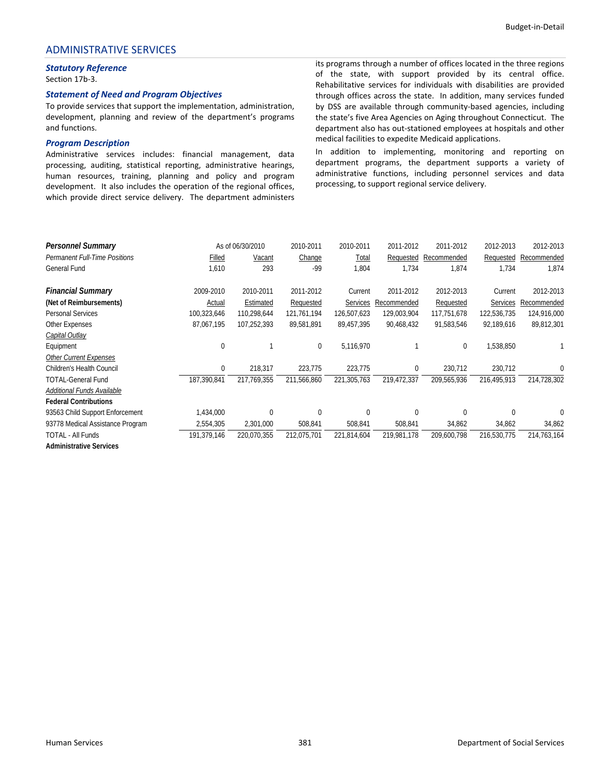# ADMINISTRATIVE SERVICES

# *Statutory Reference*

Section 17b‐3.

#### *Statement of Need and Program Objectives*

To provide services that support the implementation, administration, development, planning and review of the department's programs and functions.

#### *Program Description*

Administrative services includes: financial management, data processing, auditing, statistical reporting, administrative hearings, human resources, training, planning and policy and program development. It also includes the operation of the regional offices, which provide direct service delivery. The department administers its programs through a number of offices located in the three regions of the state, with support provided by its central office. Rehabilitative services for individuals with disabilities are provided through offices across the state. In addition, many services funded by DSS are available through community‐based agencies, including the state's five Area Agencies on Aging throughout Connecticut. The department also has out‐stationed employees at hospitals and other medical facilities to expedite Medicaid applications.

In addition to implementing, monitoring and reporting on department programs, the department supports a variety of administrative functions, including personnel services and data processing, to support regional service delivery.

| <b>Personnel Summary</b>             |             | As of 06/30/2010 | 2010-2011   | 2010-2011   | 2011-2012   | 2011-2012   | 2012-2013   | 2012-2013   |
|--------------------------------------|-------------|------------------|-------------|-------------|-------------|-------------|-------------|-------------|
| <b>Permanent Full-Time Positions</b> | Filled      | Vacant           | Change      | Total       | Requested   | Recommended | Requested   | Recommended |
| General Fund                         | 1,610       | 293              | $-99$       | 1,804       | 1,734       | 1,874       | 1,734       | 1,874       |
| <b>Financial Summary</b>             | 2009-2010   | 2010-2011        | 2011-2012   | Current     | 2011-2012   | 2012-2013   | Current     | 2012-2013   |
| (Net of Reimbursements)              | Actual      | Estimated        | Requested   | Services    | Recommended | Requested   | Services    | Recommended |
| <b>Personal Services</b>             | 100,323,646 | 110,298,644      | 121,761,194 | 126,507,623 | 129,003,904 | 117,751,678 | 122,536,735 | 124,916,000 |
| <b>Other Expenses</b>                | 87,067,195  | 107,252,393      | 89,581,891  | 89,457,395  | 90,468,432  | 91,583,546  | 92,189,616  | 89,812,301  |
| Capital Outlay                       |             |                  |             |             |             |             |             |             |
| Equipment                            | $\Omega$    |                  | 0           | 5,116,970   |             | 0           | 1,538,850   |             |
| <b>Other Current Expenses</b>        |             |                  |             |             |             |             |             |             |
| <b>Children's Health Council</b>     | 0           | 218,317          | 223,775     | 223,775     | 0           | 230,712     | 230,712     | 0           |
| <b>TOTAL-General Fund</b>            | 187,390,841 | 217.769.355      | 211,566,860 | 221,305,763 | 219,472,337 | 209,565,936 | 216,495,913 | 214,728,302 |
| Additional Funds Available           |             |                  |             |             |             |             |             |             |
| <b>Federal Contributions</b>         |             |                  |             |             |             |             |             |             |
| 93563 Child Support Enforcement      | 1,434,000   | 0                | 0           | $\mathbf 0$ | $\Omega$    | $\Omega$    | $\Omega$    | 0           |
| 93778 Medical Assistance Program     | 2,554,305   | 2,301,000        | 508,841     | 508,841     | 508,841     | 34,862      | 34,862      | 34,862      |
| <b>TOTAL - All Funds</b>             | 191,379,146 | 220,070,355      | 212,075,701 | 221,814,604 | 219.981.178 | 209,600,798 | 216,530,775 | 214,763,164 |
| <b>Administrative Services</b>       |             |                  |             |             |             |             |             |             |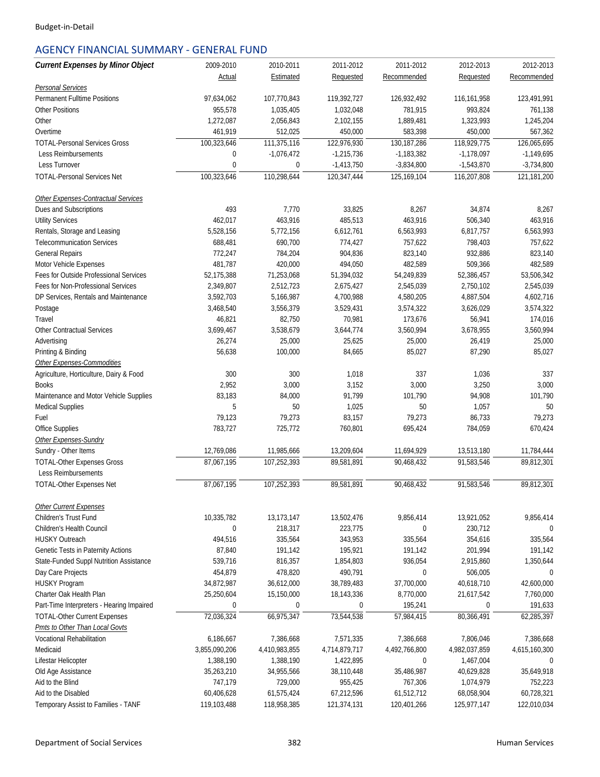# AGENCY FINANCIAL SUMMARY ‐ GENERAL FUND

| <b>Current Expenses by Minor Object</b>   | 2009-2010        | 2010-2011     | 2011-2012     | 2011-2012     | 2012-2013     | 2012-2013     |
|-------------------------------------------|------------------|---------------|---------------|---------------|---------------|---------------|
|                                           | Actual           | Estimated     | Requested     | Recommended   | Requested     | Recommended   |
| <b>Personal Services</b>                  |                  |               |               |               |               |               |
| <b>Permanent Fulltime Positions</b>       | 97,634,062       | 107,770,843   | 119,392,727   | 126,932,492   | 116,161,958   | 123,491,991   |
| <b>Other Positions</b>                    | 955,578          | 1.035.405     | 1,032,048     | 781,915       | 993,824       | 761,138       |
| Other                                     | 1,272,087        | 2,056,843     | 2,102,155     | 1,889,481     | 1,323,993     | 1,245,204     |
| Overtime                                  | 461,919          | 512,025       | 450,000       | 583,398       | 450,000       | 567,362       |
| <b>TOTAL-Personal Services Gross</b>      | 100,323,646      | 111,375,116   | 122,976,930   | 130,187,286   | 118,929,775   | 126,065,695   |
| Less Reimbursements                       | $\mathbf 0$      | $-1,076,472$  | $-1,215,736$  | $-1,183,382$  | $-1,178,097$  | $-1,149,695$  |
| Less Turnover                             | $\mathbf{0}$     | $\mathbf 0$   | $-1,413,750$  | $-3,834,800$  | $-1,543,870$  | $-3,734,800$  |
| <b>TOTAL-Personal Services Net</b>        | 100,323,646      | 110,298,644   | 120,347,444   | 125,169,104   | 116,207,808   | 121,181,200   |
| Other Expenses-Contractual Services       |                  |               |               |               |               |               |
| Dues and Subscriptions                    | 493              | 7,770         | 33,825        | 8,267         | 34,874        | 8,267         |
| <b>Utility Services</b>                   | 462,017          | 463,916       | 485,513       | 463,916       | 506,340       | 463,916       |
| Rentals, Storage and Leasing              | 5,528,156        | 5,772,156     | 6,612,761     | 6,563,993     | 6,817,757     | 6,563,993     |
| <b>Telecommunication Services</b>         | 688,481          | 690,700       | 774,427       | 757,622       | 798,403       | 757,622       |
| <b>General Repairs</b>                    | 772,247          | 784,204       | 904,836       | 823,140       | 932,886       | 823,140       |
| Motor Vehicle Expenses                    | 481,787          | 420,000       | 494,050       | 482,589       | 509,366       | 482,589       |
| Fees for Outside Professional Services    | 52,175,388       | 71,253,068    | 51,394,032    | 54,249,839    | 52,386,457    | 53,506,342    |
| Fees for Non-Professional Services        | 2,349,807        | 2,512,723     | 2,675,427     | 2,545,039     | 2,750,102     | 2,545,039     |
| DP Services, Rentals and Maintenance      | 3,592,703        | 5,166,987     | 4,700,988     | 4,580,205     | 4,887,504     | 4,602,716     |
| Postage                                   | 3,468,540        | 3,556,379     | 3,529,431     | 3,574,322     | 3,626,029     | 3,574,322     |
| Travel                                    | 46,821           | 82,750        | 70,981        | 173,676       | 56,941        | 174,016       |
| <b>Other Contractual Services</b>         | 3,699,467        | 3,538,679     | 3,644,774     | 3,560,994     | 3,678,955     | 3,560,994     |
| Advertising                               | 26,274           | 25,000        | 25,625        | 25,000        | 26,419        | 25,000        |
| Printing & Binding                        | 56,638           | 100,000       | 84,665        | 85,027        | 87,290        | 85,027        |
| Other Expenses-Commodities                |                  |               |               |               |               |               |
| Agriculture, Horticulture, Dairy & Food   | 300              | 300           | 1,018         | 337           | 1,036         | 337           |
| <b>Books</b>                              | 2,952            | 3,000         | 3,152         | 3,000         | 3,250         | 3,000         |
| Maintenance and Motor Vehicle Supplies    | 83,183           | 84,000        | 91,799        | 101,790       | 94,908        | 101,790       |
| <b>Medical Supplies</b>                   | 5                | 50            | 1,025         | 50            | 1,057         | 50            |
| Fuel                                      | 79,123           | 79,273        | 83,157        | 79,273        | 86,733        | 79,273        |
| Office Supplies                           | 783,727          | 725,772       | 760,801       | 695,424       | 784,059       | 670,424       |
| Other Expenses-Sundry                     |                  |               |               |               |               |               |
| Sundry - Other Items                      | 12,769,086       | 11,985,666    | 13,209,604    | 11,694,929    | 13.513.180    | 11,784,444    |
| <b>TOTAL-Other Expenses Gross</b>         | 87,067,195       | 107,252,393   | 89,581,891    | 90,468,432    | 91,583,546    | 89,812,301    |
| Less Reimbursements                       |                  |               |               |               |               |               |
| <b>TOTAL-Other Expenses Net</b>           | 87,067,195       | 107,252,393   | 89,581,891    | 90,468,432    | 91,583,546    | 89,812,301    |
| <b>Other Current Expenses</b>             |                  |               |               |               |               |               |
| Children's Trust Fund                     | 10,335,782       | 13,173,147    | 13,502,476    | 9,856,414     | 13,921,052    | 9,856,414     |
| Children's Health Council                 | $\mathbf 0$      | 218,317       | 223,775       | 0             | 230,712       | $\Omega$      |
| <b>HUSKY Outreach</b>                     | 494,516          | 335,564       | 343,953       | 335,564       | 354,616       | 335,564       |
| Genetic Tests in Paternity Actions        | 87,840           | 191,142       | 195,921       | 191,142       | 201,994       | 191,142       |
| State-Funded Suppl Nutrition Assistance   | 539,716          | 816,357       | 1,854,803     | 936,054       | 2,915,860     | 1,350,644     |
| Day Care Projects                         | 454,879          | 478,820       | 490,791       | 0             | 506,005       | 0             |
| HUSKY Program                             | 34,872,987       | 36,612,000    | 38,789,483    | 37,700,000    | 40,618,710    | 42,600,000    |
| Charter Oak Health Plan                   | 25,250,604       | 15,150,000    | 18,143,336    | 8,770,000     | 21,617,542    | 7,760,000     |
| Part-Time Interpreters - Hearing Impaired | $\boldsymbol{0}$ | 0             | 0             | 195,241       | 0             | 191,633       |
| <b>TOTAL-Other Current Expenses</b>       | 72,036,324       | 66,975,347    | 73,544,538    | 57,984,415    | 80,366,491    | 62,285,397    |
| Pmts to Other Than Local Govts            |                  |               |               |               |               |               |
| Vocational Rehabilitation                 | 6,186,667        | 7,386,668     | 7,571,335     | 7,386,668     | 7,806,046     | 7,386,668     |
| Medicaid                                  | 3,855,090,206    | 4,410,983,855 | 4,714,879,717 | 4,492,766,800 | 4,982,037,859 | 4,615,160,300 |
| Lifestar Helicopter                       | 1,388,190        | 1,388,190     | 1,422,895     | 0             | 1,467,004     | 0             |
| Old Age Assistance                        | 35,263,210       | 34,955,566    | 38,110,448    | 35,486,987    | 40,629,828    | 35,649,918    |
| Aid to the Blind                          | 747,179          | 729,000       | 955,425       | 767,306       | 1,074,979     | 752,223       |
| Aid to the Disabled                       | 60,406,628       | 61,575,424    | 67,212,596    | 61,512,712    | 68,058,904    | 60,728,321    |
| Temporary Assist to Families - TANF       | 119,103,488      | 118,958,385   | 121,374,131   | 120,401,266   | 125,977,147   | 122,010,034   |
|                                           |                  |               |               |               |               |               |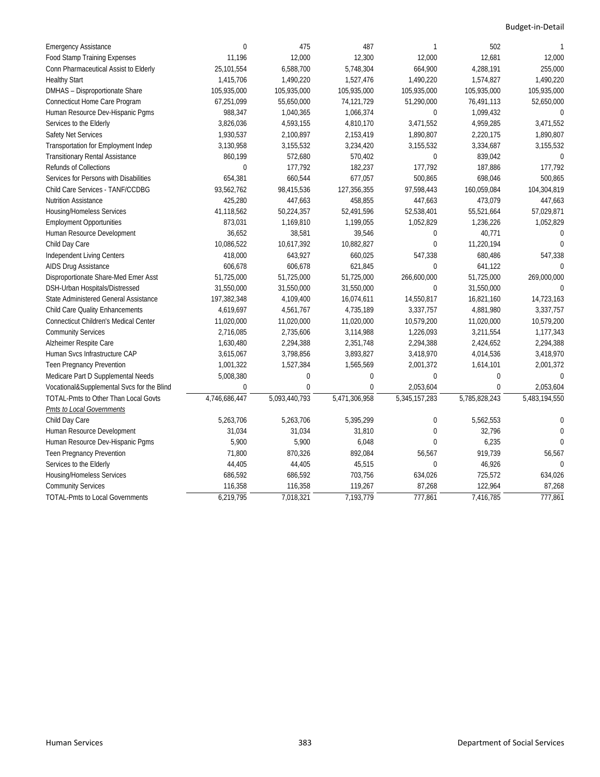| <b>Emergency Assistance</b>                  | $\mathbf{0}$  | 475           | 487           | 1              | 502           | 1             |
|----------------------------------------------|---------------|---------------|---------------|----------------|---------------|---------------|
| <b>Food Stamp Training Expenses</b>          | 11,196        | 12,000        | 12,300        | 12,000         | 12,681        | 12,000        |
| Conn Pharmaceutical Assist to Elderly        | 25,101,554    | 6,588,700     | 5,748,304     | 664,900        | 4,288,191     | 255,000       |
| <b>Healthy Start</b>                         | 1,415,706     | 1,490,220     | 1,527,476     | 1,490,220      | 1,574,827     | 1,490,220     |
| DMHAS - Disproportionate Share               | 105,935,000   | 105,935,000   | 105,935,000   | 105,935,000    | 105,935,000   | 105,935,000   |
| Connecticut Home Care Program                | 67,251,099    | 55,650,000    | 74,121,729    | 51,290,000     | 76,491,113    | 52,650,000    |
| Human Resource Dev-Hispanic Pgms             | 988,347       | 1,040,365     | 1,066,374     | 0              | 1,099,432     | $\mathbf 0$   |
| Services to the Elderly                      | 3,826,036     | 4,593,155     | 4,810,170     | 3,471,552      | 4,959,285     | 3,471,552     |
| Safety Net Services                          | 1,930,537     | 2,100,897     | 2,153,419     | 1,890,807      | 2,220,175     | 1,890,807     |
| Transportation for Employment Indep          | 3,130,958     | 3,155,532     | 3,234,420     | 3,155,532      | 3,334,687     | 3,155,532     |
| <b>Transitionary Rental Assistance</b>       | 860,199       | 572,680       | 570,402       | 0              | 839,042       | $\theta$      |
| <b>Refunds of Collections</b>                | $\mathbf 0$   | 177,792       | 182,237       | 177,792        | 187,886       | 177,792       |
| Services for Persons with Disabilities       | 654,381       | 660,544       | 677,057       | 500,865        | 698,046       | 500,865       |
| Child Care Services - TANF/CCDBG             | 93,562,762    | 98,415,536    | 127,356,355   | 97,598,443     | 160,059,084   | 104,304,819   |
| <b>Nutrition Assistance</b>                  | 425,280       | 447,663       | 458,855       | 447,663        | 473,079       | 447,663       |
| <b>Housing/Homeless Services</b>             | 41,118,562    | 50,224,357    | 52,491,596    | 52,538,401     | 55,521,664    | 57,029,871    |
| <b>Employment Opportunities</b>              | 873,031       | 1,169,810     | 1,199,055     | 1,052,829      | 1,236,226     | 1,052,829     |
| Human Resource Development                   | 36,652        | 38,581        | 39,546        | 0              | 40,771        | 0             |
| Child Day Care                               | 10,086,522    | 10,617,392    | 10,882,827    | 0              | 11,220,194    | $\Omega$      |
| Independent Living Centers                   | 418,000       | 643,927       | 660,025       | 547,338        | 680,486       | 547,338       |
| AIDS Drug Assistance                         | 606,678       | 606,678       | 621,845       | $\Omega$       | 641,122       | U             |
| Disproportionate Share-Med Emer Asst         | 51,725,000    | 51,725,000    | 51,725,000    | 266,600,000    | 51,725,000    | 269,000,000   |
| DSH-Urban Hospitals/Distressed               | 31,550,000    | 31,550,000    | 31,550,000    | 0              | 31,550,000    | $\Omega$      |
| State Administered General Assistance        | 197,382,348   | 4,109,400     | 16,074,611    | 14,550,817     | 16,821,160    | 14,723,163    |
| Child Care Quality Enhancements              | 4,619,697     | 4,561,767     | 4,735,189     | 3,337,757      | 4,881,980     | 3,337,757     |
| <b>Connecticut Children's Medical Center</b> | 11,020,000    | 11,020,000    | 11,020,000    | 10,579,200     | 11,020,000    | 10,579,200    |
| <b>Community Services</b>                    | 2,716,085     | 2,735,606     | 3,114,988     | 1,226,093      | 3,211,554     | 1,177,343     |
| Alzheimer Respite Care                       | 1,630,480     | 2,294,388     | 2,351,748     | 2,294,388      | 2,424,652     | 2,294,388     |
| Human Svcs Infrastructure CAP                | 3,615,067     | 3,798,856     | 3,893,827     | 3,418,970      | 4,014,536     | 3,418,970     |
| <b>Teen Pregnancy Prevention</b>             | 1,001,322     | 1,527,384     | 1,565,569     | 2,001,372      | 1,614,101     | 2,001,372     |
| Medicare Part D Supplemental Needs           | 5,008,380     | $\mathbf 0$   | 0             | 0              | $\mathbf 0$   | 0             |
| Vocational&Supplemental Svcs for the Blind   | $\mathbf{0}$  | $\mathbf 0$   | 0             | 2,053,604      | $\mathbf 0$   | 2,053,604     |
| <b>TOTAL-Pmts to Other Than Local Govts</b>  | 4,746,686,447 | 5,093,440,793 | 5,471,306,958 | 5,345,157,283  | 5,785,828,243 | 5,483,194,550 |
| Pmts to Local Governments                    |               |               |               |                |               |               |
| Child Day Care                               | 5,263,706     | 5,263,706     | 5,395,299     | 0              | 5,562,553     | 0             |
| Human Resource Development                   | 31,034        | 31,034        | 31,810        | $\overline{0}$ | 32,796        | 0             |
| Human Resource Dev-Hispanic Pgms             | 5,900         | 5,900         | 6,048         | $\Omega$       | 6,235         | $\Omega$      |
| Teen Pregnancy Prevention                    | 71,800        | 870,326       | 892,084       | 56,567         | 919,739       | 56,567        |
| Services to the Elderly                      | 44,405        | 44,405        | 45,515        | $\Omega$       | 46,926        | $\Omega$      |
| Housing/Homeless Services                    | 686,592       | 686,592       | 703,756       | 634,026        | 725,572       | 634,026       |
| <b>Community Services</b>                    | 116,358       | 116,358       | 119,267       | 87,268         | 122,964       | 87,268        |
| <b>TOTAL-Pmts to Local Governments</b>       | 6,219,795     | 7,018,321     | 7,193,779     | 777,861        | 7,416,785     | 777,861       |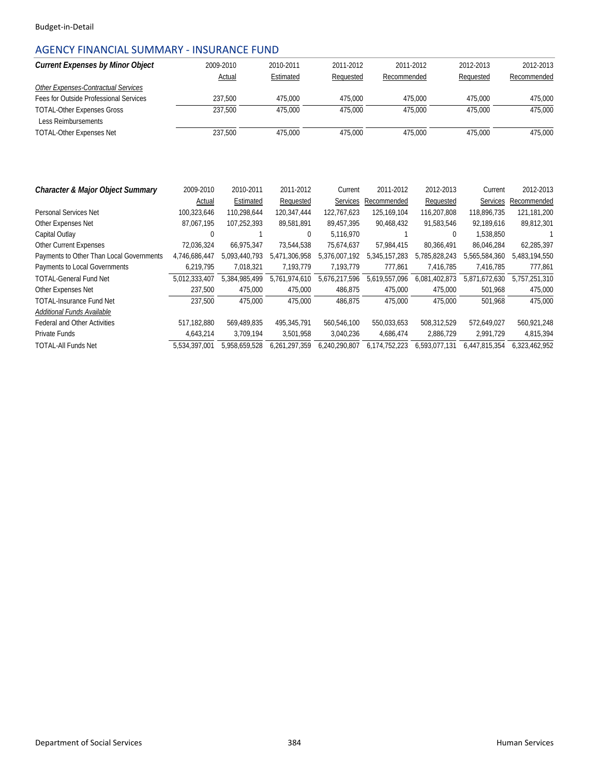# AGENCY FINANCIAL SUMMARY ‐ INSURANCE FUND

| <b>Current Expenses by Minor Object</b>                         |               | 2009-2010     | 2010-2011     | 2011-2012     |               | 2011-2012     | 2012-2013     | 2012-2013     |
|-----------------------------------------------------------------|---------------|---------------|---------------|---------------|---------------|---------------|---------------|---------------|
|                                                                 |               | Actual        | Estimated     | Requested     | Recommended   |               | Requested     | Recommended   |
| Other Expenses-Contractual Services                             |               |               |               |               |               |               |               |               |
| Fees for Outside Professional Services                          |               | 237,500       | 475,000       | 475,000       |               | 475,000       | 475,000       | 475,000       |
| <b>TOTAL-Other Expenses Gross</b><br><b>Less Reimbursements</b> |               | 237,500       | 475.000       | 475.000       |               | 475,000       | 475.000       | 475,000       |
| <b>TOTAL-Other Expenses Net</b>                                 |               | 237,500       | 475,000       | 475,000       |               | 475,000       | 475,000       | 475,000       |
|                                                                 |               |               |               |               |               |               |               |               |
| Character & Major Object Summary                                | 2009-2010     | 2010-2011     | 2011-2012     | Current       | 2011-2012     | 2012-2013     | Current       | 2012-2013     |
|                                                                 | Actual        | Estimated     | Requested     | Services      | Recommended   | Requested     | Services      | Recommended   |
| Personal Services Net                                           | 100,323,646   | 110,298,644   | 120,347,444   | 122,767,623   | 125,169,104   | 116,207,808   | 118,896,735   | 121,181,200   |
| Other Expenses Net                                              | 87,067,195    | 107,252,393   | 89,581,891    | 89,457,395    | 90,468,432    | 91,583,546    | 92,189,616    | 89,812,301    |
| Capital Outlay                                                  | $\mathbf 0$   |               | $\mathbf{0}$  | 5.116.970     |               | 0             | 1,538,850     |               |
| <b>Other Current Expenses</b>                                   | 72,036,324    | 66.975.347    | 73,544,538    | 75,674,637    | 57,984,415    | 80.366.491    | 86,046,284    | 62,285,397    |
| Payments to Other Than Local Governments                        | 4,746,686,447 | 5,093,440,793 | 5,471,306,958 | 5,376,007,192 | 5,345,157,283 | 5,785,828,243 | 5,565,584,360 | 5,483,194,550 |
| Payments to Local Governments                                   | 6,219,795     | 7,018,321     | 7,193,779     | 7,193,779     | 777,861       | 7,416,785     | 7,416,785     | 777,861       |
| <b>TOTAL-General Fund Net</b>                                   | 5,012,333,407 | 5,384,985,499 | 5,761,974,610 | 5,676,217,596 | 5,619,557,096 | 6,081,402,873 | 5,871,672,630 | 5,757,251,310 |
| Other Expenses Net                                              | 237,500       | 475,000       | 475,000       | 486,875       | 475,000       | 475,000       | 501,968       | 475,000       |
| <b>TOTAL-Insurance Fund Net</b>                                 | 237,500       | 475,000       | 475,000       | 486,875       | 475,000       | 475,000       | 501,968       | 475,000       |
| Additional Funds Available                                      |               |               |               |               |               |               |               |               |
| <b>Federal and Other Activities</b>                             | 517,182,880   | 569,489,835   | 495,345,791   | 560,546,100   | 550,033,653   | 508,312,529   | 572,649,027   | 560,921,248   |
| <b>Private Funds</b>                                            | 4,643,214     | 3,709,194     | 3,501,958     | 3,040,236     | 4,686,474     | 2,886,729     | 2,991,729     | 4,815,394     |
| <b>TOTAL-All Funds Net</b>                                      | 5,534,397,001 | 5,958,659,528 | 6,261,297,359 | 6,240,290,807 | 6,174,752,223 | 6,593,077,131 | 6,447,815,354 | 6,323,462,952 |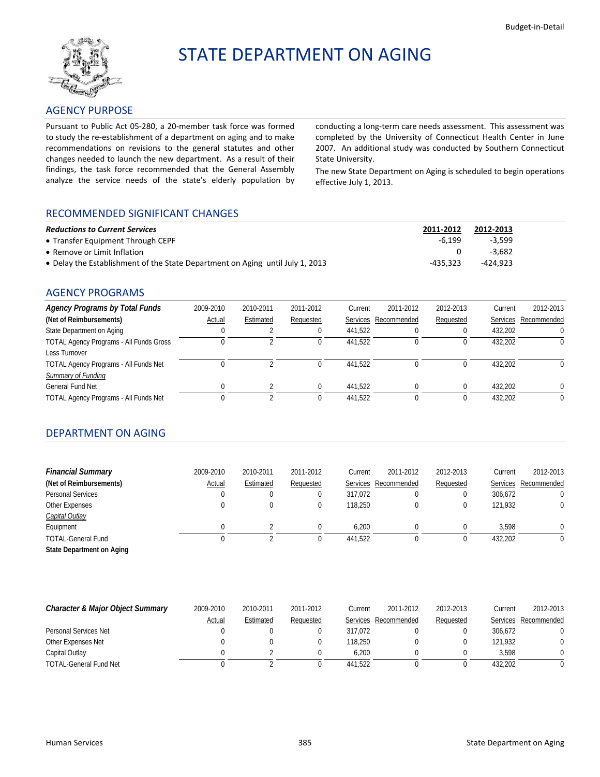<span id="page-32-0"></span>

# STATE DEPARTMENT ON AGING

# AGENCY PURPOSE

Pursuant to Public Act 05‐280, a 20‐member task force was formed to study the re‐establishment of a department on aging and to make recommendations on revisions to the general statutes and other changes needed to launch the new department. As a result of their findings, the task force recommended that the General Assembly analyze the service needs of the state's elderly population by

conducting a long‐term care needs assessment. This assessment was completed by the University of Connecticut Health Center in June 2007. An additional study was conducted by Southern Connecticut State University.

The new State Department on Aging is scheduled to begin operations effective July 1, 2013.

# RECOMMENDED SIGNIFICANT CHANGES

| <b>Reductions to Current Services</b>                                         | 2011-2012 | 2012-2013 |
|-------------------------------------------------------------------------------|-----------|-----------|
| • Transfer Equipment Through CEPF                                             | $-6.199$  | $-3.599$  |
| • Remove or Limit Inflation                                                   |           | -3.682    |
| • Delay the Establishment of the State Department on Aging until July 1, 2013 | -435.323  | -424.923  |

# AGENCY PROGRAMS

| <b>Agency Programs by Total Funds</b>          | 2009-2010 | 2010-2011 | 2011-2012 | Current | 2011-2012            | 2012-2013 | Current         | 2012-2013   |
|------------------------------------------------|-----------|-----------|-----------|---------|----------------------|-----------|-----------------|-------------|
| (Net of Reimbursements)                        | Actual    | Estimated | Requested |         | Services Recommended | Requested | <b>Services</b> | Recommended |
| State Department on Aging                      |           |           |           | 441.522 |                      |           | 432.202         |             |
| <b>TOTAL Agency Programs - All Funds Gross</b> |           |           |           | 441.522 |                      |           | 432.202         |             |
| Less Turnover                                  |           |           |           |         |                      |           |                 |             |
| <b>TOTAL Agency Programs - All Funds Net</b>   |           |           |           | 441.522 |                      |           | 432.202         |             |
| Summary of Funding                             |           |           |           |         |                      |           |                 |             |
| General Fund Net                               |           |           |           | 441.522 |                      | 0         | 432.202         |             |
| <b>TOTAL Agency Programs - All Funds Net</b>   |           |           |           | 441.522 |                      |           | 432.202         |             |

# DEPARTMENT ON AGING

| <b>Financial Summary</b>  | 2009-2010 | 2010-2011 | 2011-2012 | Current | 2011-2012            | 2012-2013 | Current  | 2012-2013   |
|---------------------------|-----------|-----------|-----------|---------|----------------------|-----------|----------|-------------|
| (Net of Reimbursements)   | Actual    | Estimated | Requested |         | Services Recommended | Requested | Services | Recommended |
| Personal Services         | 0         | 0         |           | 317.072 |                      |           | 306.672  |             |
| Other Expenses            |           | 0         |           | 118.250 |                      | 0         | 121.932  |             |
| <b>Capital Outlay</b>     |           |           |           |         |                      |           |          |             |
| Equipment                 |           |           |           | 6.200   |                      |           | 3.598    |             |
| <b>TOTAL-General Fund</b> |           |           |           | 441.522 |                      |           | 432,202  |             |
| State Department on Aging |           |           |           |         |                      |           |          |             |

| Character & Major Object Summary | 2009-2010 | 2010-2011 | 2011-2012 | Current | 2011-2012            | 2012-2013 | Current         | 2012-2013   |
|----------------------------------|-----------|-----------|-----------|---------|----------------------|-----------|-----------------|-------------|
|                                  | Actual    | Estimated | Requested |         | Services Recommended | Requested | <b>Services</b> | Recommended |
| Personal Services Net            |           |           |           | 317.072 |                      |           | 306.672         |             |
| Other Expenses Net               |           |           |           | 118,250 |                      |           | 121.932         |             |
| Capital Outlay                   |           |           |           | 6.200   |                      |           | 3.598           |             |
| <b>TOTAL-General Fund Net</b>    |           |           |           | 441.522 |                      |           | 432.202         |             |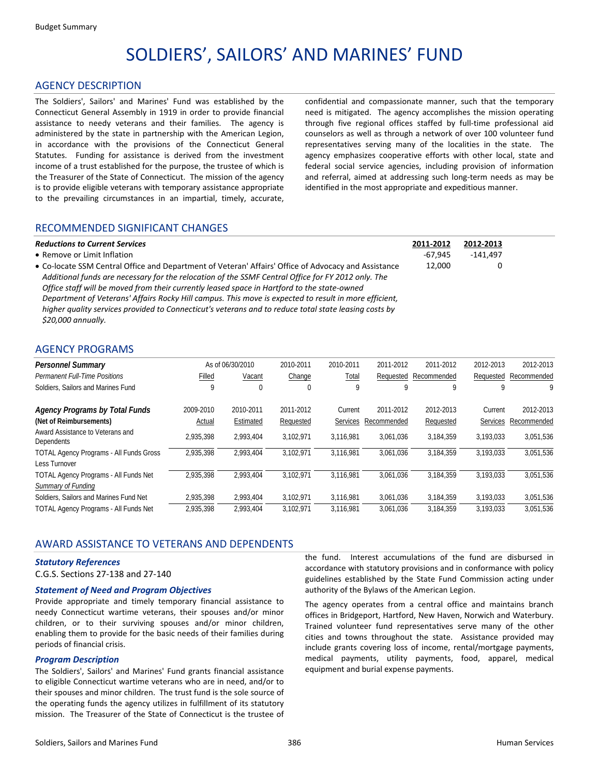# SOLDIERS', SAILORS' AND MARINES' FUND

#### <span id="page-33-0"></span>AGENCY DESCRIPTION

The Soldiers', Sailors' and Marines' Fund was established by the Connecticut General Assembly in 1919 in order to provide financial assistance to needy veterans and their families. The agency is administered by the state in partnership with the American Legion, in accordance with the provisions of the Connecticut General Statutes. Funding for assistance is derived from the investment income of a trust established for the purpose, the trustee of which is the Treasurer of the State of Connecticut. The mission of the agency is to provide eligible veterans with temporary assistance appropriate to the prevailing circumstances in an impartial, timely, accurate, confidential and compassionate manner, such that the temporary need is mitigated. The agency accomplishes the mission operating through five regional offices staffed by full-time professional aid counselors as well as through a network of over 100 volunteer fund representatives serving many of the localities in the state. The agency emphasizes cooperative efforts with other local, state and federal social service agencies, including provision of information and referral, aimed at addressing such long-term needs as may be identified in the most appropriate and expeditious manner.

### RECOMMENDED SIGNIFICANT CHANGES

| <b>Reductions to Current Services</b>                                                                 | 2011-2012 | 2012-2013  |  |
|-------------------------------------------------------------------------------------------------------|-----------|------------|--|
| • Remove or Limit Inflation                                                                           | $-67.945$ | $-141.497$ |  |
| • Co-locate SSM Central Office and Department of Veteran' Affairs' Office of Advocacy and Assistance  | 12.000    |            |  |
| Additional funds are necessary for the relocation of the SSMF Central Office for FY 2012 only. The    |           |            |  |
| Office staff will be moved from their currently leased space in Hartford to the state-owned           |           |            |  |
| Department of Veterans' Affairs Rocky Hill campus. This move is expected to result in more efficient, |           |            |  |
| higher quality services provided to Connecticut's veterans and to reduce total state leasing costs by |           |            |  |

#### AGENCY PROGRAMS

*\$20,000 annually.*

| <b>Personnel Summary</b>                       |           | As of 06/30/2010 | 2010-2011 | 2010-2011    | 2011-2012   | 2011-2012   | 2012-2013 | 2012-2013   |
|------------------------------------------------|-----------|------------------|-----------|--------------|-------------|-------------|-----------|-------------|
| <b>Permanent Full-Time Positions</b>           | Filled    | Vacant           | Change    | <u>Total</u> | Requested   | Recommended | Requested | Recommended |
| Soldiers, Sailors and Marines Fund             |           | 0                | 0         | 9            |             | 9           | q         | 9           |
| <b>Agency Programs by Total Funds</b>          | 2009-2010 | 2010-2011        | 2011-2012 | Current      | 2011-2012   | 2012-2013   | Current   | 2012-2013   |
| (Net of Reimbursements)                        | Actual    | Estimated        | Requested | Services     | Recommended | Requested   | Services  | Recommended |
| Award Assistance to Veterans and<br>Dependents | 2.935.398 | 2,993,404        | 3,102,971 | 3,116,981    | 3,061,036   | 3,184,359   | 3,193,033 | 3,051,536   |
| <b>TOTAL Agency Programs - All Funds Gross</b> | 2.935.398 | 2,993,404        | 3.102.971 | 3.116.981    | 3.061.036   | 3.184.359   | 3,193,033 | 3,051,536   |
| Less Turnover                                  |           |                  |           |              |             |             |           |             |
| <b>TOTAL Agency Programs - All Funds Net</b>   | 2.935.398 | 2.993.404        | 3.102.971 | 3.116.981    | 3.061.036   | 3.184.359   | 3.193.033 | 3.051.536   |
| Summary of Funding                             |           |                  |           |              |             |             |           |             |
| Soldiers, Sailors and Marines Fund Net         | 2.935.398 | 2,993,404        | 3,102,971 | 3,116,981    | 3,061,036   | 3,184,359   | 3,193,033 | 3,051,536   |
| <b>TOTAL Agency Programs - All Funds Net</b>   | 2.935.398 | 2,993,404        | 3.102.971 | 3.116.981    | 3,061,036   | 3,184,359   | 3,193,033 | 3,051,536   |

### AWARD ASSISTANCE TO VETERANS AND DEPENDENTS

#### *Statutory References*

C.G.S. Sections 27‐138 and 27‐140

#### *Statement of Need and Program Objectives*

Provide appropriate and timely temporary financial assistance to needy Connecticut wartime veterans, their spouses and/or minor children, or to their surviving spouses and/or minor children, enabling them to provide for the basic needs of their families during periods of financial crisis.

#### *Program Description*

The Soldiers', Sailors' and Marines' Fund grants financial assistance to eligible Connecticut wartime veterans who are in need, and/or to their spouses and minor children. The trust fund is the sole source of the operating funds the agency utilizes in fulfillment of its statutory mission. The Treasurer of the State of Connecticut is the trustee of the fund. Interest accumulations of the fund are disbursed in accordance with statutory provisions and in conformance with policy guidelines established by the State Fund Commission acting under authority of the Bylaws of the American Legion.

The agency operates from a central office and maintains branch offices in Bridgeport, Hartford, New Haven, Norwich and Waterbury. Trained volunteer fund representatives serve many of the other cities and towns throughout the state. Assistance provided may include grants covering loss of income, rental/mortgage payments, medical payments, utility payments, food, apparel, medical equipment and burial expense payments.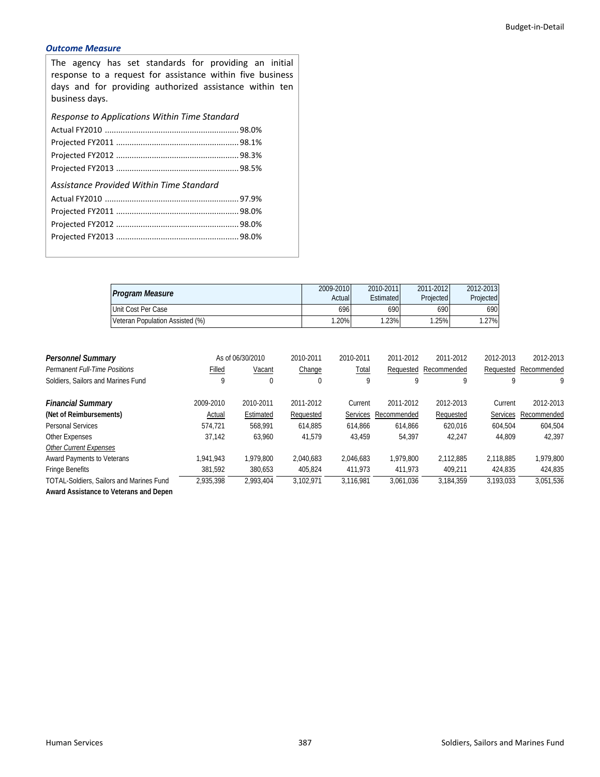# *Outcome Measure*

The agency has set standards for providing an initial response to a request for assistance within five business days and for providing authorized assistance within ten business days.

*Response to Applications Within Time Standard*

| Assistance Provided Within Time Standard |  |
|------------------------------------------|--|
|                                          |  |
|                                          |  |
|                                          |  |
|                                          |  |
|                                          |  |

| <b>Program Measure</b>          | 2009-2010<br>Actual | 2010-2011<br>Estimated | 2011-2012<br>Projected | 2012-2013<br>Projected |
|---------------------------------|---------------------|------------------------|------------------------|------------------------|
| Unit Cost Per Case              | 696                 | 6901                   | 690                    | 690                    |
| Veteran Population Assisted (%) | $20\%$              | .23%                   | .25%                   | 1.27%                  |

| <b>Personnel Summary</b>                        |           | As of 06/30/2010 | 2010-2011 | 2010-2011 | 2011-2012   | 2011-2012   | 2012-2013       | 2012-2013   |
|-------------------------------------------------|-----------|------------------|-----------|-----------|-------------|-------------|-----------------|-------------|
| <b>Permanent Full-Time Positions</b>            | Filled    | Vacant           | Change    | Total     | Requested   | Recommended | Requested       | Recommended |
| Soldiers, Sailors and Marines Fund              | 9         | 0                | 0         | 9         | q           | 9           | q               | 9           |
| <b>Financial Summary</b>                        | 2009-2010 | 2010-2011        | 2011-2012 | Current   | 2011-2012   | 2012-2013   | Current         | 2012-2013   |
| (Net of Reimbursements)                         | Actual    | Estimated        | Requested | Services  | Recommended | Requested   | <b>Services</b> | Recommended |
| <b>Personal Services</b>                        | 574.721   | 568.991          | 614.885   | 614.866   | 614.866     | 620.016     | 604.504         | 604,504     |
| Other Expenses                                  | 37.142    | 63.960           | 41.579    | 43.459    | 54.397      | 42.247      | 44.809          | 42.397      |
| <b>Other Current Expenses</b>                   |           |                  |           |           |             |             |                 |             |
| <b>Award Payments to Veterans</b>               | 1.941.943 | 1.979.800        | 2.040.683 | 2.046.683 | 1.979.800   | 2.112.885   | 2.118.885       | 1.979.800   |
| <b>Fringe Benefits</b>                          | 381,592   | 380,653          | 405,824   | 411.973   | 411.973     | 409.211     | 424.835         | 424,835     |
| <b>TOTAL-Soldiers, Sailors and Marines Fund</b> | 2.935.398 | 2.993.404        | 3.102.971 | 3.116.981 | 3.061.036   | 3.184.359   | 3,193,033       | 3,051,536   |

**Award Assistance to Veterans and Depen**